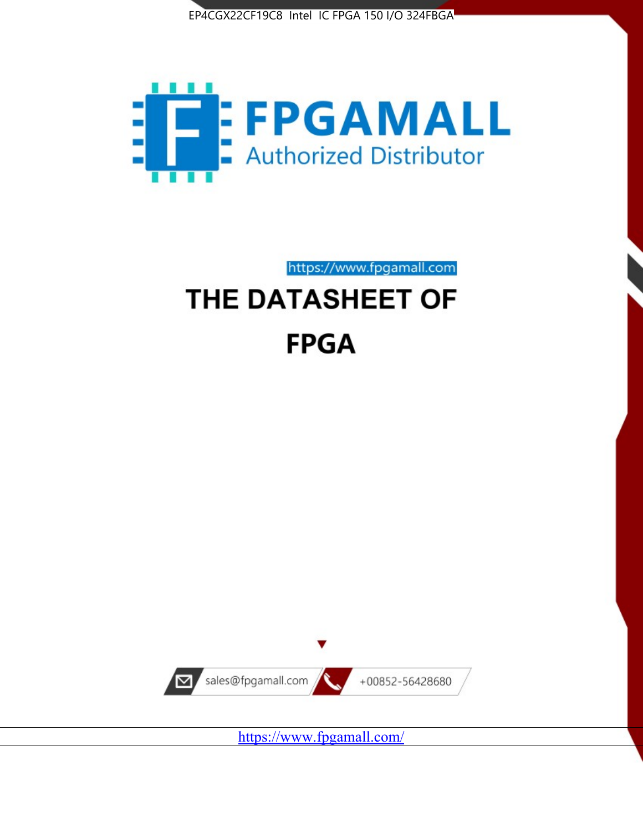



https://www.fpgamall.com

# THE DATASHEET OF **FPGA**



<https://www.fpgamall.com/>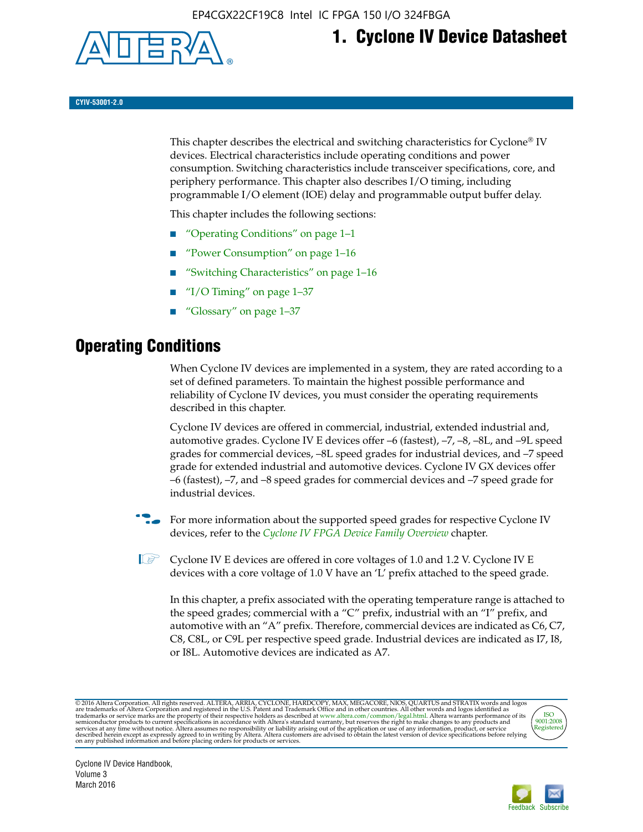

# **1. Cyclone IV Device Datasheet**

**CYIV-53001-2.0**

This chapter describes the electrical and switching characteristics for Cyclone<sup>®</sup> IV devices. Electrical characteristics include operating conditions and power consumption. Switching characteristics include transceiver specifications, core, and periphery performance. This chapter also describes I/O timing, including programmable I/O element (IOE) delay and programmable output buffer delay.

This chapter includes the following sections:

- "Operating Conditions" on page 1–1
- "Power Consumption" on page 1–16
- "Switching Characteristics" on page 1–16
- "I/O Timing" on page  $1-37$
- "Glossary" on page 1–37

# **Operating Conditions**

When Cyclone IV devices are implemented in a system, they are rated according to a set of defined parameters. To maintain the highest possible performance and reliability of Cyclone IV devices, you must consider the operating requirements described in this chapter.

Cyclone IV devices are offered in commercial, industrial, extended industrial and, automotive grades. Cyclone IV E devices offer –6 (fastest), –7, –8, –8L, and –9L speed grades for commercial devices, –8L speed grades for industrial devices, and –7 speed grade for extended industrial and automotive devices. Cyclone IV GX devices offer –6 (fastest), –7, and –8 speed grades for commercial devices and –7 speed grade for industrial devices.

**For more information about the supported speed grades for respective Cyclone IV** devices, refer to the *[Cyclone IV FPGA Device Family Overview](http://www.altera.com/literature/hb/cyclone-iv/cyiv-51001.pdf)* chapter.

**1** Cyclone IV E devices are offered in core voltages of 1.0 and 1.2 V. Cyclone IV E devices with a core voltage of 1.0 V have an 'L' prefix attached to the speed grade.

In this chapter, a prefix associated with the operating temperature range is attached to the speed grades; commercial with a "C" prefix, industrial with an "I" prefix, and automotive with an "A" prefix. Therefore, commercial devices are indicated as C6, C7, C8, C8L, or C9L per respective speed grade. Industrial devices are indicated as I7, I8, or I8L. Automotive devices are indicated as A7.

@2016 Altera Corporation. All rights reserved. ALTERA, ARRIA, CYCLONE, HARDCOPY, MAX, MEGACORE, NIOS, QUARTUS and STRATIX words and logos are trademarks of Altera Corporation and registered in the U.S. Patent and Trademark



Cyclone IV Device Handbook, Volume 3 March 2016

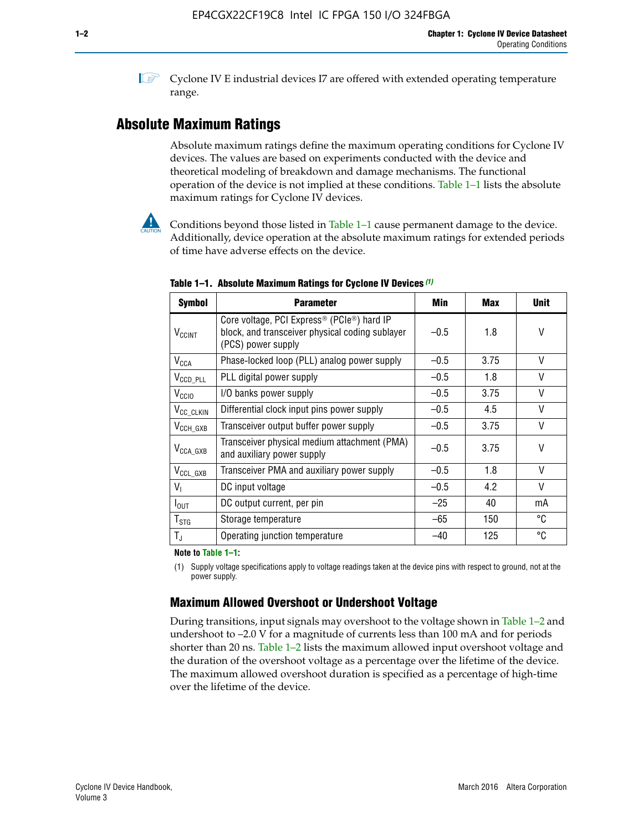**1 Cyclone IV E industrial devices I7 are offered with extended operating temperature** range.

# **Absolute Maximum Ratings**

Absolute maximum ratings define the maximum operating conditions for Cyclone IV devices. The values are based on experiments conducted with the device and theoretical modeling of breakdown and damage mechanisms. The functional operation of the device is not implied at these conditions. Table 1–1 lists the absolute maximum ratings for Cyclone IV devices.



Conditions beyond those listed in Table  $1-1$  cause permanent damage to the device. Additionally, device operation at the absolute maximum ratings for extended periods of time have adverse effects on the device.

| <b>Symbol</b>              | <b>Parameter</b>                                                                                                                | Min    | <b>Max</b> | <b>Unit</b> |
|----------------------------|---------------------------------------------------------------------------------------------------------------------------------|--------|------------|-------------|
| <b>V<sub>CCINT</sub></b>   | Core voltage, PCI Express <sup>®</sup> (PCIe®) hard IP<br>block, and transceiver physical coding sublayer<br>(PCS) power supply | $-0.5$ | 1.8        | V           |
| $V_{CCA}$                  | Phase-locked loop (PLL) analog power supply                                                                                     | $-0.5$ | 3.75       | V           |
| $V_{\text{CCD\_PLL}}$      | PLL digital power supply                                                                                                        | $-0.5$ | 1.8        | $\vee$      |
| V <sub>CCIO</sub>          | I/O banks power supply                                                                                                          | $-0.5$ | 3.75       | V           |
| V <sub>CC_CLKIN</sub>      | Differential clock input pins power supply                                                                                      | $-0.5$ | 4.5        | $\vee$      |
| $V_{CCH_GXB}$              | Transceiver output buffer power supply                                                                                          | $-0.5$ | 3.75       | V           |
| $V_{\text{CCA\_GXB}}$      | Transceiver physical medium attachment (PMA)<br>and auxiliary power supply                                                      | $-0.5$ | 3.75       | V           |
| $V_{CCL_GXB}$              | Transceiver PMA and auxiliary power supply                                                                                      | $-0.5$ | 1.8        | $\vee$      |
| $V_{1}$                    | DC input voltage                                                                                                                | $-0.5$ | 4.2        | V           |
| $I_{\text{OUT}}$           | DC output current, per pin                                                                                                      | $-25$  | 40         | mA          |
| ${\mathsf T}_{\text{STG}}$ | Storage temperature                                                                                                             | -65    | 150        | °C          |
| $T_{\rm J}$                | Operating junction temperature                                                                                                  | $-40$  | 125        | °C          |

**Table 1–1. Absolute Maximum Ratings for Cyclone IV Devices** *(1)*

**Note to Table 1–1:**

(1) Supply voltage specifications apply to voltage readings taken at the device pins with respect to ground, not at the power supply.

# **Maximum Allowed Overshoot or Undershoot Voltage**

During transitions, input signals may overshoot to the voltage shown in Table 1–2 and undershoot to –2.0 V for a magnitude of currents less than 100 mA and for periods shorter than 20 ns. Table 1–2 lists the maximum allowed input overshoot voltage and the duration of the overshoot voltage as a percentage over the lifetime of the device. The maximum allowed overshoot duration is specified as a percentage of high-time over the lifetime of the device.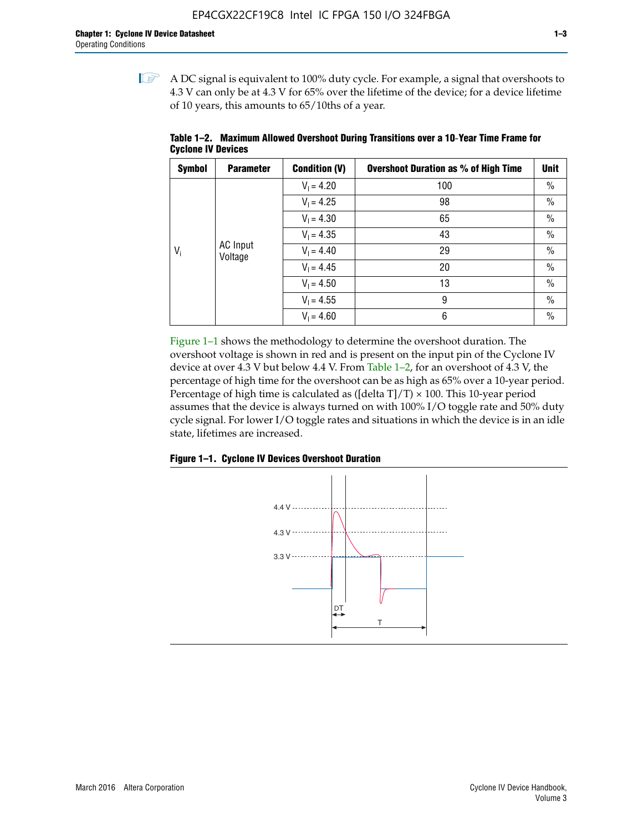$\mathbb{I}$  A DC signal is equivalent to 100% duty cycle. For example, a signal that overshoots to 4.3 V can only be at 4.3 V for 65% over the lifetime of the device; for a device lifetime of 10 years, this amounts to 65/10ths of a year.

| <b>Symbol</b> | <b>Parameter</b>           | <b>Condition (V)</b> | <b>Overshoot Duration as % of High Time</b> | <b>Unit</b>   |
|---------------|----------------------------|----------------------|---------------------------------------------|---------------|
|               |                            | $V_1 = 4.20$         | 100                                         | $\%$          |
|               |                            | $V_1 = 4.25$         | 98                                          | $\%$          |
|               |                            | $V_1 = 4.30$         | 65                                          | $\%$          |
|               |                            | $V_1 = 4.35$         | 43                                          | $\frac{0}{0}$ |
| $V_i$         | <b>AC</b> Input<br>Voltage | $V_1 = 4.40$         | 29                                          | $\frac{0}{0}$ |
|               |                            | $V_1 = 4.45$         | 20                                          | $\%$          |
|               |                            | $V_1 = 4.50$         | 13                                          | $\%$          |
|               |                            | $V_1 = 4.55$         | 9                                           | $\%$          |
|               |                            | $V_1 = 4.60$         | 6                                           | $\%$          |

**Table 1–2. Maximum Allowed Overshoot During Transitions over a 10**-**Year Time Frame for Cyclone IV Devices**

Figure 1–1 shows the methodology to determine the overshoot duration. The overshoot voltage is shown in red and is present on the input pin of the Cyclone IV device at over 4.3 V but below 4.4 V. From Table 1–2, for an overshoot of 4.3 V, the percentage of high time for the overshoot can be as high as 65% over a 10-year period. Percentage of high time is calculated as ([delta  $T$ ]/T)  $\times$  100. This 10-year period assumes that the device is always turned on with 100% I/O toggle rate and 50% duty cycle signal. For lower I/O toggle rates and situations in which the device is in an idle state, lifetimes are increased.



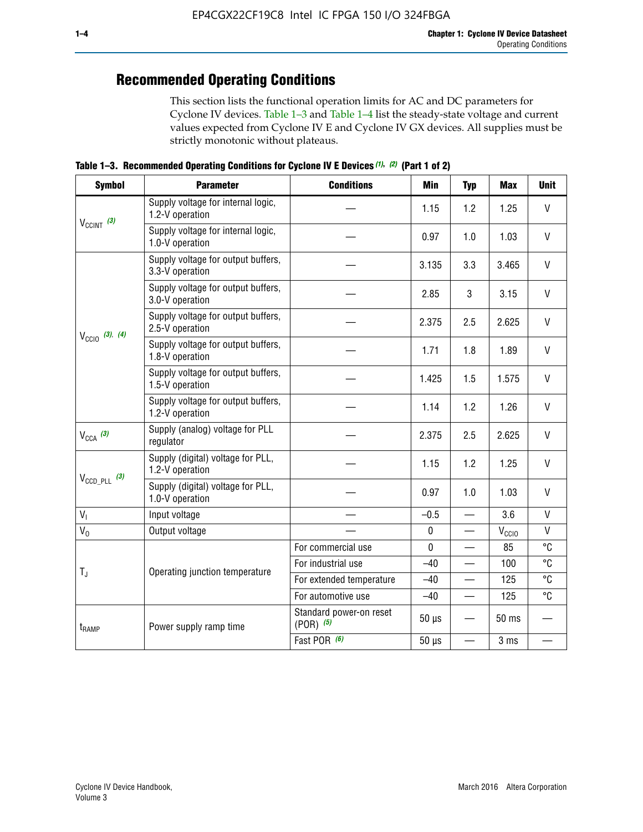# **Recommended Operating Conditions**

This section lists the functional operation limits for AC and DC parameters for Cyclone IV devices. Table 1–3 and Table 1–4 list the steady-state voltage and current values expected from Cyclone IV E and Cyclone IV GX devices. All supplies must be strictly monotonic without plateaus.

**Table 1–3. Recommended Operating Conditions for Cyclone IV E Devices** *(1)***,** *(2)* **(Part 1 of 2)**

| <b>Symbol</b>                                                                                             | <b>Parameter</b>                                      | <b>Conditions</b>                        | <b>Min</b>  | <b>Typ</b>               | <b>Max</b>     | <b>Unit</b>  |
|-----------------------------------------------------------------------------------------------------------|-------------------------------------------------------|------------------------------------------|-------------|--------------------------|----------------|--------------|
|                                                                                                           | Supply voltage for internal logic,<br>1.2-V operation |                                          | 1.15        | 1.2                      | 1.25           | $\mathsf{V}$ |
|                                                                                                           | Supply voltage for internal logic,<br>1.0-V operation |                                          | 0.97        | 1.0                      | 1.03           | $\mathsf{V}$ |
|                                                                                                           | Supply voltage for output buffers,<br>3.3-V operation |                                          | 3.135       | 3.3                      | 3.465          | $\vee$       |
| $V_{\text{CC10}}$ (3), (4)<br>$V_{CCA}$ (3)                                                               | Supply voltage for output buffers,<br>3.0-V operation |                                          | 2.85        | 3                        | 3.15           | V            |
|                                                                                                           | Supply voltage for output buffers,<br>2.5-V operation |                                          | 2.375       | 2.5                      | 2.625          | $\vee$       |
|                                                                                                           | Supply voltage for output buffers,<br>1.8-V operation |                                          | 1.71        | 1.8                      | 1.89           | V            |
|                                                                                                           | Supply voltage for output buffers,<br>1.5-V operation |                                          | 1.425       | 1.5                      | 1.575          | $\vee$       |
|                                                                                                           | Supply voltage for output buffers,<br>1.2-V operation |                                          | 1.14        | 1.2                      | 1.26           | $\mathsf{V}$ |
|                                                                                                           | Supply (analog) voltage for PLL<br>regulator          |                                          | 2.375       | 2.5                      | 2.625          | $\vee$       |
|                                                                                                           | Supply (digital) voltage for PLL,<br>1.2-V operation  |                                          | 1.15        | 1.2                      | 1.25           | V            |
| $V_{CClNT}$ (3)<br>$V_{\text{CCD\_PLL}}$ (3)<br>V <sub>1</sub><br>$V_0$<br>$T_{\rm J}$<br>$t_{\rm{RAMP}}$ | Supply (digital) voltage for PLL,<br>1.0-V operation  |                                          | 0.97        | 1.0                      | 1.03           | $\vee$       |
|                                                                                                           | Input voltage                                         |                                          | $-0.5$      | $\overline{\phantom{0}}$ | 3.6            | $\mathsf{V}$ |
|                                                                                                           | Output voltage                                        |                                          | $\pmb{0}$   | —                        | $V_{\rm CClO}$ | $\mathsf{V}$ |
|                                                                                                           |                                                       | For commercial use                       | $\mathbf 0$ |                          | 85             | °C           |
|                                                                                                           | Operating junction temperature                        | For industrial use                       | $-40$       |                          | 100            | °C           |
|                                                                                                           |                                                       | For extended temperature                 | $-40$       |                          | 125            | °C           |
|                                                                                                           |                                                       | For automotive use                       | $-40$       | $\qquad \qquad$          | 125            | °C           |
|                                                                                                           | Power supply ramp time                                | Standard power-on reset<br>$(POR)$ $(5)$ | $50 \mu s$  |                          | 50 ms          |              |
|                                                                                                           |                                                       | Fast POR (6)                             | $50 \mu s$  | $\overline{\phantom{0}}$ | 3 ms           |              |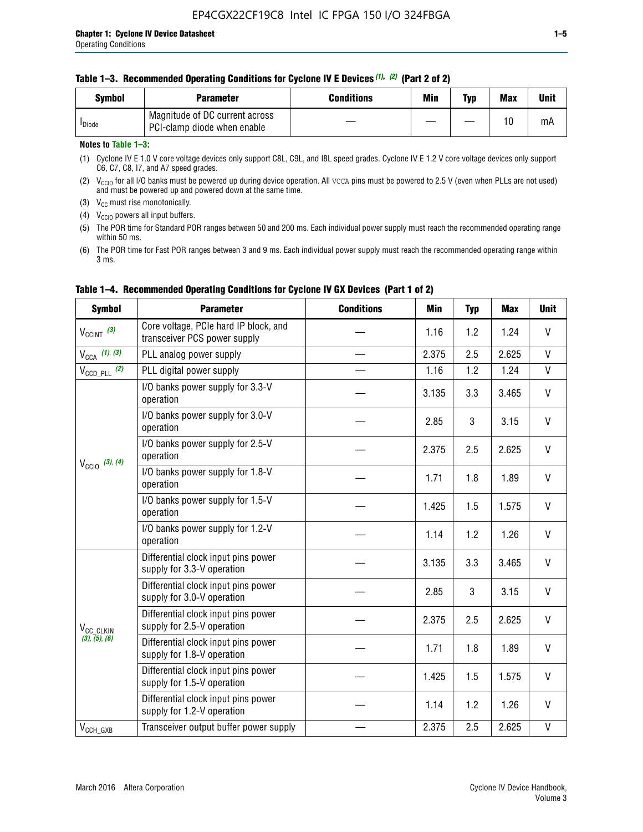| <b>Symbol</b>      | <b>Parameter</b>                                              | <b>Conditions</b> | Min | Typ | <b>Max</b> | Unit |
|--------------------|---------------------------------------------------------------|-------------------|-----|-----|------------|------|
| <sup>I</sup> Diode | Magnitude of DC current across<br>PCI-clamp diode when enable |                   |     |     | 10         | mA   |

#### **Notes to Table 1–3:**

(1) Cyclone IV E 1.0 V core voltage devices only support C8L, C9L, and I8L speed grades. Cyclone IV E 1.2 V core voltage devices only support C6, C7, C8, I7, and A7 speed grades.

(2)  $V_{CCIO}$  for all I/O banks must be powered up during device operation. All vcca pins must be powered to 2.5 V (even when PLLs are not used) and must be powered up and powered down at the same time.

(3)  $V_{CC}$  must rise monotonically.

(4)  $V_{\text{CCIO}}$  powers all input buffers.

(5) The POR time for Standard POR ranges between 50 and 200 ms. Each individual power supply must reach the recommended operating range within 50 ms.

(6) The POR time for Fast POR ranges between 3 and 9 ms. Each individual power supply must reach the recommended operating range within 3 ms.

| <b>Symbol</b>                                                                         | <b>Parameter</b>                                                      | <b>Conditions</b> | <b>Min</b> | <b>Typ</b> | <b>Max</b> | <b>Unit</b>  |
|---------------------------------------------------------------------------------------|-----------------------------------------------------------------------|-------------------|------------|------------|------------|--------------|
| $V_{\text{CCINT}}$ (3)                                                                | Core voltage, PCIe hard IP block, and<br>transceiver PCS power supply |                   | 1.16       | 1.2        | 1.24       | V            |
| $V_{CCA}$ (1), (3)                                                                    | PLL analog power supply                                               |                   | 2.375      | 2.5        | 2.625      | V            |
| $V_{\text{CCD\_PLL}}$ (2)                                                             | PLL digital power supply                                              |                   | 1.16       | 1.2        | 1.24       | $\mathsf{V}$ |
|                                                                                       | I/O banks power supply for 3.3-V<br>operation                         |                   | 3.135      | 3.3        | 3.465      | V            |
|                                                                                       | I/O banks power supply for 3.0-V<br>operation                         |                   | 2.85       | 3          | 3.15       | V            |
|                                                                                       | I/O banks power supply for 2.5-V<br>operation                         |                   | 2.375      | 2.5        | 2.625      | V            |
|                                                                                       | I/O banks power supply for 1.8-V<br>operation                         |                   | 1.71       | 1.8        | 1.89       | V            |
|                                                                                       | I/O banks power supply for 1.5-V<br>operation                         |                   | 1.425      | 1.5        | 1.575      | V            |
|                                                                                       | I/O banks power supply for 1.2-V<br>operation                         |                   | 1.14       | 1.2        | 1.26       | $\mathsf{V}$ |
| $V_{\text{CC10}}$ (3), (4)<br>V <sub>CC_CLKIN</sub><br>(3), (5), (6)<br>$V_{CCH_GXB}$ | Differential clock input pins power<br>supply for 3.3-V operation     |                   | 3.135      | 3.3        | 3.465      | V            |
|                                                                                       | Differential clock input pins power<br>supply for 3.0-V operation     |                   | 2.85       | 3          | 3.15       | V            |
|                                                                                       | Differential clock input pins power<br>supply for 2.5-V operation     |                   | 2.375      | 2.5        | 2.625      | V            |
|                                                                                       | Differential clock input pins power<br>supply for 1.8-V operation     |                   | 1.71       | 1.8        | 1.89       | V            |
|                                                                                       | Differential clock input pins power<br>supply for 1.5-V operation     |                   | 1.425      | 1.5        | 1.575      | V            |
|                                                                                       | Differential clock input pins power<br>supply for 1.2-V operation     |                   | 1.14       | 1.2        | 1.26       | V            |
|                                                                                       | Transceiver output buffer power supply                                |                   | 2.375      | 2.5        | 2.625      | V            |

### **Table 1–4. Recommended Operating Conditions for Cyclone IV GX Devices (Part 1 of 2)**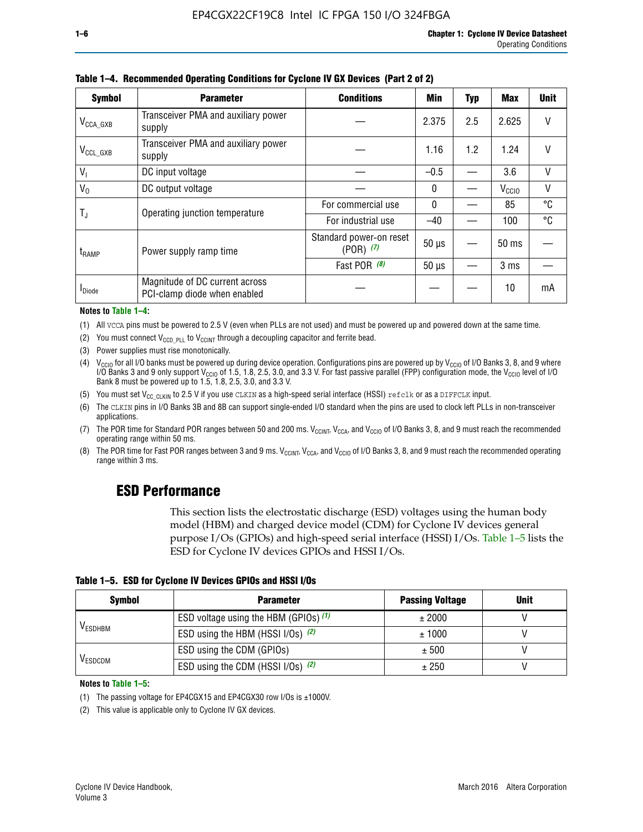| <b>Symbol</b>           | <b>Parameter</b>                                               | <b>Conditions</b>                        | Min          | Typ | Max               | <b>Unit</b> |
|-------------------------|----------------------------------------------------------------|------------------------------------------|--------------|-----|-------------------|-------------|
| $V_{\text{CCA\_GXB}}$   | Transceiver PMA and auxiliary power<br>supply                  |                                          | 2.375        | 2.5 | 2.625             | $\vee$      |
| $V_{CCL_GXB}$           | Transceiver PMA and auxiliary power<br>supply                  |                                          | 1.16         | 1.2 | 1.24              | V           |
| $V_{1}$                 | DC input voltage                                               |                                          | $-0.5$       |     | 3.6               | V           |
| $V_0$                   | DC output voltage                                              |                                          | $\mathbf{0}$ |     | V <sub>CCIO</sub> | ٧           |
|                         | Operating junction temperature                                 | For commercial use                       | $\mathbf{0}$ |     | 85                | °C          |
| $\mathsf{T}_\mathsf{J}$ |                                                                | For industrial use                       | $-40$        |     | 100               | °C          |
| $t_{\rm{RAMP}}$         | Power supply ramp time                                         | Standard power-on reset<br>$(POR)$ $(7)$ | $50 \mu s$   |     | $50 \text{ ms}$   |             |
|                         |                                                                | Fast POR (8)                             | $50 \mu s$   |     | 3 <sub>ms</sub>   |             |
| <b>I</b> Diode          | Magnitude of DC current across<br>PCI-clamp diode when enabled |                                          |              |     | 10                | mA          |

**Table 1–4. Recommended Operating Conditions for Cyclone IV GX Devices (Part 2 of 2)**

#### **Notes to Table 1–4:**

- (1) All VCCA pins must be powered to 2.5 V (even when PLLs are not used) and must be powered up and powered down at the same time.
- (2) You must connect  $V_{CCD-PLL}$  to  $V_{CCINT}$  through a decoupling capacitor and ferrite bead.
- (3) Power supplies must rise monotonically.
- (4)  $V_{\text{CCIO}}$  for all I/O banks must be powered up during device operation. Configurations pins are powered up by V<sub>CCIO</sub> of I/O Banks 3, 8, and 9 where I/O Banks 3 and 9 only support V<sub>CCIO</sub> of 1.5, 1.8, 2.5, 3.0, and 3.3 V. For fast passive parallel (FPP) configuration mode, the V<sub>CCIO</sub> level of I/O<br>Bank 8 must be powered up to 1.5, 1.8, 2.5, 3.0, and 3.3 V.
- (5) You must set  $V_{CC_CCLKIN}$  to 2.5 V if you use CLKIN as a high-speed serial interface (HSSI) refclk or as a DIFFCLK input.
- (6) The CLKIN pins in I/O Banks 3B and 8B can support single-ended I/O standard when the pins are used to clock left PLLs in non-transceiver applications.
- (7) The POR time for Standard POR ranges between 50 and 200 ms.  $V_{\text{CCIA}}$ ,  $V_{\text{CCIA}}$ , and  $V_{\text{CCIO}}$  of I/O Banks 3, 8, and 9 must reach the recommended operating range within 50 ms.
- (8) The POR time for Fast POR ranges between 3 and 9 ms.  $V_{\text{CCH},T}$ ,  $V_{\text{CCA}}$ , and  $V_{\text{CCI}}$  of I/O Banks 3, 8, and 9 must reach the recommended operating range within 3 ms.

# **ESD Performance**

This section lists the electrostatic discharge (ESD) voltages using the human body model (HBM) and charged device model (CDM) for Cyclone IV devices general purpose I/Os (GPIOs) and high-speed serial interface (HSSI) I/Os. Table 1–5 lists the ESD for Cyclone IV devices GPIOs and HSSI I/Os.

|  |  |  | Table 1–5. ESD for Cyclone IV Devices GPIOs and HSSI I/Os |  |  |
|--|--|--|-----------------------------------------------------------|--|--|
|  |  |  |                                                           |  |  |

| <b>Symbol</b>  | <b>Parameter</b>                      | <b>Passing Voltage</b> | <b>Unit</b> |
|----------------|---------------------------------------|------------------------|-------------|
|                | ESD voltage using the HBM (GPIOs) (1) | ± 2000                 |             |
| <b>VESDHBM</b> | ESD using the HBM (HSSI I/Os) (2)     | ± 1000                 |             |
|                | ESD using the CDM (GPIOs)             | ± 500                  |             |
| <b>VESDCDM</b> | ESD using the CDM (HSSI I/Os) (2)     | ± 250                  |             |

#### **Notes to Table 1–5:**

(1) The passing voltage for EP4CGX15 and EP4CGX30 row I/Os is ±1000V.

(2) This value is applicable only to Cyclone IV GX devices.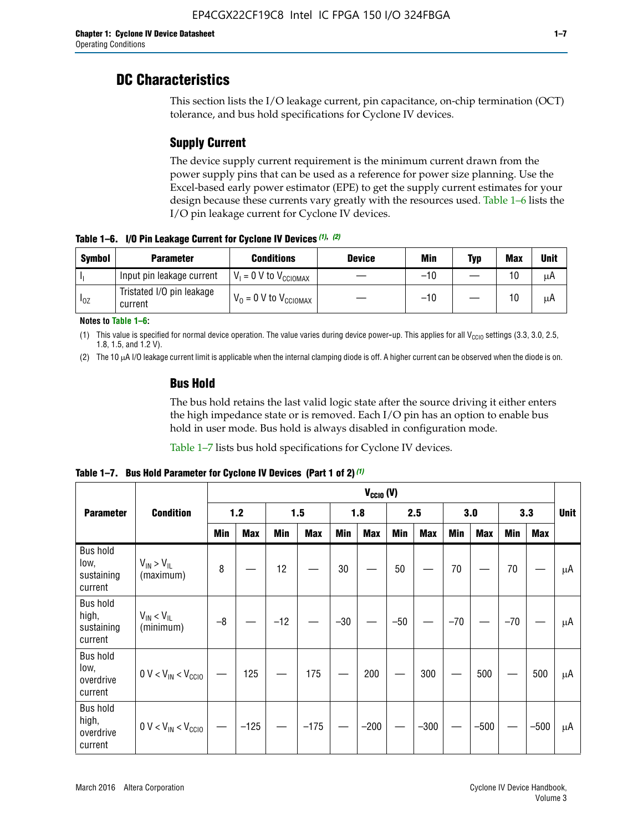# **DC Characteristics**

This section lists the I/O leakage current, pin capacitance, on-chip termination (OCT) tolerance, and bus hold specifications for Cyclone IV devices.

# **Supply Current**

The device supply current requirement is the minimum current drawn from the power supply pins that can be used as a reference for power size planning. Use the Excel-based early power estimator (EPE) to get the supply current estimates for your design because these currents vary greatly with the resources used. Table 1–6 lists the I/O pin leakage current for Cyclone IV devices.

**Table 1–6. I/O Pin Leakage Current for Cyclone IV Devices** *(1)***,** *(2)*

| <b>Symbol</b> | <b>Parameter</b>                     | <b>Conditions</b>                   | <b>Device</b> | Min   | Typ | <b>Max</b> | <b>Unit</b> |
|---------------|--------------------------------------|-------------------------------------|---------------|-------|-----|------------|-------------|
|               | Input pin leakage current            | $V_1 = 0$ V to $V_{\text{CCIOMAX}}$ |               | $-10$ |     | 10         | μA          |
| $I_{0Z}$      | Tristated I/O pin leakage<br>current | $V_0 = 0 V to V_{CCIOMAX}$          |               | $-10$ |     | 10         | μA          |

**Notes to Table 1–6:**

(1) This value is specified for normal device operation. The value varies during device power-up. This applies for all V<sub>CCIO</sub> settings (3.3, 3.0, 2.5, 1.8, 1.5, and 1.2 V).

(2) The 10 µA I/O leakage current limit is applicable when the internal clamping diode is off. A higher current can be observed when the diode is on.

### **Bus Hold**

The bus hold retains the last valid logic state after the source driving it either enters the high impedance state or is removed. Each I/O pin has an option to enable bus hold in user mode. Bus hold is always disabled in configuration mode.

Table 1–7 lists bus hold specifications for Cyclone IV devices.

|                                                   |                                  | $V_{CClO}$ (V) |            |       |            |            |            |            |            |       |            |       |            |    |
|---------------------------------------------------|----------------------------------|----------------|------------|-------|------------|------------|------------|------------|------------|-------|------------|-------|------------|----|
| <b>Parameter</b>                                  | <b>Condition</b>                 | $1.2$          |            |       | 1.5        |            | 1.8        |            | 2.5        |       | 3.0        |       | 3.3        |    |
|                                                   |                                  | <b>Min</b>     | <b>Max</b> | Min   | <b>Max</b> | <b>Min</b> | <b>Max</b> | <b>Min</b> | <b>Max</b> | Min   | <b>Max</b> | Min   | <b>Max</b> |    |
| <b>Bus hold</b><br>low,<br>sustaining<br>current  | $V_{IN}$ > $V_{IL}$<br>(maximum) | 8              |            | 12    |            | $30\,$     |            | 50         |            | 70    |            | 70    |            | μA |
| <b>Bus hold</b><br>high,<br>sustaining<br>current | $V_{IN}$ < $V_{IL}$<br>(minimum) | $-8$           |            | $-12$ |            | $-30$      |            | $-50$      |            | $-70$ |            | $-70$ |            | μA |
| <b>Bus hold</b><br>low,<br>overdrive<br>current   | $0 V < V_{IN} < V_{CG10}$        |                | 125        |       | 175        |            | 200        |            | 300        |       | 500        |       | 500        | μA |
| <b>Bus hold</b><br>high,<br>overdrive<br>current  | $0 V < V_{IN} < V_{CG10}$        |                | $-125$     |       | $-175$     |            | $-200$     |            | $-300$     |       | $-500$     |       | $-500$     | μA |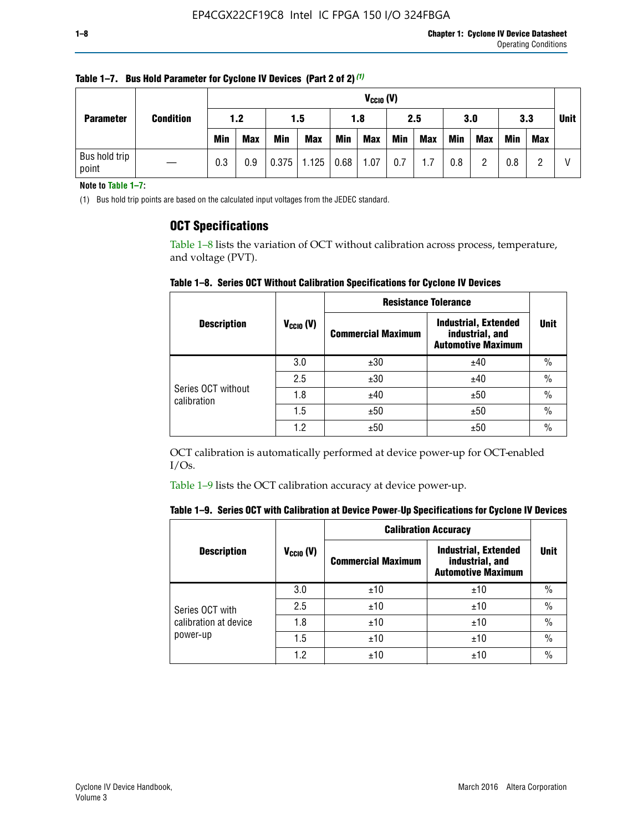| <b>Parameter</b>       | <b>Condition</b> |            | $V_{CClO}$ (V) |            |            |      |            |     |     |     |            |            |     |             |
|------------------------|------------------|------------|----------------|------------|------------|------|------------|-----|-----|-----|------------|------------|-----|-------------|
|                        |                  | 1.2        |                | 1.5        |            | 1.8  |            | 2.5 |     | 3.0 |            | 3.3        |     | <b>Unit</b> |
|                        |                  | <b>Min</b> | <b>Max</b>     | <b>Min</b> | <b>Max</b> | Min  | <b>Max</b> | Min | Max | Min | <b>Max</b> | <b>Min</b> | Max |             |
| Bus hold trip<br>point |                  | 0.3        | 0.9            | 0.375      | 1.125      | 0.68 | 1.07       | 0.7 | 1.7 | 0.8 | ŋ          | 0.8        |     | V           |

**Table 1–7. Bus Hold Parameter for Cyclone IV Devices (Part 2 of 2)** *(1)*

**Note to Table 1–7:**

(1) Bus hold trip points are based on the calculated input voltages from the JEDEC standard.

### **OCT Specifications**

Table 1–8 lists the variation of OCT without calibration across process, temperature, and voltage (PVT).

**Table 1–8. Series OCT Without Calibration Specifications for Cyclone IV Devices**

|                                   |                | <b>Resistance Tolerance</b> |                                                                             |               |
|-----------------------------------|----------------|-----------------------------|-----------------------------------------------------------------------------|---------------|
| <b>Description</b>                | $V_{CCIO} (V)$ | <b>Commercial Maximum</b>   | <b>Industrial, Extended</b><br>industrial, and<br><b>Automotive Maximum</b> | <b>Unit</b>   |
|                                   | 3.0            | ±30                         | ±40                                                                         | $\frac{0}{0}$ |
|                                   | 2.5            | ±30                         | ±40                                                                         | $\frac{0}{0}$ |
| Series OCT without<br>calibration | 1.8            | ±40                         | ±50                                                                         | $\frac{0}{0}$ |
|                                   | 1.5            | ±50                         | ±50                                                                         | $\frac{0}{0}$ |
|                                   | 1.2            | ±50                         | ±50                                                                         | $\frac{0}{0}$ |

OCT calibration is automatically performed at device power-up for OCT-enabled I/Os.

Table 1–9 lists the OCT calibration accuracy at device power-up.

|  | Table 1–9.  Series OCT with Calibration at Device Power-Up Specifications for Cyclone IV Devices |  |  |  |
|--|--------------------------------------------------------------------------------------------------|--|--|--|
|--|--------------------------------------------------------------------------------------------------|--|--|--|

|                       |                | <b>Calibration Accuracy</b> |                                                                             |               |
|-----------------------|----------------|-----------------------------|-----------------------------------------------------------------------------|---------------|
| <b>Description</b>    | $V_{CGI0} (V)$ | <b>Commercial Maximum</b>   | <b>Industrial, Extended</b><br>industrial, and<br><b>Automotive Maximum</b> | Unit          |
|                       | 3.0            | ±10                         | ±10                                                                         | $\%$          |
| Series OCT with       | 2.5            | ±10                         | ±10                                                                         | $\frac{0}{0}$ |
| calibration at device | 1.8            | ±10                         | ±10                                                                         | $\frac{0}{0}$ |
| power-up              | 1.5            | ±10                         | ±10                                                                         | $\frac{0}{0}$ |
|                       | 1.2            | ±10                         | ±10                                                                         | $\frac{0}{0}$ |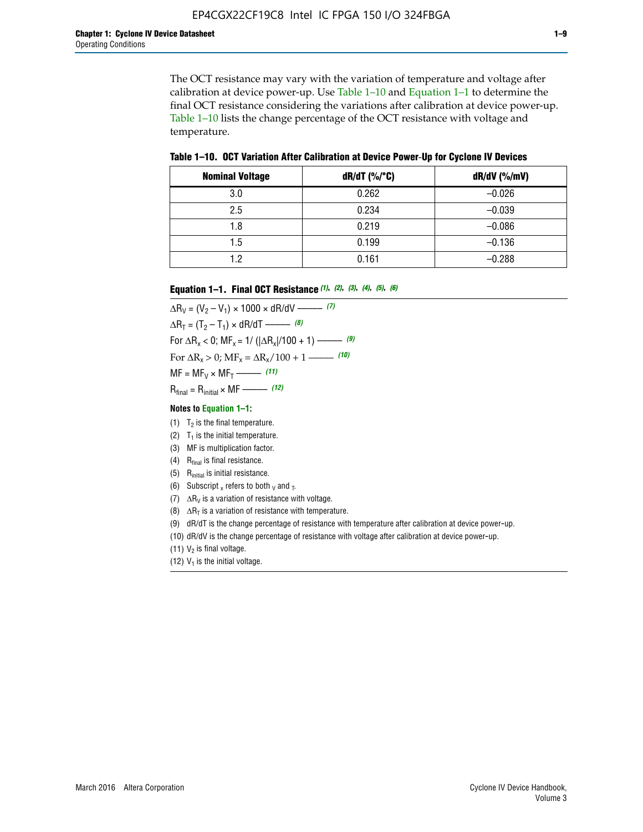The OCT resistance may vary with the variation of temperature and voltage after calibration at device power-up. Use Table 1–10 and Equation 1–1 to determine the final OCT resistance considering the variations after calibration at device power-up. Table 1–10 lists the change percentage of the OCT resistance with voltage and temperature.

**Table 1–10. OCT Variation After Calibration at Device Power**-**Up for Cyclone IV Devices**

| <b>Nominal Voltage</b> | dR/dT (%/°C) | $dR/dV$ (%/mV) |
|------------------------|--------------|----------------|
| 3.0                    | 0.262        | $-0.026$       |
| 2.5                    | 0.234        | $-0.039$       |
| 1.8                    | 0.219        | $-0.086$       |
| 1.5                    | 0.199        | $-0.136$       |
| 1.2                    | 0.161        | $-0.288$       |

#### **Equation 1–1. Final OCT Resistance** *(1)***,** *(2)***,** *(3)***,** *(4)***,** *(5)***,** *(6)*

 $\Delta R_V = (V_2 - V_1) \times 1000 \times dR/dV$  ––––––––––––(7)  $\Delta R_T = (T_2 - T_1) \times dR/dT$  ––––––– (8) For  $\Delta R_x < 0$ ; MF<sub>x</sub> = 1/ ( $|\Delta R_x|/100 + 1$ ) –––––– (9) For  $\Delta R_x > 0$ ;  $\text{MF}_x = \Delta R_x / 100 + 1$  ——– (10)  $MF = MF_V \times MF_T$  –––––––––––(11) Rfinal = Rinitial × MF ––––– *(12)*

#### **Notes to Equation 1–1:**

- (1)  $T_2$  is the final temperature.
- (2)  $T_1$  is the initial temperature.
- (3) MF is multiplication factor.
- (4)  $R<sub>final</sub>$  is final resistance.
- (5) Rinitial is initial resistance.
- (6) Subscript x refers to both  $\sqrt{v}$  and  $\sqrt{v}$ .
- (7)  $\Delta R_V$  is a variation of resistance with voltage.
- (8)  $\Delta R_T$  is a variation of resistance with temperature.
- (9) dR/dT is the change percentage of resistance with temperature after calibration at device power-up.
- (10) dR/dV is the change percentage of resistance with voltage after calibration at device power-up.
- (11)  $V_2$  is final voltage.
- (12)  $V_1$  is the initial voltage.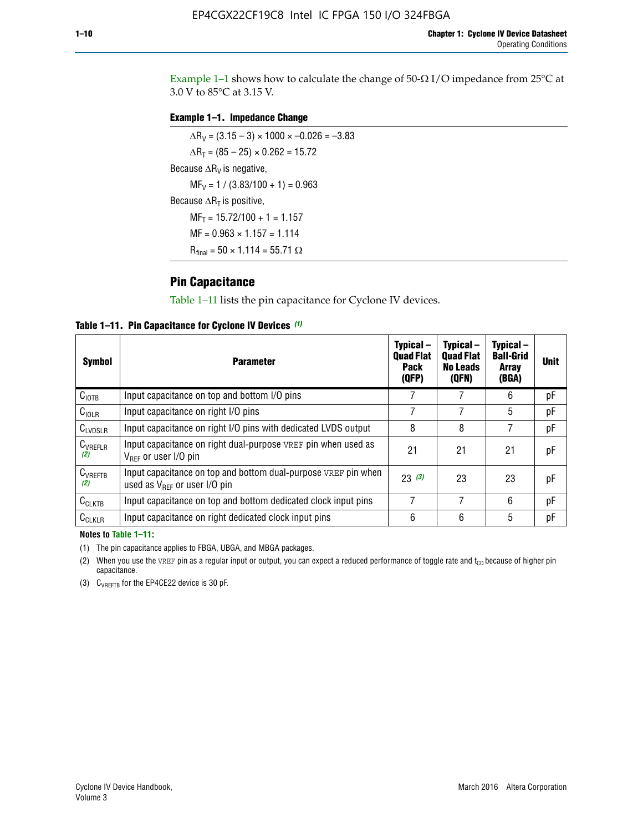Example 1-1 shows how to calculate the change of  $50$ - $\Omega$  I/O impedance from 25°C at 3.0 V to 85°C at 3.15 V.

#### **Example 1–1. Impedance Change**

 $\Delta R_V = (3.15 - 3) \times 1000 \times -0.026 = -3.83$  $\Delta R_T = (85 - 25) \times 0.262 = 15.72$ Because  $\Delta R_V$  is negative,  $MF_V = 1 / (3.83/100 + 1) = 0.963$ Because  $\Delta R_T$  is positive,  $MF_T = 15.72/100 + 1 = 1.157$  $MF = 0.963 \times 1.157 = 1.114$  $R_{final} = 50 \times 1.114 = 55.71 \Omega$ 

### **Pin Capacitance**

Table 1–11 lists the pin capacitance for Cyclone IV devices.

**Table 1–11. Pin Capacitance for Cyclone IV Devices** *(1)*

| <b>Symbol</b>       | <b>Parameter</b>                                                                                    | Typical-<br><b>Quad Flat</b><br><b>Pack</b><br>(QFP) | Typical-<br><b>Quad Flat</b><br><b>No Leads</b><br>(QFN) | Typical-<br><b>Ball-Grid</b><br><b>Array</b><br>(BGA) | <b>Unit</b> |
|---------------------|-----------------------------------------------------------------------------------------------------|------------------------------------------------------|----------------------------------------------------------|-------------------------------------------------------|-------------|
| C <sub>IOTB</sub>   | Input capacitance on top and bottom I/O pins                                                        |                                                      |                                                          | 6                                                     | рF          |
| C <sub>IOLR</sub>   | Input capacitance on right I/O pins                                                                 |                                                      |                                                          | 5                                                     | pF          |
| $C_{LVDSLR}$        | Input capacitance on right I/O pins with dedicated LVDS output                                      | 8                                                    | 8                                                        | 7                                                     | рF          |
| $C_{VREFLR}$<br>(2) | Input capacitance on right dual-purpose VREF pin when used as<br>$V_{BFF}$ or user I/O pin          | 21                                                   | 21                                                       | 21                                                    | pF          |
| $C_{VREFTB}$<br>(2) | Input capacitance on top and bottom dual-purpose VREF pin when<br>used as $V_{BFF}$ or user I/O pin | 23(3)                                                | 23                                                       | 23                                                    | рF          |
| $C_{CLKTB}$         | Input capacitance on top and bottom dedicated clock input pins                                      |                                                      | 7                                                        | 6                                                     | рF          |
| $C_{CLKLR}$         | Input capacitance on right dedicated clock input pins                                               | 6                                                    | 6                                                        | 5                                                     | рF          |

#### **Notes to Table 1–11:**

(1) The pin capacitance applies to FBGA, UBGA, and MBGA packages.

(2) When you use the VREF pin as a regular input or output, you can expect a reduced performance of toggle rate and  $t_{\rm CO}$  because of higher pin capacitance.

(3) CVREFTB for the EP4CE22 device is 30 pF.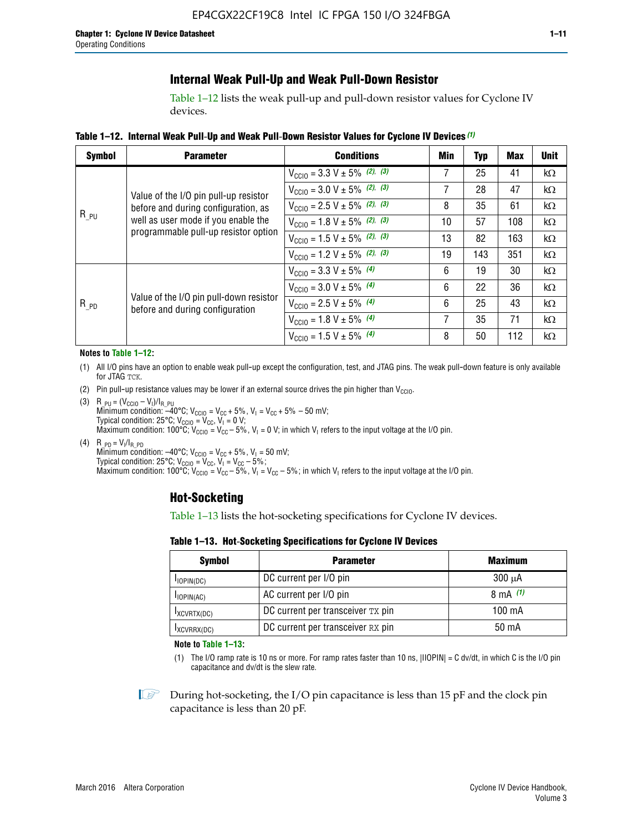# **Internal Weak Pull-Up and Weak Pull-Down Resistor**

Table 1–12 lists the weak pull-up and pull-down resistor values for Cyclone IV devices.

**Table 1–12. Internal Weak Pull**-**Up and Weak Pull**-**Down Resistor Values for Cyclone IV Devices** *(1)*

| <b>Symbol</b> | <b>Parameter</b>                                                            | <b>Conditions</b>                                  | Min | Typ | <b>Max</b> | <b>Unit</b> |
|---------------|-----------------------------------------------------------------------------|----------------------------------------------------|-----|-----|------------|-------------|
|               |                                                                             | $V_{\text{CC10}} = 3.3 \text{ V} \pm 5\%$ (2), (3) | 7   | 25  | 41         | kΩ          |
|               | Value of the I/O pin pull-up resistor                                       | $V_{\text{CC10}} = 3.0 \text{ V} \pm 5\%$ (2), (3) | 7   | 28  | 47         | kΩ          |
|               | before and during configuration, as                                         | $V_{\text{CC10}} = 2.5 V \pm 5\%$ (2), (3)         | 8   | 35  | 61         | kΩ          |
| $R_{PU}$      | well as user mode if you enable the<br>programmable pull-up resistor option | $V_{\text{CC10}} = 1.8 V \pm 5\%$ (2), (3)         | 10  | 57  | 108        | kΩ          |
|               |                                                                             | $V_{\text{CC10}} = 1.5 V \pm 5\%$ (2), (3)         | 13  | 82  | 163        | kΩ          |
|               |                                                                             | $V_{\text{CC10}} = 1.2 \text{ V} \pm 5\%$ (2), (3) | 19  | 143 | 351        | kΩ          |
|               |                                                                             | $V_{\text{CC10}} = 3.3 V \pm 5\%$ (4)              | 6   | 19  | 30         | kΩ          |
|               |                                                                             | $V_{\text{CC10}} = 3.0 V \pm 5\%$ (4)              | 6   | 22  | 36         | $k\Omega$   |
| $R_{p0}$      | Value of the I/O pin pull-down resistor<br>before and during configuration  | $V_{\text{CC10}} = 2.5 V \pm 5\%$ (4)              | 6   | 25  | 43         | kΩ          |
|               |                                                                             | $V_{\text{CC10}} = 1.8 \text{ V} \pm 5\%$ (4)      | 7   | 35  | 71         | kΩ          |
|               |                                                                             | $V_{\text{CC10}} = 1.5 V \pm 5\%$ (4)              | 8   | 50  | 112        | kΩ          |

#### **Notes to Table 1–12:**

- (1) All I/O pins have an option to enable weak pull-up except the configuration, test, and JTAG pins. The weak pull-down feature is only available for JTAG TCK.
- (2) Pin pull-up resistance values may be lower if an external source drives the pin higher than  $V_{\text{CCIO}}$ .
- (3)  $R_{PU} = (V_{CC10} V_1)/I_{R_PU}$ Minimum condition: –40°C; V<sub>CCIO</sub> = V<sub>CC</sub> + 5%, V<sub>I</sub> = V<sub>CC</sub> + 5% – 50 mV; Typical condition: 25°C; V<sub>CCIO</sub> = V<sub>CC</sub>, V<sub>I</sub> = 0 V; Maximum condition: 100°C;  $V_{\text{CCIO}} = V_{\text{CC}} - 5\%$ ,  $V_1 = 0$  V; in which V<sub>I</sub> refers to the input voltage at the I/O pin.
- (4)  $R_{PD} = V_I/I_{R_PD}$ Minimum condition:  $-40^{\circ}$ C; V<sub>CCIO</sub> = V<sub>CC</sub> + 5%, V<sub>I</sub> = 50 mV; Typical condition: 25°C;  $V_{\text{CCIO}} = V_{\text{CC}}$ ,  $V_{\text{I}} = V_{\text{CC}} - 5\%$ ; Maximum condition: 100°C; V<sub>CClO</sub> = V<sub>CC</sub> – 5%, V<sub>I</sub> = V<sub>CC</sub> – 5%; in which V<sub>I</sub> refers to the input voltage at the I/O pin.

### **Hot-Socketing**

Table 1–13 lists the hot-socketing specifications for Cyclone IV devices.

**Table 1–13. Hot**-**Socketing Specifications for Cyclone IV Devices**

| <b>Symbol</b> | <b>Maximum</b>                    |             |
|---------------|-----------------------------------|-------------|
| $I$ IOPIN(DC) | DC current per I/O pin            | $300 \mu A$ |
| $I$ IOPIN(AC) | AC current per I/O pin            | 8 mA $(1)$  |
| IXCVRTX(DC)   | DC current per transceiver TX pin | 100 mA      |
| IXCVRRX(DC)   | DC current per transceiver RX pin | 50 mA       |

**Note to Table 1–13:**

(1) The I/O ramp rate is 10 ns or more. For ramp rates faster than 10 ns, |IIOPIN| = C dv/dt, in which C is the I/O pin capacitance and dv/dt is the slew rate.

 $\mathbb{I} \rightarrow \mathbb{I}$  During hot-socketing, the I/O pin capacitance is less than 15 pF and the clock pin capacitance is less than 20 pF.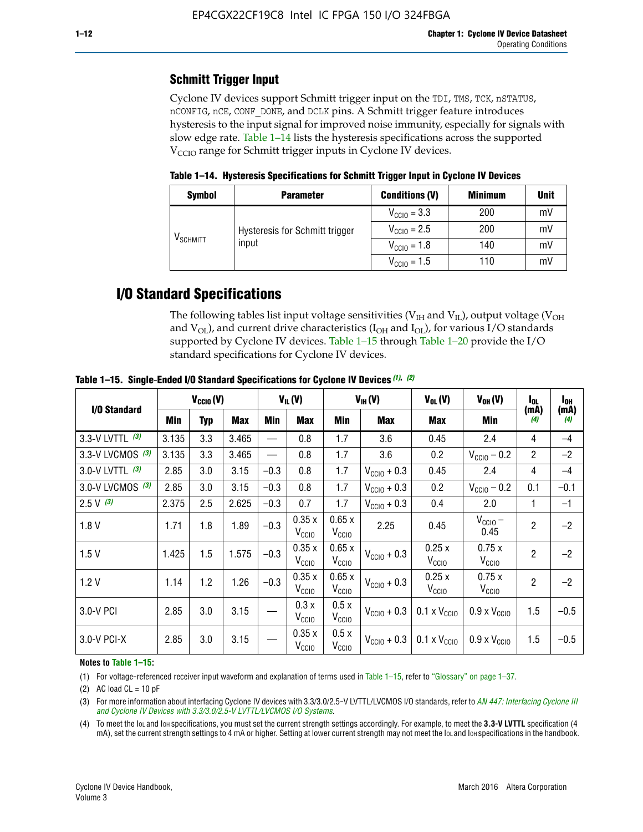# **Schmitt Trigger Input**

Cyclone IV devices support Schmitt trigger input on the TDI, TMS, TCK, nSTATUS, nCONFIG, nCE, CONF\_DONE, and DCLK pins. A Schmitt trigger feature introduces hysteresis to the input signal for improved noise immunity, especially for signals with slow edge rate. Table 1–14 lists the hysteresis specifications across the supported  $V<sub>CCIO</sub>$  range for Schmitt trigger inputs in Cyclone IV devices.

**Table 1–14. Hysteresis Specifications for Schmitt Trigger Input in Cyclone IV Devices**

| <b>Symbol</b>        | <b>Parameter</b>               | <b>Conditions (V)</b>   | <b>Minimum</b> | <b>Unit</b> |
|----------------------|--------------------------------|-------------------------|----------------|-------------|
|                      |                                | $V_{\text{CGI0}} = 3.3$ | 200            | mV          |
|                      | Hysteresis for Schmitt trigger | $V_{\text{CGI0}} = 2.5$ | 200            | mV          |
| V <sub>SCHMITT</sub> | input                          | $V_{\text{CCIO}} = 1.8$ | 140            | mV          |
|                      |                                | $V_{\text{CCIO}} = 1.5$ | 110            | mV          |

# **I/O Standard Specifications**

The following tables list input voltage sensitivities ( $V<sub>IH</sub>$  and  $V<sub>II</sub>$ ), output voltage ( $V<sub>OH</sub>$ and  $V_{OL}$ ), and current drive characteristics ( $I_{OH}$  and  $I_{OL}$ ), for various I/O standards supported by Cyclone IV devices. Table 1–15 through Table 1–20 provide the I/O standard specifications for Cyclone IV devices.

|                    | $V_{CCl0}(V)$ |     | $V_{IL}(V)$ |        |                            | $V_{IH} (V)$               | $V_{OL}(V)$             | $V_{OH} (V)$                 | $I_{0L}$                     | l <sub>oh</sub> |             |
|--------------------|---------------|-----|-------------|--------|----------------------------|----------------------------|-------------------------|------------------------------|------------------------------|-----------------|-------------|
| I/O Standard       | <b>Min</b>    | Typ | <b>Max</b>  | Min    | <b>Max</b>                 | Min                        | <b>Max</b>              | Max                          | Min                          | (mA)<br>(4)     | (mA)<br>(4) |
| 3.3-V LVTTL (3)    | 3.135         | 3.3 | 3.465       |        | 0.8                        | 1.7                        | 3.6                     | 0.45                         | 2.4                          | 4               | $-4$        |
| 3.3-V LVCMOS $(3)$ | 3.135         | 3.3 | 3.465       |        | 0.8                        | 1.7                        | 3.6                     | 0.2                          | $V_{\text{CCIO}} - 0.2$      | $\overline{2}$  | $-2$        |
| 3.0-V LVTTL $(3)$  | 2.85          | 3.0 | 3.15        | $-0.3$ | 0.8                        | 1.7                        | $V_{\text{CC10}} + 0.3$ | 0.45                         | 2.4                          | 4               | $-4$        |
| 3.0-V LVCMOS (3)   | 2.85          | 3.0 | 3.15        | $-0.3$ | 0.8                        | 1.7                        | $V_{\text{CC10}} + 0.3$ | 0.2                          | $V_{\text{CCIO}} - 0.2$      | 0.1             | $-0.1$      |
| $2.5 V$ (3)        | 2.375         | 2.5 | 2.625       | $-0.3$ | 0.7                        | 1.7                        | $V_{\text{CC10}} + 0.3$ | 0.4                          | 2.0                          | 1               | $-1$        |
| 1.8V               | 1.71          | 1.8 | 1.89        | $-0.3$ | 0.35x<br>V <sub>CCIO</sub> | 0.65x<br>V <sub>CCIO</sub> | 2.25                    | 0.45                         | $V_{\text{CCIO}}$ –<br>0.45  | $\overline{2}$  | $-2$        |
| 1.5V               | 1.425         | 1.5 | 1.575       | $-0.3$ | 0.35x<br>V <sub>CCIO</sub> | 0.65x<br>V <sub>CCIO</sub> | $V_{\text{CC10}} + 0.3$ | 0.25x<br>V <sub>CCIO</sub>   | 0.75x<br>V <sub>CCIO</sub>   | $\overline{2}$  | $-2$        |
| 1.2V               | 1.14          | 1.2 | 1.26        | $-0.3$ | 0.35x<br>V <sub>CCIO</sub> | 0.65x<br>V <sub>CCIO</sub> | $V_{\text{CC10}} + 0.3$ | 0.25x<br>V <sub>CCIO</sub>   | 0.75x<br>V <sub>CCIO</sub>   | $\overline{2}$  | $-2$        |
| 3.0-V PCI          | 2.85          | 3.0 | 3.15        |        | 0.3x<br>V <sub>CCIO</sub>  | 0.5x<br>V <sub>CCIO</sub>  | $V_{\text{CCI0}} + 0.3$ | $0.1 \times V_{CC10}$        | $0.9 \times V_{\text{CC10}}$ | 1.5             | $-0.5$      |
| $3.0 - V$ PCI-X    | 2.85          | 3.0 | 3.15        |        | 0.35x<br>V <sub>CCIO</sub> | 0.5x<br>V <sub>CCIO</sub>  | $V_{\text{CCI0}} + 0.3$ | $0.1 \times V_{\text{CC10}}$ | $0.9 \times V_{\text{CC10}}$ | 1.5             | $-0.5$      |

**Table 1–15. Single**-**Ended I/O Standard Specifications for Cyclone IV Devices** *(1)***,** *(2)*

#### **Notes to Table 1–15:**

(1) For voltage-referenced receiver input waveform and explanation of terms used in Table 1–15, refer to "Glossary" on page 1–37.

(2) AC load  $CL = 10$  pF

(3) For more information about interfacing Cyclone IV devices with 3.3/3.0/2.5-V LVTTL/LVCMOS I/O standards, refer to *[AN 447: Interfacing Cyclone III](http://www.altera.com/literature/an/an447.pdf)  [and Cyclone IV Devices with 3.3/3.0/2.5-V LVTTL/LVCMOS I/O Systems](http://www.altera.com/literature/an/an447.pdf)*.

(4) To meet the IOL and IOH specifications, you must set the current strength settings accordingly. For example, to meet the **3.3-V LVTTL** specification (4 mA), set the current strength settings to 4 mA or higher. Setting at lower current strength may not meet the lou and lon specifications in the handbook.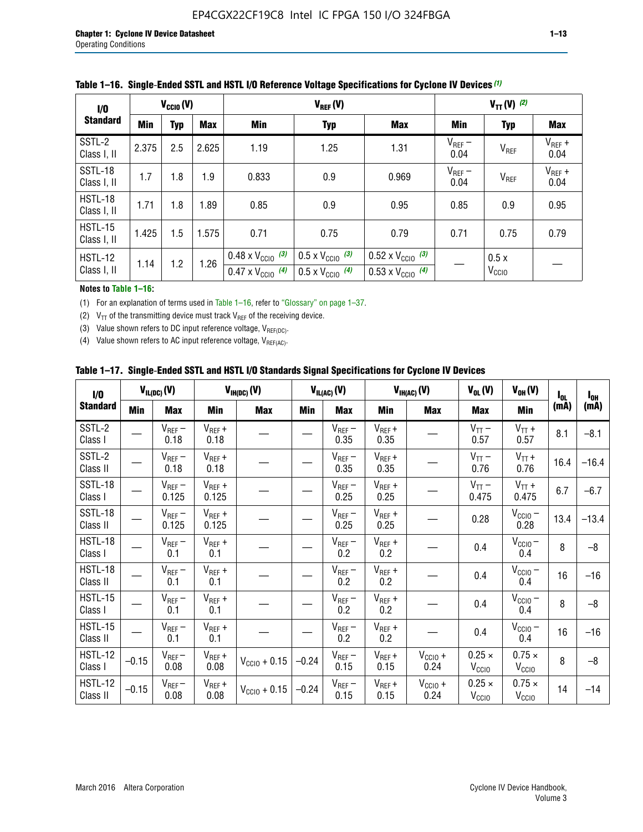| 1/0                           | $V_{\text{CC10}}(V)$ |            |            |                                                                        | $V_{TT} (V)$ (2)                                                     |                                                                        |                     |                           |                     |
|-------------------------------|----------------------|------------|------------|------------------------------------------------------------------------|----------------------------------------------------------------------|------------------------------------------------------------------------|---------------------|---------------------------|---------------------|
| <b>Standard</b>               | <b>Min</b>           | <b>Typ</b> | <b>Max</b> | Min                                                                    | <b>Typ</b>                                                           | <b>Max</b>                                                             | Min                 | <b>Typ</b>                | <b>Max</b>          |
| SSTL-2<br>Class I, II         | 2.375                | 2.5        | 2.625      | 1.19                                                                   | 1.25                                                                 | 1.31                                                                   | $V_{REF}$ –<br>0.04 | V <sub>REF</sub>          | $V_{REF}$ +<br>0.04 |
| SSTL-18<br>Class I, II        | 1.7                  | 1.8        | 1.9        | 0.833                                                                  | 0.9                                                                  | 0.969                                                                  | $V_{REF}$ –<br>0.04 | V <sub>REF</sub>          | $V_{REF}$ +<br>0.04 |
| HSTL-18<br>Class I, II        | 1.71                 | 1.8        | 1.89       | 0.85                                                                   | 0.9                                                                  | 0.95                                                                   | 0.85                | 0.9                       | 0.95                |
| <b>HSTL-15</b><br>Class I, II | 1.425                | 1.5        | 1.575      | 0.71                                                                   | 0.75                                                                 | 0.79                                                                   | 0.71                | 0.75                      | 0.79                |
| <b>HSTL-12</b><br>Class I, II | 1.14                 | 1.2        | 1.26       | $0.48 \times V_{\text{CC10}}$ (3)<br>$0.47 \times V_{\text{CC10}}$ (4) | $0.5 \times V_{\text{CC10}}$ (3)<br>$0.5 \times V_{\text{CC10}}$ (4) | $0.52 \times V_{\text{CC10}}$ (3)<br>$0.53 \times V_{\text{CC10}}$ (4) |                     | 0.5x<br>V <sub>CCIO</sub> |                     |

|  |  |  |  | Table 1–16. Single-Ended SSTL and HSTL I/O Reference Voltage Specifications for Cyclone IV Devices (1) |
|--|--|--|--|--------------------------------------------------------------------------------------------------------|
|--|--|--|--|--------------------------------------------------------------------------------------------------------|

#### **Notes to Table 1–16:**

(1) For an explanation of terms used in Table 1–16, refer to "Glossary" on page 1–37.

(2)  $V_{TT}$  of the transmitting device must track  $V_{REF}$  of the receiving device.

(3) Value shown refers to DC input reference voltage,  $V_{REF(DC)}$ .

(4) Value shown refers to AC input reference voltage,  $V_{REF(AC)}$ .

|  | Table 1–17.  Single-Ended SSTL and HSTL I/O Standards Signal Specifications for Cyclone IV Devices |  |  |  |  |  |
|--|----------------------------------------------------------------------------------------------------|--|--|--|--|--|
|--|----------------------------------------------------------------------------------------------------|--|--|--|--|--|

| I/O                        |         | $V_{IL(DC)}(V)$        |                                      | $V_{IH(DC)}(V)$       |         | $V_{IL(AC)}(V)$     |                     | $V_{IH(AC)}(V)$      | $V_{OL}(V)$                        | $V_{OH} (V)$                       | l <sub>ol</sub> | $I_{0H}$ |
|----------------------------|---------|------------------------|--------------------------------------|-----------------------|---------|---------------------|---------------------|----------------------|------------------------------------|------------------------------------|-----------------|----------|
| <b>Standard</b>            | Min     | <b>Max</b>             | Min                                  | <b>Max</b>            | Min     | <b>Max</b>          | Min                 | <b>Max</b>           | <b>Max</b>                         | Min                                | (mA)            | (mA)     |
| SSTL-2<br>Class I          |         | $\rm V_{REF}-$<br>0.18 | $V_{REF} +$<br>0.18                  |                       |         | $V_{REF}$ –<br>0.35 | $V_{REF} +$<br>0.35 |                      | $V_{TT}$ –<br>0.57                 | $V_{TT}$ +<br>0.57                 | 8.1             | $-8.1$   |
| SSTL-2<br>Class II         |         | $V_{REF}$ –<br>0.18    | $V_{REF} +$<br>0.18                  |                       |         | $V_{REF}$ –<br>0.35 | $V_{REF} +$<br>0.35 |                      | $V_{TT}$ –<br>0.76                 | $V_{TT}$ +<br>0.76                 | 16.4            | $-16.4$  |
| <b>SSTL-18</b><br>Class I  |         | $V_{REF}$ –<br>0.125   | $V_{REF}$ +<br>0.125                 |                       |         | $V_{REF}$ –<br>0.25 | $V_{REF}$ +<br>0.25 |                      | $V_{TT}$ –<br>0.475                | $V_{TT}$ +<br>0.475                | 6.7             | $-6.7$   |
| <b>SSTL-18</b><br>Class II |         | $V_{REF}$ –<br>0.125   | $V_{REF}$ +<br>0.125                 |                       |         | $V_{REF}$ –<br>0.25 | $V_{REF}$ +<br>0.25 |                      | 0.28                               | $V_{CC10}$ –<br>0.28               | 13.4            | $-13.4$  |
| HSTL-18<br>Class I         |         | $V_{REF}$ –<br>0.1     | $V_{REF} +$<br>0.1                   |                       |         | $V_{REF}$ –<br>0.2  | $V_{REF}$ +<br>0.2  |                      | 0.4                                | $V_{CCIO}$ –<br>0.4                | 8               | $-8$     |
| HSTL-18<br>Class II        |         | $V_{REF}$ –<br>0.1     | $V_{REF} +$<br>0.1                   |                       |         | $V_{REF}$ –<br>0.2  | $V_{REF} +$<br>0.2  |                      | 0.4                                | $V_{CC10}$ –<br>0.4                | 16              | $-16$    |
| HSTL-15<br>Class I         |         | $V_{REF}$ –<br>0.1     | $V_{REF} +$<br>0.1                   |                       |         | $V_{REF}$ –<br>0.2  | $V_{REF}$ +<br>0.2  |                      | 0.4                                | $V_{\text{CC1O}} -$<br>0.4         | 8               | $-8$     |
| HSTL-15<br>Class II        |         | $V_{REF}$ –<br>0.1     | $\mathsf{V}_{\mathsf{REF}}$ +<br>0.1 |                       |         | $V_{REF}$ –<br>0.2  | $V_{REF}$ +<br>0.2  |                      | 0.4                                | $V_{CC10}$ –<br>0.4                | 16              | $-16$    |
| <b>HSTL-12</b><br>Class I  | $-0.15$ | $V_{REF}-$<br>0.08     | $V_{REF} +$<br>0.08                  | $V_{CGI0} + 0.15$     | $-0.24$ | $V_{REF}$ –<br>0.15 | $V_{REF} +$<br>0.15 | $V_{CCIO} +$<br>0.24 | $0.25 \times$<br>V <sub>CCIO</sub> | $0.75 \times$<br>V <sub>CCIO</sub> | 8               | $-8$     |
| HSTL-12<br>Class II        | $-0.15$ | $V_{REF}-$<br>0.08     | $V_{REF} +$<br>0.08                  | $V_{\rm CClO} + 0.15$ | $-0.24$ | $V_{REF}$ –<br>0.15 | $V_{REF} +$<br>0.15 | $V_{CC10}$ +<br>0.24 | $0.25 \times$<br>V <sub>CCIO</sub> | $0.75 \times$<br>V <sub>CCIO</sub> | 14              | $-14$    |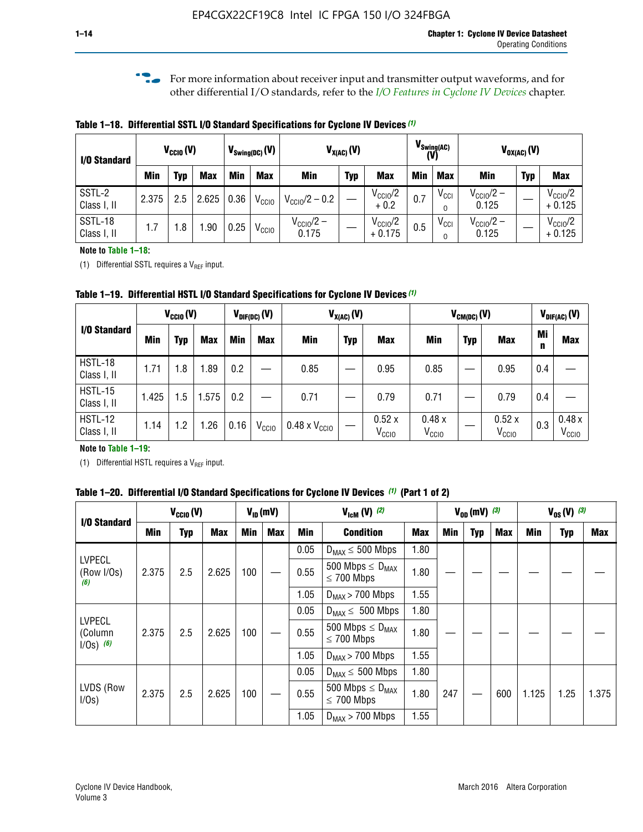**f For more information about receiver input and transmitter output waveforms, and for** other differential I/O standards, refer to the *[I/O Features in Cyclone IV Devices](http://www.altera.com/literature/hb/cyclone-iv/cyiv-51006.pdf)* chapter*.*

**Table 1–18. Differential SSTL I/O Standard Specifications for Cyclone IV Devices** *(1)*

| I/O Standard           |       | $V_{CCl0}(V)$ |            |      | $V_{\text{Swing(DC)}}(V)$ | $V_{X(AC)}(V)$                 |            | $V_{\text{Swing(AC)}}$<br>(V)   |            | $V_{OX(AC)}(V)$ |                                |            |                                 |
|------------------------|-------|---------------|------------|------|---------------------------|--------------------------------|------------|---------------------------------|------------|-----------------|--------------------------------|------------|---------------------------------|
|                        | Min   | Typ           | <b>Max</b> | Min  | <b>Max</b>                | <b>Min</b>                     | <b>Typ</b> | <b>Max</b>                      | <b>Min</b> | <b>Max</b>      | Min                            | <b>Typ</b> | <b>Max</b>                      |
| SSTL-2<br>Class I, II  | 2.375 | 2.5           | 2.625      | 0.36 | V <sub>CCIO</sub>         | $V_{\text{CC10}}/2 - 0.2$      |            | $V_{\text{CC1O}}/2$<br>$+0.2$   | 0.7        | $V_{\rm CCI}$   | $V_{\text{CC10}}/2 -$<br>0.125 |            | $V_{\text{CC10}}/2$<br>$+0.125$ |
| SSTL-18<br>Class I, II | 1.7   | .8            | .90        | 0.25 | V <sub>CCIO</sub>         | $V_{\text{CC10}}/2 -$<br>0.175 |            | $V_{\text{CC10}}/2$<br>$+0.175$ | 0.5        | $V_{\rm CCI}$   | $V_{\text{CC10}}/2 -$<br>0.125 |            | $V_{\text{CC10}}/2$<br>$+0.125$ |

#### **Note to Table 1–18:**

(1) Differential SSTL requires a  $V_{REF}$  input.

**Table 1–19. Differential HSTL I/O Standard Specifications for Cyclone IV Devices** *(1)*

|                        | $V_{\text{CCIO}}(V)$ |      |            | $V_{\text{DIF(DC)}}(V)$ |                   | $V_{X(AC)}(V)$                |            |                            | $V_{CM(DC)}(V)$            |            |                            |         | $V_{DIF(AC)}(V)$           |  |
|------------------------|----------------------|------|------------|-------------------------|-------------------|-------------------------------|------------|----------------------------|----------------------------|------------|----------------------------|---------|----------------------------|--|
| I/O Standard           | <b>Min</b>           | Typ  | <b>Max</b> | <b>Min</b>              | <b>Max</b>        | Min                           | <b>Typ</b> | <b>Max</b>                 | Min                        | <b>Typ</b> | <b>Max</b>                 | Mi<br>n | <b>Max</b>                 |  |
| HSTL-18<br>Class I, II | 1.71                 | 1.8  | .89        | 0.2                     |                   | 0.85                          |            | 0.95                       | 0.85                       |            | 0.95                       | 0.4     |                            |  |
| HSTL-15<br>Class I, II | 1.425                | .5   | 1.575      | 0.2                     |                   | 0.71                          |            | 0.79                       | 0.71                       |            | 0.79                       | 0.4     |                            |  |
| HSTL-12<br>Class I, II | 1.14                 | 2. ا | .26        | 0.16                    | V <sub>CCIO</sub> | $0.48 \times V_{\text{CGI}0}$ |            | 0.52x<br>V <sub>CCIO</sub> | 0.48x<br>V <sub>CCIO</sub> |            | 0.52x<br>V <sub>CCIO</sub> | 0.3     | 0.48x<br>V <sub>CCIO</sub> |  |

#### **Note to Table 1–19:**

(1) Differential HSTL requires a  $V_{REF}$  input.

**Table 1–20. Differential I/O Standard Specifications for Cyclone IV Devices** *(1)* **(Part 1 of 2)**

| I/O Standard                            |       | $V_{CCl0} (V)$ |            |            | $V_{ID}$ (mV) |      | $V_{\text{lcm}}(V)^{(2)}$                           |            |     | $V_{0D}$ (mV) $(3)$ |     |       | $V_{0S} (V)$ (3) |       |
|-----------------------------------------|-------|----------------|------------|------------|---------------|------|-----------------------------------------------------|------------|-----|---------------------|-----|-------|------------------|-------|
|                                         | Min   | Typ            | <b>Max</b> | <b>Min</b> | <b>Max</b>    | Min  | <b>Condition</b>                                    | <b>Max</b> | Min | Typ                 | Max | Min   | <b>Typ</b>       | Max   |
|                                         |       |                |            |            |               | 0.05 | $D_{MAX} \leq 500$ Mbps                             | 1.80       |     |                     |     |       |                  |       |
| <b>LVPECL</b><br>(Row I/Os)<br>(6)      | 2.375 | 2.5            | 2.625      | 100        |               | 0.55 | 500 Mbps $\leq$ D <sub>MAX</sub><br>$\leq$ 700 Mbps | 1.80       |     |                     |     |       |                  |       |
|                                         |       |                |            |            |               | 1.05 | $D_{MAX}$ > 700 Mbps                                | 1.55       |     |                     |     |       |                  |       |
|                                         |       |                |            |            |               | 0.05 | $D_{MAX} \leq 500$ Mbps                             | 1.80       |     |                     |     |       |                  |       |
| <b>LVPECL</b><br>(Column<br>$1/Os)$ (6) | 2.375 | 2.5            | 2.625      | 100        |               | 0.55 | 500 Mbps $\leq D_{MAX}$<br>$\leq$ 700 Mbps          | 1.80       |     |                     |     |       |                  |       |
|                                         |       |                |            |            |               | 1.05 | $D_{MAX}$ > 700 Mbps                                | 1.55       |     |                     |     |       |                  |       |
|                                         |       |                |            |            |               | 0.05 | $D_{MAX} \leq 500$ Mbps                             | 1.80       |     |                     |     |       |                  |       |
| LVDS (Row<br>I/Os)                      | 2.375 | 2.5            | 2.625      | 100        |               | 0.55 | 500 Mbps $\leq D_{MAX}$<br>$\leq 700$ Mbps          | 1.80       | 247 |                     | 600 | 1.125 | 1.25             | 1.375 |
|                                         |       |                |            |            |               | 1.05 | $D_{MAX}$ > 700 Mbps                                | 1.55       |     |                     |     |       |                  |       |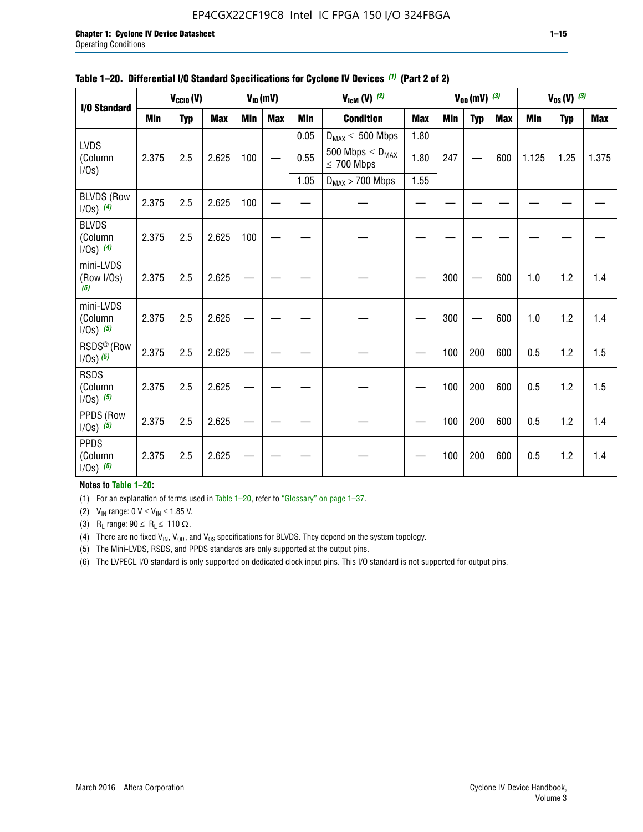#### EP4CGX22CF19C8 Intel IC FPGA 150 I/O 324FBGA

|                                         |            | $V_{CClO}(V)$ |            |     | $V_{ID}(mV)$ |            | $V_{\text{ICM}}(V)$ (2)                    |            |     | $V_{0D}$ (mV) $(3)$ |            |            | $V_{0S} (V)$ (3) |            |
|-----------------------------------------|------------|---------------|------------|-----|--------------|------------|--------------------------------------------|------------|-----|---------------------|------------|------------|------------------|------------|
| I/O Standard                            | <b>Min</b> | <b>Typ</b>    | <b>Max</b> | Min | <b>Max</b>   | <b>Min</b> | <b>Condition</b>                           | <b>Max</b> | Min | <b>Typ</b>          | <b>Max</b> | <b>Min</b> | <b>Typ</b>       | <b>Max</b> |
|                                         |            |               |            |     |              | 0.05       | $D_{MAX} \leq 500$ Mbps                    | 1.80       |     |                     |            |            |                  |            |
| <b>LVDS</b><br>(Column<br>$I/Os$ )      | 2.375      | 2.5           | 2.625      | 100 |              | 0.55       | 500 Mbps $\leq D_{MAX}$<br>$\leq 700$ Mbps | 1.80       | 247 |                     | 600        | 1.125      | 1.25             | 1.375      |
|                                         |            |               |            |     |              | 1.05       | $D_{MAX}$ > 700 Mbps                       | 1.55       |     |                     |            |            |                  |            |
| <b>BLVDS (Row</b><br>$1/0s)$ (4)        | 2.375      | 2.5           | 2.625      | 100 |              |            |                                            |            |     |                     |            |            |                  |            |
| <b>BLVDS</b><br>(Column<br>$1/0s)$ (4)  | 2.375      | 2.5           | 2.625      | 100 |              |            |                                            |            |     |                     |            |            |                  |            |
| mini-LVDS<br>(Row I/Os)<br>(5)          | 2.375      | 2.5           | 2.625      |     |              |            |                                            |            | 300 |                     | 600        | 1.0        | 1.2              | 1.4        |
| mini-LVDS<br>(Column<br>$1/0s)$ (5)     | 2.375      | 2.5           | 2.625      |     |              |            |                                            |            | 300 |                     | 600        | 1.0        | 1.2              | 1.4        |
| RSDS <sup>®</sup> (Row<br>$1/0s)$ $(5)$ | 2.375      | 2.5           | 2.625      |     |              |            |                                            |            | 100 | 200                 | 600        | 0.5        | 1.2              | 1.5        |
| <b>RSDS</b><br>(Column<br>$1/0s)$ (5)   | 2.375      | 2.5           | 2.625      |     |              |            |                                            |            | 100 | 200                 | 600        | 0.5        | 1.2              | 1.5        |
| PPDS (Row<br>$1/0s)$ (5)                | 2.375      | 2.5           | 2.625      |     |              |            |                                            |            | 100 | 200                 | 600        | 0.5        | 1.2              | 1.4        |
| <b>PPDS</b><br>(Column<br>$1/0s)$ (5)   | 2.375      | 2.5           | 2.625      |     |              |            |                                            |            | 100 | 200                 | 600        | 0.5        | 1.2              | 1.4        |

#### **Table 1–20. Differential I/O Standard Specifications for Cyclone IV Devices** *(1)* **(Part 2 of 2)**

#### **Notes to Table 1–20:**

(1) For an explanation of terms used in Table 1–20, refer to "Glossary" on page 1–37.

(2)  $V_{IN}$  range: 0  $V \le V_{IN} \le 1.85$  V.

(3) R<sub>L</sub> range:  $90 \le R_L \le 110 \Omega$ .

(4) There are no fixed  $V_{IN}$ ,  $V_{OD}$ , and  $V_{OS}$  specifications for BLVDS. They depend on the system topology.

(5) The Mini-LVDS, RSDS, and PPDS standards are only supported at the output pins.

(6) The LVPECL I/O standard is only supported on dedicated clock input pins. This I/O standard is not supported for output pins.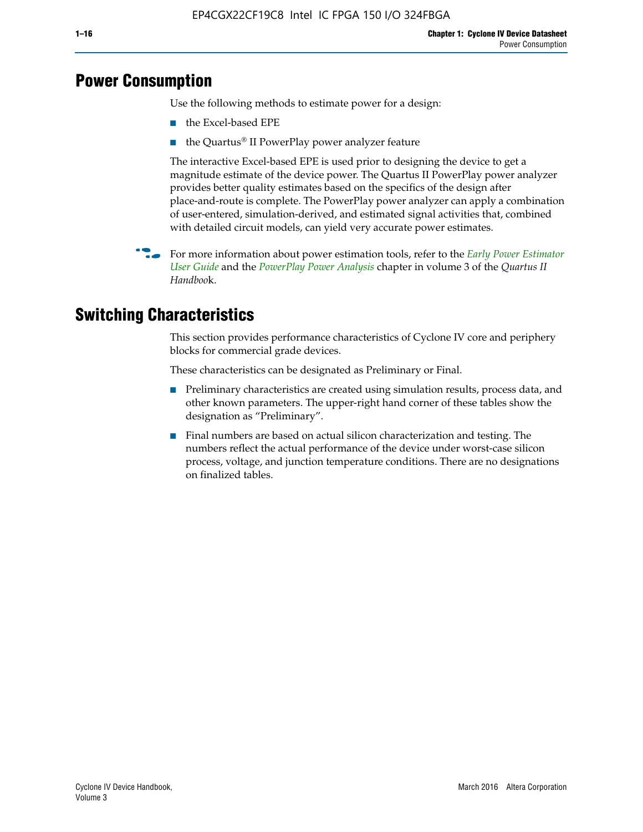# **Power Consumption**

Use the following methods to estimate power for a design:

- the Excel-based EPE
- the Quartus® II PowerPlay power analyzer feature

The interactive Excel-based EPE is used prior to designing the device to get a magnitude estimate of the device power. The Quartus II PowerPlay power analyzer provides better quality estimates based on the specifics of the design after place-and-route is complete. The PowerPlay power analyzer can apply a combination of user-entered, simulation-derived, and estimated signal activities that, combined with detailed circuit models, can yield very accurate power estimates.

f For more information about power estimation tools, refer to the *[Early Power Estimator](http://www.altera.com/literature/ug/ug_epe.pdf
)  [User Guide](http://www.altera.com/literature/ug/ug_epe.pdf
)* and the *[PowerPlay Power Analysis](http://www.altera.com/literature/hb/qts/qts_qii53013.pdf)* chapter in volume 3 of the *Quartus II Handboo*k.

# **Switching Characteristics**

This section provides performance characteristics of Cyclone IV core and periphery blocks for commercial grade devices.

These characteristics can be designated as Preliminary or Final.

- Preliminary characteristics are created using simulation results, process data, and other known parameters. The upper-right hand corner of these tables show the designation as "Preliminary".
- Final numbers are based on actual silicon characterization and testing. The numbers reflect the actual performance of the device under worst-case silicon process, voltage, and junction temperature conditions. There are no designations on finalized tables.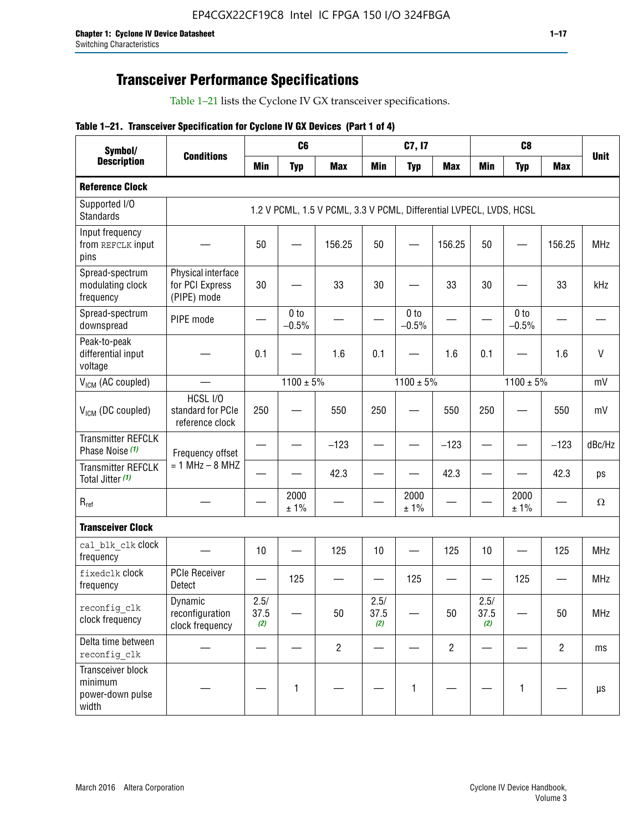# **Transceiver Performance Specifications**

Table 1–21 lists the Cyclone IV GX transceiver specifications.

|  |  |  |  | Table 1-21. Transceiver Specification for Cyclone IV GX Devices (Part 1 of 4) |  |
|--|--|--|--|-------------------------------------------------------------------------------|--|
|--|--|--|--|-------------------------------------------------------------------------------|--|

| Symbol/                                                   |                                                      |                     | C <sub>6</sub>             |                                                                     |                     | C7, I7                     |                   | C <sub>8</sub>      |                            |                |              |
|-----------------------------------------------------------|------------------------------------------------------|---------------------|----------------------------|---------------------------------------------------------------------|---------------------|----------------------------|-------------------|---------------------|----------------------------|----------------|--------------|
| <b>Description</b>                                        | <b>Conditions</b>                                    | <b>Min</b>          | <b>Typ</b>                 | <b>Max</b>                                                          | <b>Min</b>          | <b>Typ</b>                 | <b>Max</b>        | <b>Min</b>          | <b>Typ</b>                 | <b>Max</b>     | <b>Unit</b>  |
| <b>Reference Clock</b>                                    |                                                      |                     |                            |                                                                     |                     |                            |                   |                     |                            |                |              |
| Supported I/O<br><b>Standards</b>                         |                                                      |                     |                            | 1.2 V PCML, 1.5 V PCML, 3.3 V PCML, Differential LVPECL, LVDS, HCSL |                     |                            |                   |                     |                            |                |              |
| Input frequency<br>from REFCLK input<br>pins              |                                                      | 50                  |                            | 156.25                                                              | 50                  |                            | 156.25            | 50                  |                            | 156.25         | <b>MHz</b>   |
| Spread-spectrum<br>modulating clock<br>frequency          | Physical interface<br>for PCI Express<br>(PIPE) mode | 30                  |                            | 33                                                                  | 30                  |                            | 33                | 30                  |                            | 33             | kHz          |
| Spread-spectrum<br>downspread                             | PIPE mode                                            |                     | 0 <sub>to</sub><br>$-0.5%$ |                                                                     |                     | 0 <sub>to</sub><br>$-0.5%$ |                   |                     | 0 <sub>to</sub><br>$-0.5%$ |                |              |
| Peak-to-peak<br>differential input<br>voltage             |                                                      | 0.1                 |                            | 1.6                                                                 | 0.1                 |                            | 1.6               | 0.1                 |                            | 1.6            | $\mathsf{V}$ |
| V <sub>ICM</sub> (AC coupled)                             |                                                      |                     | $1100 \pm 5\%$             |                                                                     |                     | $1100 \pm 5\%$             |                   |                     | $1100 \pm 5\%$             |                | mV           |
| $V_{ICM}$ (DC coupled)                                    | HCSL I/O<br>standard for PCIe<br>reference clock     | 250                 |                            | 550                                                                 | 250                 |                            | 550               | 250                 |                            | 550            | mV           |
| <b>Transmitter REFCLK</b><br>Phase Noise (1)              | Frequency offset                                     |                     |                            | $-123$                                                              |                     |                            | $-123$            |                     |                            | $-123$         | dBc/Hz       |
| <b>Transmitter REFCLK</b><br>Total Jitter (1)             | $= 1$ MHz $- 8$ MHZ                                  |                     |                            | 42.3                                                                |                     |                            | 42.3              |                     |                            | 42.3           | ps           |
| $\mathsf{R}_{\mathsf{ref}}$                               |                                                      |                     | 2000<br>± 1%               |                                                                     |                     | 2000<br>± 1%               |                   |                     | 2000<br>± 1%               |                | Ω            |
| <b>Transceiver Clock</b>                                  |                                                      |                     |                            |                                                                     |                     |                            |                   |                     |                            |                |              |
| cal blk clk clock<br>frequency                            |                                                      | 10                  |                            | 125                                                                 | 10                  |                            | 125               | 10                  | $\overline{\phantom{0}}$   | 125            | MHz          |
| fixedclk clock<br>frequency                               | <b>PCIe Receiver</b><br>Detect                       | $\hspace{0.05cm}$   | 125                        |                                                                     |                     | 125                        | $\hspace{0.05cm}$ | —                   | 125                        |                | <b>MHz</b>   |
| reconfig_clk<br>clock frequency                           | Dynamic<br>reconfiguration<br>clock frequency        | 2.5/<br>37.5<br>(2) |                            | 50                                                                  | 2.5/<br>37.5<br>(2) |                            | 50                | 2.5/<br>37.5<br>(2) |                            | 50             | <b>MHz</b>   |
| Delta time between<br>reconfig clk                        |                                                      |                     |                            | $\overline{2}$                                                      |                     |                            | $\overline{2}$    |                     |                            | $\overline{2}$ | ms           |
| Transceiver block<br>minimum<br>power-down pulse<br>width |                                                      |                     | $\mathbf{1}$               |                                                                     |                     | 1                          |                   |                     | $\mathbf{1}$               |                | $\mu s$      |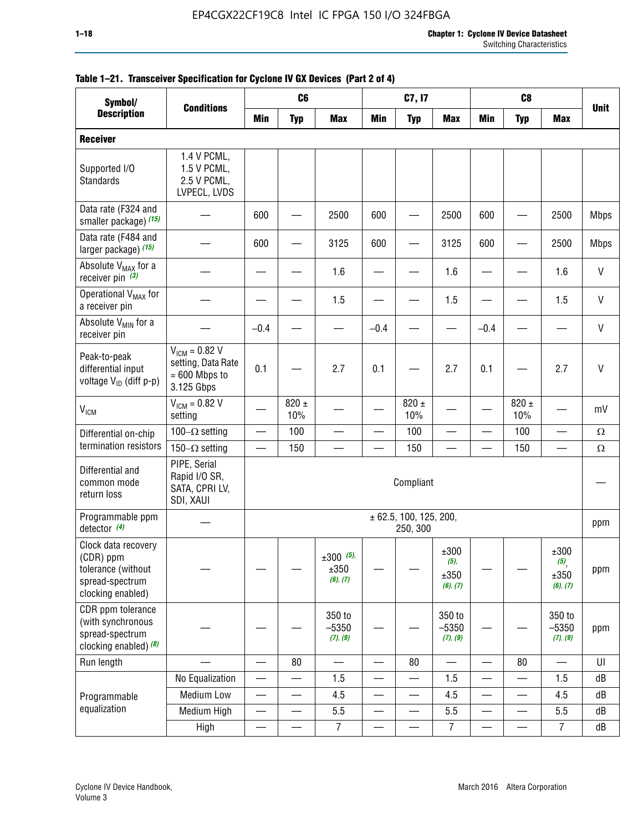#### **1–18 Chapter 1: Cyclone IV Device Datasheet** Switching Characteristics

| Symbol/                                                                                        |                                                                           |                          | C <sub>6</sub>           |                                 |                          | C7, I7                             |                                     |        | C <sub>8</sub>           |                                  |              |
|------------------------------------------------------------------------------------------------|---------------------------------------------------------------------------|--------------------------|--------------------------|---------------------------------|--------------------------|------------------------------------|-------------------------------------|--------|--------------------------|----------------------------------|--------------|
| <b>Description</b>                                                                             | <b>Conditions</b>                                                         | Min                      | <b>Typ</b>               | <b>Max</b>                      | Min                      | <b>Typ</b>                         | <b>Max</b>                          | Min    | <b>Typ</b>               | <b>Max</b>                       | <b>Unit</b>  |
| <b>Receiver</b>                                                                                |                                                                           |                          |                          |                                 |                          |                                    |                                     |        |                          |                                  |              |
| Supported I/O<br><b>Standards</b>                                                              | 1.4 V PCML,<br>1.5 V PCML,<br>2.5 V PCML,<br>LVPECL, LVDS                 |                          |                          |                                 |                          |                                    |                                     |        |                          |                                  |              |
| Data rate (F324 and<br>smaller package) (15)                                                   |                                                                           | 600                      |                          | 2500                            | 600                      | $\overline{\phantom{0}}$           | 2500                                | 600    |                          | 2500                             | <b>Mbps</b>  |
| Data rate (F484 and<br>larger package) (15)                                                    |                                                                           | 600                      |                          | 3125                            | 600                      |                                    | 3125                                | 600    |                          | 2500                             | <b>Mbps</b>  |
| Absolute V <sub>MAX</sub> for a<br>receiver pin $(3)$                                          |                                                                           |                          |                          | 1.6                             |                          |                                    | 1.6                                 |        |                          | 1.6                              | V            |
| Operational V <sub>MAX</sub> for<br>a receiver pin                                             |                                                                           |                          |                          | 1.5                             |                          |                                    | 1.5                                 |        |                          | 1.5                              | V            |
| Absolute V <sub>MIN</sub> for a<br>receiver pin                                                |                                                                           | $-0.4$                   |                          |                                 | $-0.4$                   |                                    |                                     | $-0.4$ |                          |                                  | V            |
| Peak-to-peak<br>differential input<br>voltage V <sub>ID</sub> (diff p-p)                       | $V_{ICM} = 0.82 V$<br>setting, Data Rate<br>$= 600$ Mbps to<br>3.125 Gbps | 0.1                      |                          | 2.7                             | 0.1                      |                                    | 2.7                                 | 0.1    |                          | 2.7                              | $\mathsf{V}$ |
| <b>V<sub>ICM</sub></b>                                                                         | $V_{IGM} = 0.82 V$<br>setting                                             |                          | $820 \pm$<br>10%         |                                 |                          | $820 \pm$<br>10%                   |                                     |        | $820 \pm$<br>10%         |                                  | mV           |
| Differential on-chip                                                                           | 100 $-\Omega$ setting                                                     | $\qquad \qquad$          | 100                      |                                 |                          | 100                                | $\overline{\phantom{0}}$            | -      | 100                      |                                  | $\Omega$     |
| termination resistors                                                                          | 150 $-\Omega$ setting                                                     |                          | 150                      |                                 |                          | 150                                |                                     |        | 150                      |                                  | $\Omega$     |
| Differential and<br>common mode<br>return loss                                                 | PIPE, Serial<br>Rapid I/O SR,<br>SATA, CPRI LV,<br>SDI, XAUI              |                          |                          |                                 |                          | Compliant                          |                                     |        |                          |                                  |              |
| Programmable ppm<br>detector $(4)$                                                             |                                                                           |                          |                          |                                 |                          | ± 62.5, 100, 125, 200,<br>250, 300 |                                     |        |                          |                                  | ppm          |
| Clock data recovery<br>(CDR) ppm<br>tolerance (without<br>spread-spectrum<br>clocking enabled) |                                                                           |                          |                          | $±300$ (5),<br>±350<br>(6), (7) |                          |                                    | ±300<br>$(5)$ ,<br>±350<br>(6), (7) |        |                          | ±300<br>(5),<br>±350<br>(6), (7) | ppm          |
| CDR ppm tolerance<br>(with synchronous<br>spread-spectrum<br>clocking enabled) (8)             |                                                                           |                          |                          | 350 to<br>$-5350$<br>(7), (9)   |                          |                                    | 350 to<br>$-5350$<br>(7), (9)       |        |                          | 350 to<br>$-5350$<br>(7), (9)    | ppm          |
| Run length                                                                                     |                                                                           |                          | 80                       |                                 |                          | 80                                 | $\overline{\phantom{0}}$            | —      | 80                       |                                  | U            |
|                                                                                                | No Equalization                                                           | —                        |                          | 1.5                             |                          | —                                  | 1.5                                 | —      | $\overline{\phantom{0}}$ | 1.5                              | dB           |
| Programmable                                                                                   | Medium Low                                                                | $\overline{\phantom{0}}$ |                          | 4.5                             |                          |                                    | 4.5                                 | —      |                          | 4.5                              | dB           |
| equalization                                                                                   | Medium High                                                               | —                        | $\overline{\phantom{0}}$ | 5.5                             | $\overline{\phantom{0}}$ | $\overline{\phantom{0}}$           | 5.5                                 |        | —                        | 5.5                              | dB           |
|                                                                                                | High                                                                      |                          |                          | $\overline{7}$                  |                          |                                    | $\overline{7}$                      |        |                          | $\overline{7}$                   | dB           |

#### **Table 1–21. Transceiver Specification for Cyclone IV GX Devices (Part 2 of 4)**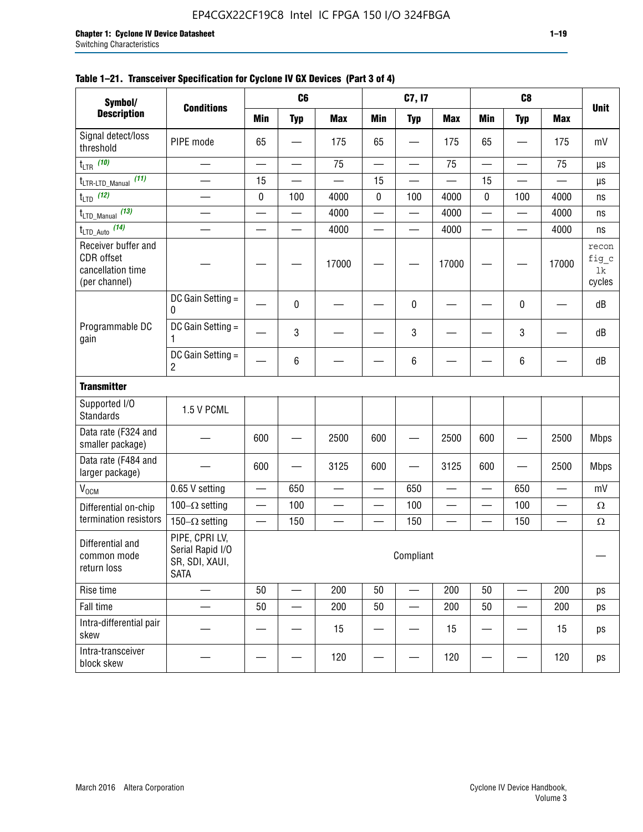| Symbol/                                                                 |                                                                     |     | C <sub>6</sub>           |            |                          | C7, I7                   |            |                          | C <sub>8</sub> |            |                                |
|-------------------------------------------------------------------------|---------------------------------------------------------------------|-----|--------------------------|------------|--------------------------|--------------------------|------------|--------------------------|----------------|------------|--------------------------------|
| <b>Description</b>                                                      | <b>Conditions</b>                                                   | Min | <b>Typ</b>               | <b>Max</b> | Min                      | <b>Typ</b>               | <b>Max</b> | <b>Min</b>               | <b>Typ</b>     | <b>Max</b> | <b>Unit</b>                    |
| Signal detect/loss<br>threshold                                         | PIPE mode                                                           | 65  |                          | 175        | 65                       |                          | 175        | 65                       |                | 175        | mV                             |
| t <sub>LTR</sub> (10)                                                   |                                                                     |     | $\overline{\phantom{0}}$ | 75         | $\overline{\phantom{0}}$ |                          | 75         | $\overline{\phantom{0}}$ |                | 75         | μs                             |
| t <sub>LTR-LTD_Manual</sub> (11)                                        |                                                                     | 15  |                          |            | 15                       |                          |            | 15                       |                |            | μs                             |
| $t_{\text{LTD}}$ (12)                                                   |                                                                     | 0   | 100                      | 4000       | 0                        | 100                      | 4000       | 0                        | 100            | 4000       | ns                             |
| t <sub>LTD_Manual</sub> (13)                                            | $\overline{\phantom{0}}$                                            |     | $\qquad \qquad$          | 4000       | $\qquad \qquad$          | $\overline{\phantom{0}}$ | 4000       |                          |                | 4000       | ns                             |
| t <sub>LTD_Auto</sub> (14)                                              |                                                                     |     |                          | 4000       |                          |                          | 4000       | —                        |                | 4000       | ns                             |
| Receiver buffer and<br>CDR offset<br>cancellation time<br>(per channel) |                                                                     |     |                          | 17000      |                          |                          | 17000      |                          |                | 17000      | recon<br>fig_c<br>1k<br>cycles |
|                                                                         | DC Gain Setting =<br>0                                              |     | 0                        |            |                          | 0                        |            |                          | 0              |            | dB                             |
| Programmable DC<br>gain                                                 | DC Gain Setting =<br>1                                              |     | 3                        |            |                          | 3                        |            |                          | 3              |            | dB                             |
|                                                                         | DC Gain Setting =<br>2                                              |     | 6                        |            |                          | 6                        |            |                          | 6              |            | dB                             |
| <b>Transmitter</b>                                                      |                                                                     |     |                          |            |                          |                          |            |                          |                |            |                                |
| Supported I/O<br><b>Standards</b>                                       | 1.5 V PCML                                                          |     |                          |            |                          |                          |            |                          |                |            |                                |
| Data rate (F324 and<br>smaller package)                                 |                                                                     | 600 |                          | 2500       | 600                      |                          | 2500       | 600                      |                | 2500       | <b>Mbps</b>                    |
| Data rate (F484 and<br>larger package)                                  |                                                                     | 600 |                          | 3125       | 600                      |                          | 3125       | 600                      |                | 2500       | <b>Mbps</b>                    |
| V <sub>OCM</sub>                                                        | 0.65 V setting                                                      |     | 650                      |            |                          | 650                      |            |                          | 650            |            | mV                             |
| Differential on-chip                                                    | 100 $-\Omega$ setting                                               |     | 100                      |            |                          | 100                      |            |                          | 100            |            | $\Omega$                       |
| termination resistors                                                   | 150 $-\Omega$ setting                                               |     | 150                      |            |                          | 150                      |            |                          | 150            |            | $\Omega$                       |
| Differential and<br>common mode<br>return loss                          | PIPE, CPRI LV,<br>Serial Rapid I/O<br>SR, SDI, XAUI,<br><b>SATA</b> |     |                          |            |                          | Compliant                |            |                          |                |            |                                |
| Rise time                                                               |                                                                     | 50  |                          | 200        | 50                       |                          | 200        | 50                       |                | 200        | ps                             |
| Fall time                                                               |                                                                     | 50  |                          | 200        | 50                       |                          | 200        | 50                       |                | 200        | ps                             |
| Intra-differential pair<br>skew                                         |                                                                     |     |                          | 15         |                          |                          | 15         |                          |                | 15         | ps                             |
| Intra-transceiver<br>block skew                                         |                                                                     |     |                          | 120        |                          |                          | 120        |                          |                | 120        | ps                             |

#### **Table 1–21. Transceiver Specification for Cyclone IV GX Devices (Part 3 of 4)**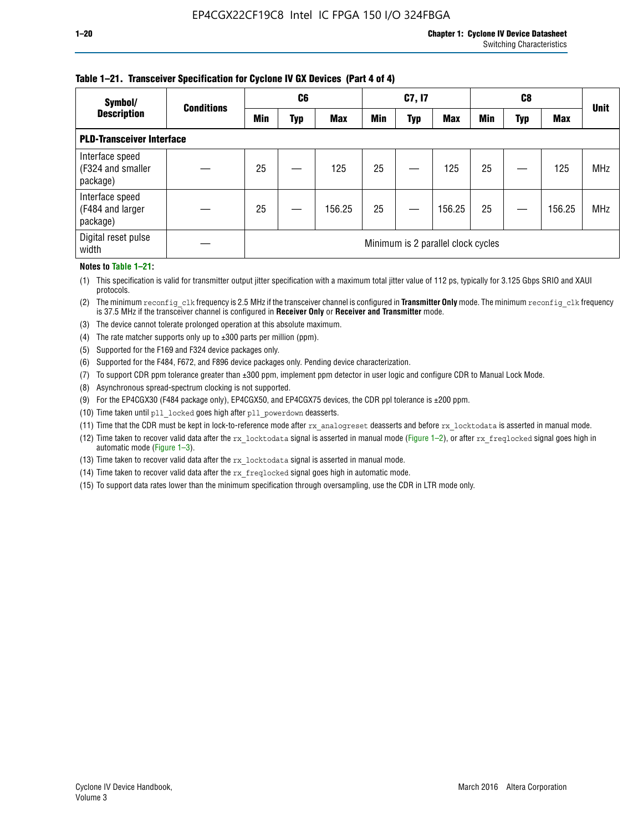#### **Table 1–21. Transceiver Specification for Cyclone IV GX Devices (Part 4 of 4)**

| Symbol/                                          | <b>Conditions</b> | C <sub>6</sub>                     |     |            | C7, I7     |            |            | C8         |     |            | <b>Unit</b> |
|--------------------------------------------------|-------------------|------------------------------------|-----|------------|------------|------------|------------|------------|-----|------------|-------------|
| <b>Description</b>                               |                   | <b>Min</b>                         | Typ | <b>Max</b> | <b>Min</b> | <b>Typ</b> | <b>Max</b> | <b>Min</b> | Typ | <b>Max</b> |             |
| <b>PLD-Transceiver Interface</b>                 |                   |                                    |     |            |            |            |            |            |     |            |             |
| Interface speed<br>(F324 and smaller<br>package) |                   | 25                                 |     | 125        | 25         |            | 125        | 25         |     | 125        | <b>MHz</b>  |
| Interface speed<br>(F484 and larger<br>package)  |                   | 25                                 |     | 156.25     | 25         |            | 156.25     | 25         |     | 156.25     | <b>MHz</b>  |
| Digital reset pulse<br>width                     |                   | Minimum is 2 parallel clock cycles |     |            |            |            |            |            |     |            |             |

#### **Notes to Table 1–21:**

(1) This specification is valid for transmitter output jitter specification with a maximum total jitter value of 112 ps, typically for 3.125 Gbps SRIO and XAUI protocols.

(2) The minimum reconfig\_clk frequency is 2.5 MHz if the transceiver channel is configured in **Transmitter Only** mode. The minimum reconfig\_clk frequency is 37.5 MHz if the transceiver channel is configured in **Receiver Only** or **Receiver and Transmitter** mode.

(3) The device cannot tolerate prolonged operation at this absolute maximum.

- (4) The rate matcher supports only up to  $\pm 300$  parts per million (ppm).
- (5) Supported for the F169 and F324 device packages only.
- (6) Supported for the F484, F672, and F896 device packages only. Pending device characterization.
- (7) To support CDR ppm tolerance greater than ±300 ppm, implement ppm detector in user logic and configure CDR to Manual Lock Mode.
- (8) Asynchronous spread-spectrum clocking is not supported.
- (9) For the EP4CGX30 (F484 package only), EP4CGX50, and EP4CGX75 devices, the CDR ppl tolerance is ±200 ppm.
- (10) Time taken until pll\_locked goes high after pll\_powerdown deasserts.
- (11) Time that the CDR must be kept in lock-to-reference mode after rx analogreset deasserts and before rx locktodata is asserted in manual mode.

(12) Time taken to recover valid data after the rx locktodata signal is asserted in manual mode (Figure 1–2), or after rx freqlocked signal goes high in automatic mode (Figure 1–3).

(13) Time taken to recover valid data after the rx locktodata signal is asserted in manual mode.

- (14) Time taken to recover valid data after the rx freqlocked signal goes high in automatic mode.
- (15) To support data rates lower than the minimum specification through oversampling, use the CDR in LTR mode only.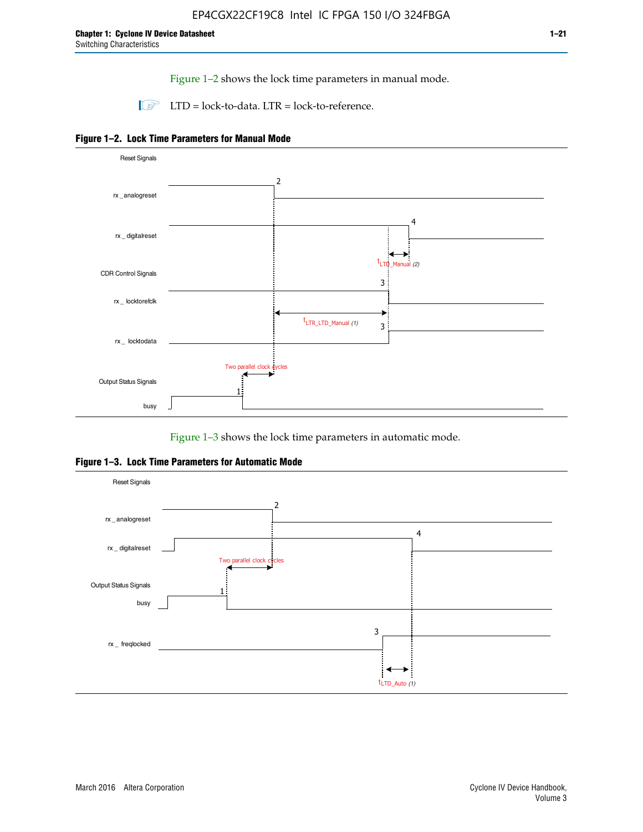Figure 1–2 shows the lock time parameters in manual mode.

 $\Box$  LTD = lock-to-data. LTR = lock-to-reference.





Figure 1–3 shows the lock time parameters in automatic mode.

**Figure 1–3. Lock Time Parameters for Automatic Mode**

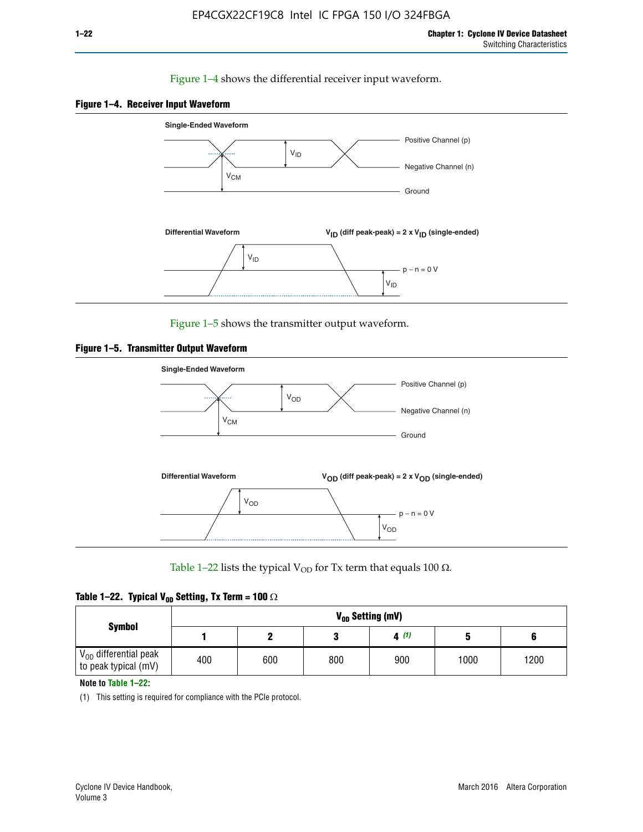#### Figure 1–4 shows the differential receiver input waveform.





Figure 1–5 shows the transmitter output waveform.





Table 1–22 lists the typical V<sub>OD</sub> for Tx term that equals 100  $\Omega$ .

| Table 1–22. Typical V <sub>0D</sub> Setting, Tx Term = 100 $\Omega$ |  |  |  |  |  |  |  |
|---------------------------------------------------------------------|--|--|--|--|--|--|--|
|---------------------------------------------------------------------|--|--|--|--|--|--|--|

|                                                        |     |     |     | V <sub>op</sub> Setting (mV) |      |      |
|--------------------------------------------------------|-----|-----|-----|------------------------------|------|------|
| <b>Symbol</b>                                          |     |     |     | 4(1)                         |      |      |
| $\rm V_{OD}$ differential peak<br>to peak typical (mV) | 400 | 600 | 800 | 900                          | 1000 | 1200 |

**Note to Table 1–22:**

(1) This setting is required for compliance with the PCIe protocol.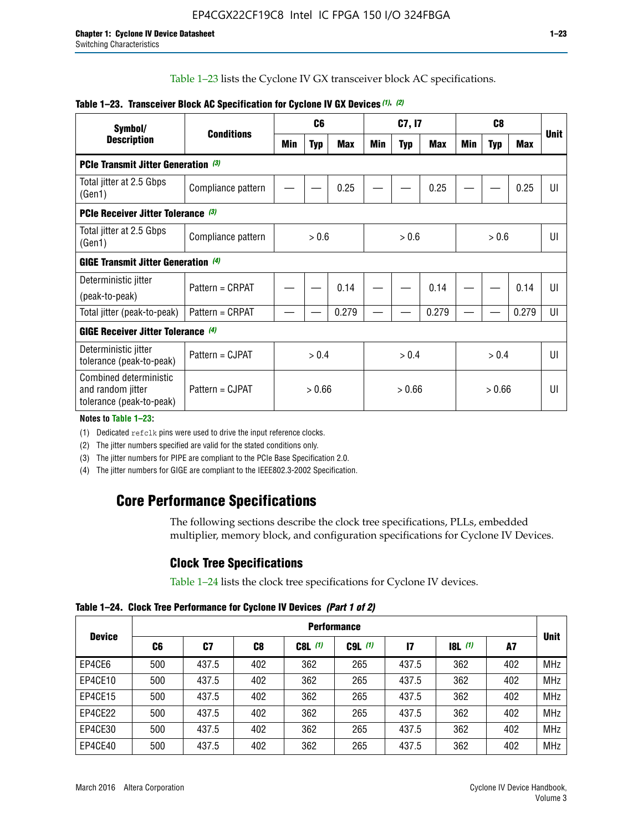Table 1–23 lists the Cyclone IV GX transceiver block AC specifications.

| Symbol/                                                                 |                    |       | C <sub>6</sub> |            |        | C7, I7     |       |       |            |       |             |
|-------------------------------------------------------------------------|--------------------|-------|----------------|------------|--------|------------|-------|-------|------------|-------|-------------|
| <b>Description</b>                                                      | <b>Conditions</b>  | Min   | <b>Typ</b>     | <b>Max</b> | Min    | <b>Typ</b> | Max   | Min   | <b>Typ</b> | Max   | <b>Unit</b> |
| PCIe Transmit Jitter Generation (3)                                     |                    |       |                |            |        |            |       |       |            |       |             |
| Total jitter at 2.5 Gbps<br>(Gen1)                                      | Compliance pattern |       |                | 0.25       |        |            | 0.25  |       |            | 0.25  | UI          |
| PCIe Receiver Jitter Tolerance (3)                                      |                    |       |                |            |        |            |       |       |            |       |             |
| Total jitter at 2.5 Gbps<br>(Gen1)                                      | Compliance pattern |       | > 0.6          |            | > 0.6  |            |       |       | UI         |       |             |
| <b>GIGE Transmit Jitter Generation (4)</b>                              |                    |       |                |            |        |            |       |       |            |       |             |
| Deterministic jitter                                                    | Pattern = CRPAT    |       |                | 0.14       |        |            | 0.14  |       |            | 0.14  | UI          |
| (peak-to-peak)                                                          |                    |       |                |            |        |            |       |       |            |       |             |
| Total jitter (peak-to-peak)                                             | Pattern = CRPAT    |       |                | 0.279      |        |            | 0.279 |       |            | 0.279 | UI          |
| <b>GIGE Receiver Jitter Tolerance (4)</b>                               |                    |       |                |            |        |            |       |       |            |       |             |
| Deterministic jitter<br>tolerance (peak-to-peak)                        | Pattern = CJPAT    | > 0.4 |                |            |        | > 0.4      |       | > 0.4 |            |       | U           |
| Combined deterministic<br>and random jitter<br>tolerance (peak-to-peak) | Pattern = CJPAT    |       | > 0.66         |            | > 0.66 |            |       |       | UI         |       |             |

#### **Table 1–23. Transceiver Block AC Specification for Cyclone IV GX Devices** *(1)***,** *(2)*

**Notes to Table 1–23:**

(1) Dedicated refclk pins were used to drive the input reference clocks.

(2) The jitter numbers specified are valid for the stated conditions only.

(3) The jitter numbers for PIPE are compliant to the PCIe Base Specification 2.0.

(4) The jitter numbers for GIGE are compliant to the IEEE802.3-2002 Specification.

# **Core Performance Specifications**

The following sections describe the clock tree specifications, PLLs, embedded multiplier, memory block, and configuration specifications for Cyclone IV Devices.

## **Clock Tree Specifications**

Table 1–24 lists the clock tree specifications for Cyclone IV devices.

**Table 1–24. Clock Tree Performance for Cyclone IV Devices** *(Part 1 of 2)*

| <b>Device</b> |     | <b>Performance</b> |     |           |             |              |                  |     |             |  |  |  |  |  |  |
|---------------|-----|--------------------|-----|-----------|-------------|--------------|------------------|-----|-------------|--|--|--|--|--|--|
|               | C6  | C7                 | C8  | $C8L$ (1) | $C9L$ $(1)$ | $\mathbf{I}$ | <b>18L</b> $(1)$ | A7  | <b>Unit</b> |  |  |  |  |  |  |
| EP4CE6        | 500 | 437.5              | 402 | 362       | 265         | 437.5        | 362              | 402 | <b>MHz</b>  |  |  |  |  |  |  |
| EP4CE10       | 500 | 437.5              | 402 | 362       | 265         | 437.5        | 362              | 402 | <b>MHz</b>  |  |  |  |  |  |  |
| EP4CE15       | 500 | 437.5              | 402 | 362       | 265         | 437.5        | 362              | 402 | <b>MHz</b>  |  |  |  |  |  |  |
| EP4CE22       | 500 | 437.5              | 402 | 362       | 265         | 437.5        | 362              | 402 | <b>MHz</b>  |  |  |  |  |  |  |
| EP4CE30       | 500 | 437.5              | 402 | 362       | 265         | 437.5        | 362              | 402 | <b>MHz</b>  |  |  |  |  |  |  |
| EP4CE40       | 500 | 437.5              | 402 | 362       | 265         | 437.5        | 362              | 402 | <b>MHz</b>  |  |  |  |  |  |  |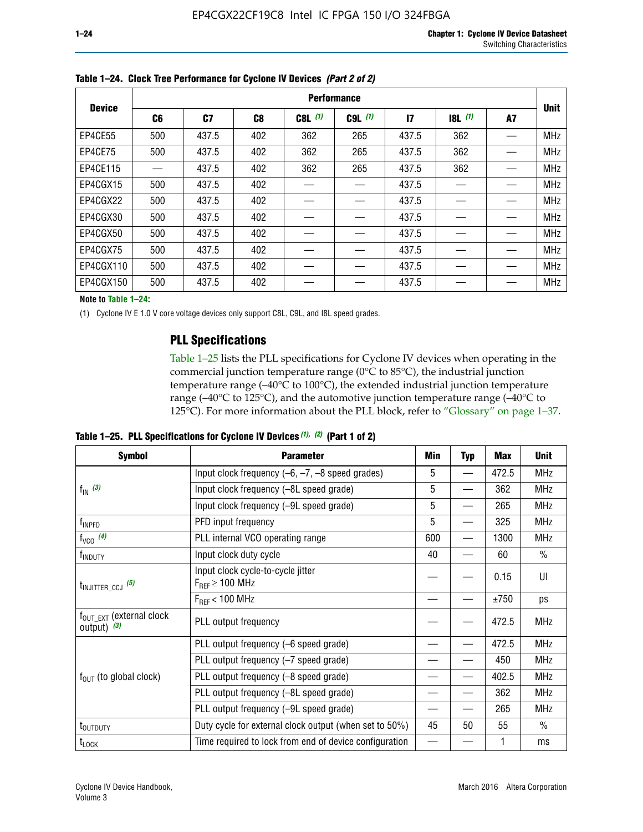|               |     |       |     |           | <b>Performance</b> |              |           |    |             |
|---------------|-----|-------|-----|-----------|--------------------|--------------|-----------|----|-------------|
| <b>Device</b> | C6  | C7    | C8  | $C8L$ (1) | $C9L$ $(1)$        | $\mathbf{I}$ | $18L$ (1) | A7 | <b>Unit</b> |
| EP4CE55       | 500 | 437.5 | 402 | 362       | 265                | 437.5        | 362       |    | <b>MHz</b>  |
| EP4CE75       | 500 | 437.5 | 402 | 362       | 265                | 437.5        | 362       |    | <b>MHz</b>  |
| EP4CE115      |     | 437.5 | 402 | 362       | 265                | 437.5        | 362       |    | <b>MHz</b>  |
| EP4CGX15      | 500 | 437.5 | 402 |           |                    | 437.5        |           |    | <b>MHz</b>  |
| EP4CGX22      | 500 | 437.5 | 402 |           |                    | 437.5        |           |    | <b>MHz</b>  |
| EP4CGX30      | 500 | 437.5 | 402 |           |                    | 437.5        |           |    | <b>MHz</b>  |
| EP4CGX50      | 500 | 437.5 | 402 |           |                    | 437.5        |           |    | <b>MHz</b>  |
| EP4CGX75      | 500 | 437.5 | 402 |           |                    | 437.5        |           |    | <b>MHz</b>  |
| EP4CGX110     | 500 | 437.5 | 402 |           |                    | 437.5        |           |    | <b>MHz</b>  |
| EP4CGX150     | 500 | 437.5 | 402 |           |                    | 437.5        |           |    | <b>MHz</b>  |

**Table 1–24. Clock Tree Performance for Cyclone IV Devices** *(Part 2 of 2)*

**Note to Table 1–24:**

(1) Cyclone IV E 1.0 V core voltage devices only support C8L, C9L, and I8L speed grades.

# **PLL Specifications**

Table 1–25 lists the PLL specifications for Cyclone IV devices when operating in the commercial junction temperature range (0°C to 85°C), the industrial junction temperature range (–40°C to 100°C), the extended industrial junction temperature range (–40°C to 125°C), and the automotive junction temperature range (–40°C to 125°C). For more information about the PLL block, refer to "Glossary" on page 1–37.

|  |  | Table 1–25. PLL Specifications for Cyclone IV Devices $(1)$ , $(2)$ (Part 1 of 2) |  |
|--|--|-----------------------------------------------------------------------------------|--|
|--|--|-----------------------------------------------------------------------------------|--|

| <b>Symbol</b>                                          | <b>Parameter</b>                                            | Min | <b>Typ</b>               | Max        | <b>Unit</b>   |
|--------------------------------------------------------|-------------------------------------------------------------|-----|--------------------------|------------|---------------|
|                                                        | Input clock frequency $(-6, -7, -8)$ speed grades)          | 5   | —                        | 472.5      | <b>MHz</b>    |
| $f_{\text{IN}}$ (3)                                    | Input clock frequency (-8L speed grade)                     | 5   |                          | 362        | <b>MHz</b>    |
|                                                        | Input clock frequency (-9L speed grade)                     | 5   |                          | 265        | <b>MHz</b>    |
| f <sub>INPFD</sub>                                     | PFD input frequency                                         | 5   |                          | 325        | <b>MHz</b>    |
| $f_{VCO}$ (4)                                          | PLL internal VCO operating range                            | 600 | $\overline{\phantom{0}}$ | 1300       | <b>MHz</b>    |
| f <sub>INDUTY</sub>                                    | Input clock duty cycle                                      | 40  |                          | 60         | $\frac{0}{0}$ |
| $t_{\text{INJITTER\_CCJ}}$ (5)                         | Input clock cycle-to-cycle jitter<br>$F_{REF} \geq 100$ MHz |     |                          | 0.15       | UI            |
|                                                        | $F_{RFF}$ < 100 MHz                                         |     |                          | ±750       | ps            |
| $f_{\text{OUT\_EXT}}$ (external clock<br>output) $(3)$ | PLL output frequency                                        |     |                          | 472.5      | <b>MHz</b>    |
|                                                        | PLL output frequency (-6 speed grade)                       |     |                          | 472.5      | <b>MHz</b>    |
|                                                        | PLL output frequency (-7 speed grade)                       |     |                          | 450        | <b>MHz</b>    |
| $f_{OUT}$ (to global clock)                            | PLL output frequency (-8 speed grade)                       |     |                          | 402.5      | <b>MHz</b>    |
|                                                        | PLL output frequency (-8L speed grade)                      |     |                          | 362        | <b>MHz</b>    |
|                                                        | PLL output frequency (-9L speed grade)                      |     | 265<br>55<br>45<br>50    | <b>MHz</b> |               |
| t <sub>outputy</sub>                                   | Duty cycle for external clock output (when set to 50%)      |     |                          |            | $\frac{0}{0}$ |
| $t_{\text{LOCK}}$                                      | Time required to lock from end of device configuration      |     |                          |            | ms            |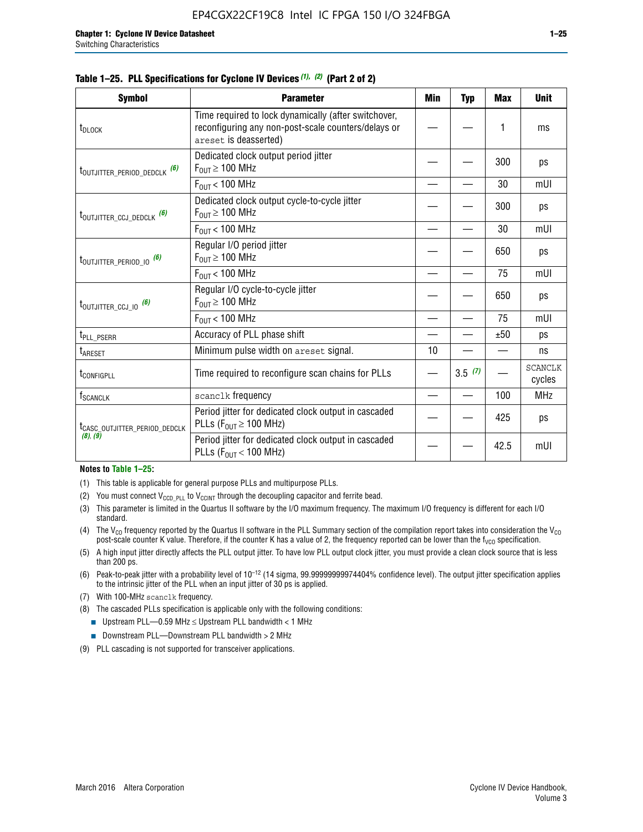#### **Table 1–25. PLL Specifications for Cyclone IV Devices** *(1), (2)* **(Part 2 of 2)**

| <b>Symbol</b>                             | <b>Parameter</b>                                                                                                                     | Min | <b>Typ</b> | <b>Max</b> | <b>Unit</b>              |
|-------------------------------------------|--------------------------------------------------------------------------------------------------------------------------------------|-----|------------|------------|--------------------------|
| t <sub>DLOCK</sub>                        | Time required to lock dynamically (after switchover,<br>reconfiguring any non-post-scale counters/delays or<br>areset is deasserted) |     |            | 1          | ms                       |
| t <sub>outjitter_period_dedclk</sub> (6)  | Dedicated clock output period jitter<br>$F_{OUT} \ge 100$ MHz                                                                        |     |            | 300        | ps                       |
|                                           | $F_{OUT}$ < 100 MHz                                                                                                                  |     |            | 30         | mUI                      |
| t <sub>outjitter_ccj_dedclk</sub> (6)     | Dedicated clock output cycle-to-cycle jitter<br>$F_{OUT} \geq 100$ MHz                                                               |     |            | 300        | ps                       |
|                                           | $F_{\text{OUT}}$ < 100 MHz                                                                                                           |     |            | 30         | mUI                      |
| t <sub>outjitter_period_io</sub> (6)      | Regular I/O period jitter<br>$F_{\text{OUT}} \geq 100 \text{ MHz}$                                                                   |     |            | 650        | ps                       |
|                                           | $F_{\text{OUT}}$ < 100 MHz                                                                                                           |     |            | 75         | mUI                      |
| t <sub>outjitter_ccj_io</sub> (6)         | Regular I/O cycle-to-cycle jitter<br>$F_{OUT} \geq 100$ MHz                                                                          |     |            | 650        | ps                       |
|                                           | $F_{\text{OUT}}$ < 100 MHz                                                                                                           |     |            | 75         | mUI                      |
| t <sub>PLL_PSERR</sub>                    | Accuracy of PLL phase shift                                                                                                          |     |            | ±50        | ps                       |
| t <sub>ARESET</sub>                       | Minimum pulse width on areset signal.                                                                                                | 10  |            |            | ns                       |
| t <sub>configpll</sub>                    | Time required to reconfigure scan chains for PLLs                                                                                    |     | 3.5(7)     |            | <b>SCANCLK</b><br>cycles |
| $f_{\text{SCANCLK}}$                      | scanclk frequency                                                                                                                    |     |            | 100        | <b>MHz</b>               |
| t <sub>CASC_OUTJITTER_PERIOD_DEDCLK</sub> | Period jitter for dedicated clock output in cascaded<br>PLLs ( $F_{OUT} \ge 100$ MHz)                                                |     |            | 425        | ps                       |
| (8), (9)                                  | Period jitter for dedicated clock output in cascaded<br>PLLs ( $F_{OUT}$ < 100 MHz)                                                  |     |            | 42.5       | mUI                      |

#### **Notes to Table 1–25:**

- (1) This table is applicable for general purpose PLLs and multipurpose PLLs.
- (2) You must connect  $V_{CCD-PLL}$  to  $V_{CCINT}$  through the decoupling capacitor and ferrite bead.
- (3) This parameter is limited in the Quartus II software by the I/O maximum frequency. The maximum I/O frequency is different for each I/O standard.
- (4) The  $V_{CO}$  frequency reported by the Quartus II software in the PLL Summary section of the compilation report takes into consideration the  $V_{CO}$ post-scale counter K value. Therefore, if the counter K has a value of 2, the frequency reported can be lower than the f<sub>VCO</sub> specification.
- (5) A high input jitter directly affects the PLL output jitter. To have low PLL output clock jitter, you must provide a clean clock source that is less than 200 ps.
- (6) Peak-to-peak jitter with a probability level of 10–12 (14 sigma, 99.99999999974404% confidence level). The output jitter specification applies to the intrinsic jitter of the PLL when an input jitter of 30 ps is applied.
- (7) With 100-MHz scanclk frequency.
- (8) The cascaded PLLs specification is applicable only with the following conditions:
	- **■** Upstream PLL—0.59 MHz  $\leq$  Upstream PLL bandwidth  $<$  1 MHz
	- Downstream PLL—Downstream PLL bandwidth > 2 MHz
- (9) PLL cascading is not supported for transceiver applications.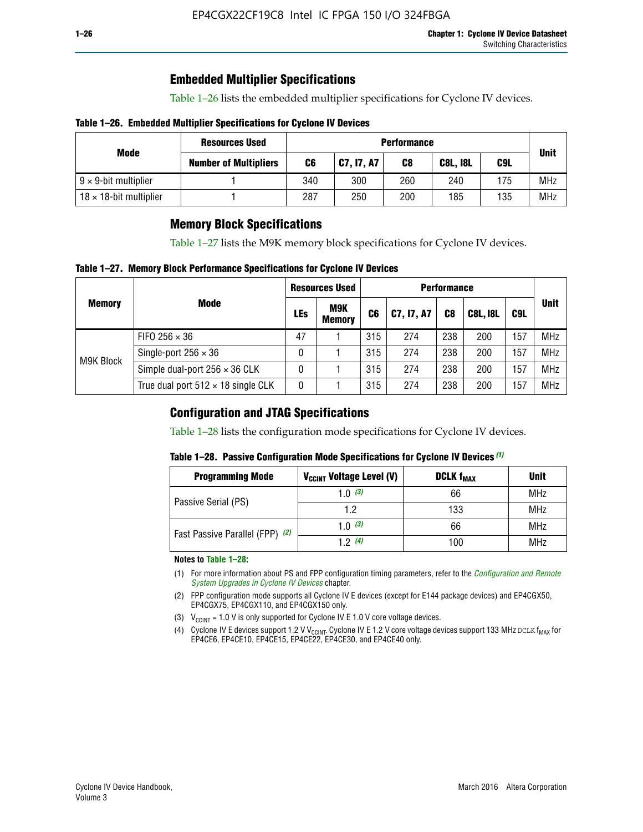# **Embedded Multiplier Specifications**

Table 1–26 lists the embedded multiplier specifications for Cyclone IV devices.

#### **Table 1–26. Embedded Multiplier Specifications for Cyclone IV Devices**

|                                | <b>Resources Used</b>        |     | <b>Performance</b> |     |                 |     |             |  |  |  |  |  |
|--------------------------------|------------------------------|-----|--------------------|-----|-----------------|-----|-------------|--|--|--|--|--|
| Mode                           | <b>Number of Multipliers</b> | C6  | C7, I7, A7         | C8  | <b>C8L, I8L</b> | C9L | <b>Unit</b> |  |  |  |  |  |
| $9 \times 9$ -bit multiplier   |                              | 340 | 300                | 260 | 240             | 175 | <b>MHz</b>  |  |  |  |  |  |
| $18 \times 18$ -bit multiplier |                              | 287 | 250                | 200 | 185             | 135 | <b>MHz</b>  |  |  |  |  |  |

# **Memory Block Specifications**

Table 1–27 lists the M9K memory block specifications for Cyclone IV devices.

#### **Table 1–27. Memory Block Performance Specifications for Cyclone IV Devices**

|               |                                           |     | <b>Resources Used</b>       |                |            |                |                 |     |             |
|---------------|-------------------------------------------|-----|-----------------------------|----------------|------------|----------------|-----------------|-----|-------------|
| <b>Memory</b> | <b>Mode</b>                               | LEs | <b>M9K</b><br><b>Memory</b> | C <sub>6</sub> | C7, I7, A7 | C <sub>8</sub> | <b>C8L, I8L</b> | C9L | <b>Unit</b> |
|               | FIFO 256 $\times$ 36                      | 47  |                             | 315            | 274        | 238            | 200             | 157 | <b>MHz</b>  |
| M9K Block     | Single-port $256 \times 36$               | 0   |                             | 315            | 274        | 238            | 200             | 157 | <b>MHz</b>  |
|               | Simple dual-port $256 \times 36$ CLK      | 0   |                             | 315            | 274        | 238            | 200             | 157 | <b>MHz</b>  |
|               | True dual port $512 \times 18$ single CLK | 0   |                             | 315            | 274        | 238            | 200             | 157 | <b>MHz</b>  |

### **Configuration and JTAG Specifications**

Table 1–28 lists the configuration mode specifications for Cyclone IV devices.

#### **Table 1–28. Passive Configuration Mode Specifications for Cyclone IV Devices** *(1)*

| <b>Programming Mode</b>         | V <sub>CCINT</sub> Voltage Level (V) | <b>DCLK f<sub>MAX</sub></b> | <b>Unit</b> |
|---------------------------------|--------------------------------------|-----------------------------|-------------|
| Passive Serial (PS)             | 1.0 $(3)$                            | 66                          | MHz         |
|                                 | 1.2                                  | 133                         | MHz         |
| Fast Passive Parallel (FPP) (2) | 1.0 $(3)$                            | 66                          | MHz         |
|                                 | 12(4)                                | 100                         | <b>MHz</b>  |

#### **Notes to Table 1–28:**

- (1) For more information about PS and FPP configuration timing parameters, refer to the *[Configuration and Remote](http://www.altera.com/literature/hb/cyclone-iv/cyiv-51008.pdf)  [System Upgrades in Cyclone IV Devices](http://www.altera.com/literature/hb/cyclone-iv/cyiv-51008.pdf)* chapter.
- (2) FPP configuration mode supports all Cyclone IV E devices (except for E144 package devices) and EP4CGX50, EP4CGX75, EP4CGX110, and EP4CGX150 only.
- (3)  $V_{CCMT}$  = 1.0 V is only supported for Cyclone IV E 1.0 V core voltage devices.
- (4) Cyclone IV E devices support 1.2 V V<sub>CCINT</sub>. Cyclone IV E 1.2 V core voltage devices support 133 MHz DCLK f<sub>MAX</sub> for EP4CE6, EP4CE10, EP4CE15, EP4CE22, EP4CE30, and EP4CE40 only.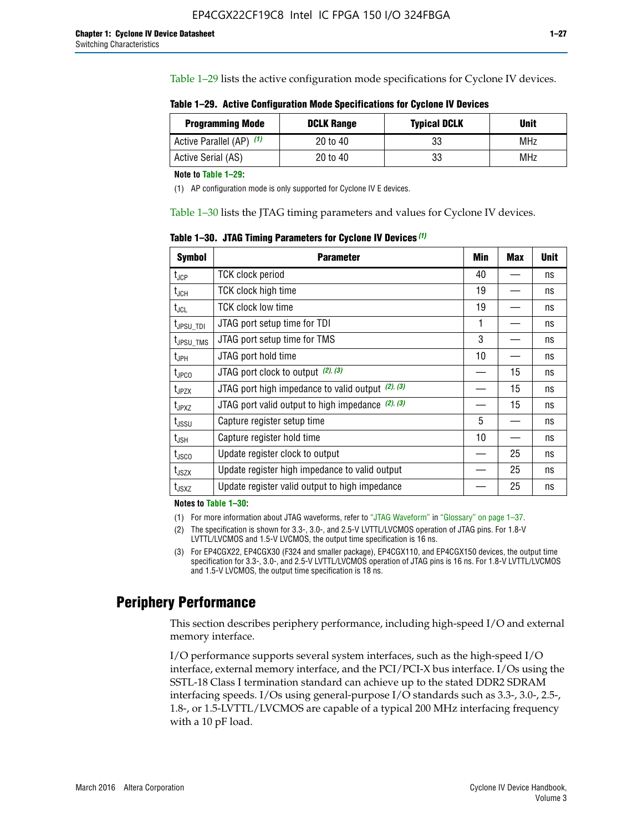Table 1–29 lists the active configuration mode specifications for Cyclone IV devices.

**Table 1–29. Active Configuration Mode Specifications for Cyclone IV Devices**

| <b>Programming Mode</b>  | <b>DCLK Range</b> | <b>Typical DCLK</b> | Unit |
|--------------------------|-------------------|---------------------|------|
| Active Parallel (AP) (1) | 20 to 40          | 33                  | MHz  |
| Active Serial (AS)       | 20 to 40          | 33                  | MHz  |

**Note to Table 1–29:**

(1) AP configuration mode is only supported for Cyclone IV E devices.

Table 1–30 lists the JTAG timing parameters and values for Cyclone IV devices.

**Table 1–30. JTAG Timing Parameters for Cyclone IV Devices** *(1)*

| Symbol                       | <b>Parameter</b>                                       | <b>Min</b> | <b>Max</b> | <b>Unit</b> |
|------------------------------|--------------------------------------------------------|------------|------------|-------------|
| t <sub>JCP</sub>             | <b>TCK clock period</b>                                | 40         |            | ns          |
| t <sub>JCH</sub>             | <b>TCK clock high time</b>                             | 19         |            | ns          |
| $t_{JCL}$                    | TCK clock low time                                     | 19         |            | ns          |
| t <sub>JPSU_TDI</sub>        | JTAG port setup time for TDI                           | 1          |            | ns          |
| t <sub>JPSU_TMS</sub>        | JTAG port setup time for TMS                           | 3          |            | ns          |
| t <sub>JPH</sub>             | JTAG port hold time                                    | 10         |            | ns          |
| t <sub>JPCO</sub>            | JTAG port clock to output $(2)$ , $(3)$                |            | 15         | ns          |
| t <sub>JPZX</sub>            | JTAG port high impedance to valid output $(2)$ , $(3)$ |            | 15         | ns          |
| t <sub>JPXZ</sub>            | JTAG port valid output to high impedance $(2)$ , $(3)$ |            | 15         | ns          |
| ${\rm t}_{\rm JSSU}$         | Capture register setup time                            | 5          |            | ns          |
| $\mathsf{t}_{\mathsf{JSH}}$  | Capture register hold time                             | 10         |            | ns          |
| $t_{\rm JSCO}$               | Update register clock to output                        |            | 25         | ns          |
| $t_{\footnotesize \rm JSZX}$ | Update register high impedance to valid output         |            | 25         | ns          |
| t <sub>JSXZ</sub>            | Update register valid output to high impedance         |            | 25         | ns          |

**Notes to Table 1–30:**

(1) For more information about JTAG waveforms, refer to "JTAG Waveform" in "Glossary" on page 1–37.

(2) The specification is shown for 3.3-, 3.0-, and 2.5-V LVTTL/LVCMOS operation of JTAG pins. For 1.8-V LVTTL/LVCMOS and 1.5-V LVCMOS, the output time specification is 16 ns.

(3) For EP4CGX22, EP4CGX30 (F324 and smaller package), EP4CGX110, and EP4CGX150 devices, the output time specification for 3.3-, 3.0-, and 2.5-V LVTTL/LVCMOS operation of JTAG pins is 16 ns. For 1.8-V LVTTL/LVCMOS and 1.5-V LVCMOS, the output time specification is 18 ns.

# **Periphery Performance**

This section describes periphery performance, including high-speed I/O and external memory interface.

I/O performance supports several system interfaces, such as the high-speed I/O interface, external memory interface, and the PCI/PCI-X bus interface. I/Os using the SSTL-18 Class I termination standard can achieve up to the stated DDR2 SDRAM interfacing speeds. I/Os using general-purpose I/O standards such as 3.3-, 3.0-, 2.5-, 1.8-, or 1.5-LVTTL/LVCMOS are capable of a typical 200 MHz interfacing frequency with a 10 pF load.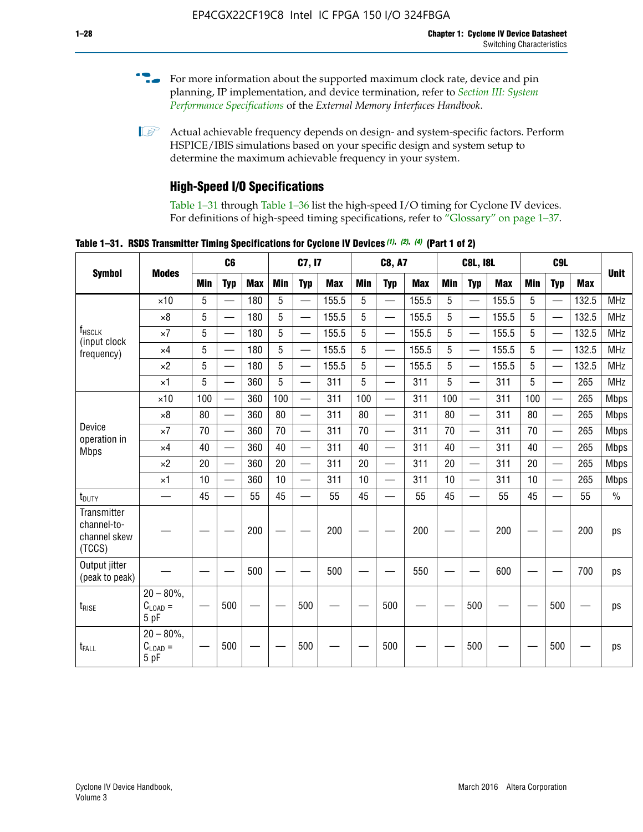- For more information about the supported maximum clock rate, device and pin planning, IP implementation, and device termination, refer to *[Section III: System](http://www.altera.com/literature/hb/external-memory/emi_intro_specs.pdf)  [Performance Specifications](http://www.altera.com/literature/hb/external-memory/emi_intro_specs.pdf)* of the *External Memory Interfaces Handbook*.
- **1 Actual achievable frequency depends on design- and system-specific factors. Perform** HSPICE/IBIS simulations based on your specific design and system setup to determine the maximum achievable frequency in your system.

# **High-Speed I/O Specifications**

Table 1–31 through Table 1–36 list the high-speed I/O timing for Cyclone IV devices. For definitions of high-speed timing specifications, refer to "Glossary" on page 1–37.

**Table 1–31. RSDS Transmitter Timing Specifications for Cyclone IV Devices** *(1)***,** *(2)***,** *(4)* **(Part 1 of 2)**

|                                                      |                                                    |     | C <sub>6</sub>           |            | C7, I7     |                          |            | <b>C8, A7</b> |                          |            | <b>C8L, I8L</b> |                          |            | C <sub>9</sub> L |                          |            |               |
|------------------------------------------------------|----------------------------------------------------|-----|--------------------------|------------|------------|--------------------------|------------|---------------|--------------------------|------------|-----------------|--------------------------|------------|------------------|--------------------------|------------|---------------|
| <b>Symbol</b>                                        | <b>Modes</b>                                       | Min | <b>Typ</b>               | <b>Max</b> | <b>Min</b> | <b>Typ</b>               | <b>Max</b> | <b>Min</b>    | <b>Typ</b>               | <b>Max</b> | <b>Min</b>      | <b>Typ</b>               | <b>Max</b> | <b>Min</b>       | <b>Typ</b>               | <b>Max</b> | <b>Unit</b>   |
|                                                      | $\times$ 10                                        | 5   |                          | 180        | 5          |                          | 155.5      | 5             | $\overline{\phantom{0}}$ | 155.5      | 5               |                          | 155.5      | 5                |                          | 132.5      | <b>MHz</b>    |
|                                                      | $\times 8$                                         | 5   | $\overline{\phantom{0}}$ | 180        | 5          | —                        | 155.5      | 5             | $\overline{\phantom{0}}$ | 155.5      | 5               | $\overline{\phantom{0}}$ | 155.5      | 5                | $\overline{\phantom{0}}$ | 132.5      | <b>MHz</b>    |
| <b>f</b> <sub>HSCLK</sub><br>(input clock            | $\times 7$                                         | 5   | $\overline{\phantom{0}}$ | 180        | 5          | —                        | 155.5      | 5             |                          | 155.5      | 5               | —                        | 155.5      | 5                | <u>—</u>                 | 132.5      | <b>MHz</b>    |
| frequency)                                           | $\times$ 4                                         | 5   | $\equiv$                 | 180        | 5          | $\overline{\phantom{0}}$ | 155.5      | 5             |                          | 155.5      | 5               | $\equiv$                 | 155.5      | 5                |                          | 132.5      | <b>MHz</b>    |
|                                                      | $\times 2$                                         | 5   |                          | 180        | 5          | $\overline{\phantom{0}}$ | 155.5      | 5             | $\overline{\phantom{0}}$ | 155.5      | 5               | $\overline{\phantom{0}}$ | 155.5      | 5                | $\overline{\phantom{0}}$ | 132.5      | <b>MHz</b>    |
|                                                      | $\times$ 1                                         | 5   | $\overline{\phantom{0}}$ | 360        | 5          |                          | 311        | 5             | $\overline{\phantom{0}}$ | 311        | 5               | $\overline{\phantom{0}}$ | 311        | 5                |                          | 265        | <b>MHz</b>    |
|                                                      | $\times$ 10                                        | 100 | $\overline{\phantom{0}}$ | 360        | 100        |                          | 311        | 100           | $\overline{\phantom{0}}$ | 311        | 100             | $\overline{\phantom{0}}$ | 311        | 100              | $\overline{\phantom{0}}$ | 265        | <b>Mbps</b>   |
|                                                      | $\times 8$                                         | 80  |                          | 360        | 80         |                          | 311        | 80            | $\overline{\phantom{0}}$ | 311        | 80              | $\overline{\phantom{0}}$ | 311        | 80               | $\overline{\phantom{0}}$ | 265        | <b>Mbps</b>   |
| Device<br>operation in                               | $\times 7$                                         | 70  |                          | 360        | 70         |                          | 311        | 70            | $\overline{\phantom{0}}$ | 311        | 70              | $\overline{\phantom{0}}$ | 311        | 70               | $\overline{\phantom{0}}$ | 265        | <b>Mbps</b>   |
| <b>Mbps</b>                                          | $\times$ 4                                         | 40  |                          | 360        | 40         |                          | 311        | 40            | $\overline{\phantom{0}}$ | 311        | 40              |                          | 311        | 40               | $\overline{\phantom{0}}$ | 265        | <b>Mbps</b>   |
|                                                      | $\times 2$                                         | 20  |                          | 360        | 20         | $\equiv$                 | 311        | 20            | $\overline{\phantom{0}}$ | 311        | 20              |                          | 311        | 20               | $\overline{\phantom{0}}$ | 265        | <b>Mbps</b>   |
|                                                      | $\times$ 1                                         | 10  |                          | 360        | 10         |                          | 311        | 10            | $\overline{\phantom{0}}$ | 311        | 10              | $\overline{\phantom{0}}$ | 311        | 10               |                          | 265        | <b>Mbps</b>   |
| t <sub>DUTY</sub>                                    | —                                                  | 45  | $\overline{\phantom{0}}$ | 55         | 45         |                          | 55         | 45            | $\overline{\phantom{0}}$ | 55         | 45              |                          | 55         | 45               |                          | 55         | $\frac{0}{0}$ |
| Transmitter<br>channel-to-<br>channel skew<br>(TCCS) |                                                    |     |                          | 200        |            |                          | 200        |               |                          | 200        |                 |                          | 200        |                  |                          | 200        | ps            |
| Output jitter<br>(peak to peak)                      |                                                    |     |                          | 500        |            |                          | 500        |               |                          | 550        |                 |                          | 600        |                  |                          | 700        | ps            |
| $t_{RISE}$                                           | $20 - 80\%$<br>$C_{LOAD} =$<br>5 pF                |     | 500                      |            |            | 500                      |            |               | 500                      |            |                 | 500                      |            |                  | 500                      |            | ps            |
| t <sub>FALL</sub>                                    | $20 - 80\%$<br>$\mathrm{C}_{\text{LOAD}}=$<br>5 pF |     | 500                      |            |            | 500                      |            |               | 500                      |            |                 | 500                      |            |                  | 500                      |            | ps            |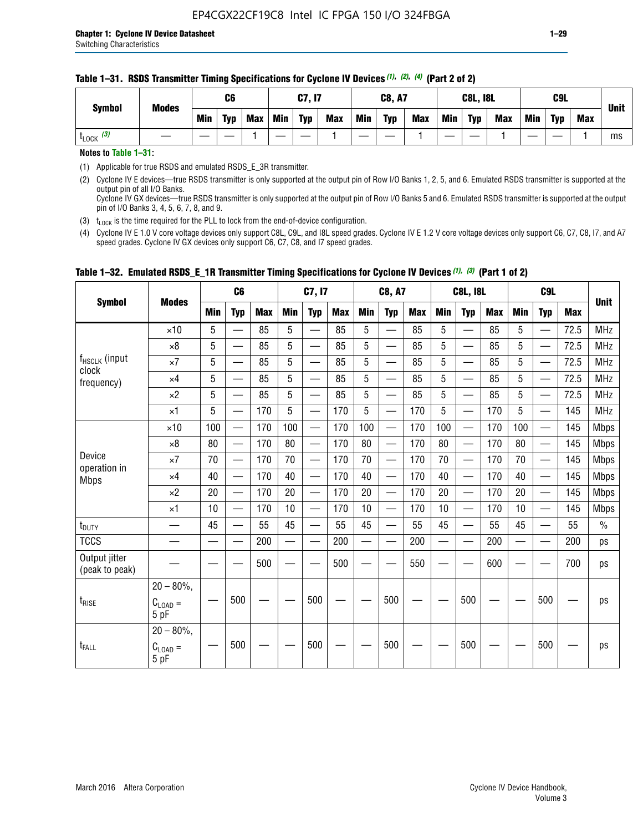#### **Table 1–31. RSDS Transmitter Timing Specifications for Cyclone IV Devices** *(1)***,** *(2)***,** *(4)* **(Part 2 of 2)**

**Notes to Table 1–31:**

(1) Applicable for true RSDS and emulated RSDS\_E\_3R transmitter.

(2) Cyclone IV E devices—true RSDS transmitter is only supported at the output pin of Row I/O Banks 1, 2, 5, and 6. Emulated RSDS transmitter is supported at the output pin of all I/O Banks. Cyclone IV GX devices—true RSDS transmitter is only supported at the output pin of Row I/O Banks 5 and 6. Emulated RSDS transmitter is supported at the output

pin of I/O Banks 3, 4, 5, 6, 7, 8, and 9.

(3)  $t_{\text{LOCK}}$  is the time required for the PLL to lock from the end-of-device configuration.

(4) Cyclone IV E 1.0 V core voltage devices only support C8L, C9L, and I8L speed grades. Cyclone IV E 1.2 V core voltage devices only support C6, C7, C8, I7, and A7 speed grades. Cyclone IV GX devices only support C6, C7, C8, and I7 speed grades.

|                                 |                                              |     | C <sub>6</sub>           |     |            | C7, I7                   |            |            | <b>C8, A7</b>                  |     |     | <b>C8L, I8L</b>          |            |            | C <sub>9</sub> L         |            |               |
|---------------------------------|----------------------------------------------|-----|--------------------------|-----|------------|--------------------------|------------|------------|--------------------------------|-----|-----|--------------------------|------------|------------|--------------------------|------------|---------------|
| <b>Symbol</b>                   | <b>Modes</b>                                 | Min | <b>Typ</b>               | Max | <b>Min</b> | <b>Typ</b>               | <b>Max</b> | <b>Min</b> | <b>Typ</b>                     | Max | Min | <b>Typ</b>               | <b>Max</b> | <b>Min</b> | <b>Typ</b>               | <b>Max</b> | <b>Unit</b>   |
|                                 | $\times$ 10                                  | 5   | $\overline{\phantom{0}}$ | 85  | 5          | $\overline{\phantom{0}}$ | 85         | 5          | —                              | 85  | 5   | $\overline{\phantom{0}}$ | 85         | 5          |                          | 72.5       | <b>MHz</b>    |
|                                 | $\times 8$                                   | 5   | —                        | 85  | 5          | e e                      | 85         | 5          | —                              | 85  | 5   | $\overline{\phantom{0}}$ | 85         | 5          | —                        | 72.5       | <b>MHz</b>    |
| f <sub>HSCLK</sub> (input       | $\times 7$                                   | 5   | —                        | 85  | 5          | $\overline{\phantom{0}}$ | 85         | 5          | $\overline{\phantom{0}}$       | 85  | 5   | $\overline{\phantom{0}}$ | 85         | 5          |                          | 72.5       | <b>MHz</b>    |
| clock<br>frequency)             | $\times$ 4                                   | 5   | $\qquad \qquad$          | 85  | 5          | $\overline{\phantom{0}}$ | 85         | 5          | $\overline{\phantom{0}}$       | 85  | 5   | $\overline{\phantom{0}}$ | 85         | 5          |                          | 72.5       | <b>MHz</b>    |
|                                 | $\times 2$                                   | 5   | $\qquad \qquad$          | 85  | 5          | $\overline{\phantom{0}}$ | 85         | 5          | $\qquad \qquad$                | 85  | 5   | $\qquad \qquad$          | 85         | 5          | $\overline{\phantom{0}}$ | 72.5       | <b>MHz</b>    |
|                                 | $\times$ 1                                   | 5   | $\overline{\phantom{0}}$ | 170 | 5          |                          | 170        | 5          | $\overline{\phantom{0}}$       | 170 | 5   | $\overline{\phantom{0}}$ | 170        | 5          |                          | 145        | <b>MHz</b>    |
|                                 | $\times$ 10                                  | 100 | $\overline{\phantom{0}}$ | 170 | 100        | <u>e a</u>               | 170        | 100        | $\overline{\phantom{0}}$       | 170 | 100 |                          | 170        | 100        | $\qquad \qquad$          | 145        | <b>Mbps</b>   |
|                                 | $\times 8$                                   | 80  | $\overline{\phantom{0}}$ | 170 | 80         |                          | 170        | 80         | $\overline{\phantom{0}}$       | 170 | 80  |                          | 170        | 80         |                          | 145        | <b>Mbps</b>   |
| Device                          | $\times 7$                                   | 70  |                          | 170 | 70         | $\overline{\phantom{0}}$ | 170        | 70         | $\qquad \qquad \longleftarrow$ | 170 | 70  | $\qquad \qquad$          | 170        | 70         | $\overline{\phantom{m}}$ | 145        | <b>Mbps</b>   |
| operation in<br><b>Mbps</b>     | $\times$ 4                                   | 40  | $\overline{\phantom{0}}$ | 170 | 40         | —                        | 170        | 40         | $\overline{\phantom{0}}$       | 170 | 40  | $\overline{\phantom{0}}$ | 170        | 40         | —                        | 145        | <b>Mbps</b>   |
|                                 | $\times 2$                                   | 20  | $\overline{\phantom{0}}$ | 170 | 20         | $\overline{\phantom{0}}$ | 170        | 20         | $\overline{\phantom{0}}$       | 170 | 20  | $\overline{\phantom{0}}$ | 170        | 20         |                          | 145        | <b>Mbps</b>   |
|                                 | $\times$ 1                                   | 10  | $\overline{\phantom{0}}$ | 170 | 10         | $\overline{\phantom{0}}$ | 170        | 10         | $\overline{\phantom{0}}$       | 170 | 10  | $\overline{\phantom{0}}$ | 170        | 10         |                          | 145        | <b>Mbps</b>   |
| $t_{\text{DUTY}}$               |                                              | 45  | $\overline{\phantom{0}}$ | 55  | 45         | $\sim$                   | 55         | 45         | —                              | 55  | 45  | $\overline{\phantom{0}}$ | 55         | 45         |                          | 55         | $\frac{0}{0}$ |
| <b>TCCS</b>                     |                                              |     |                          | 200 |            |                          | 200        | $\sim$     |                                | 200 |     | $\overline{\phantom{0}}$ | 200        |            |                          | 200        | ps            |
| Output jitter<br>(peak to peak) |                                              |     |                          | 500 |            |                          | 500        |            |                                | 550 |     |                          | 600        |            |                          | 700        | ps            |
| $t_{\text{RISE}}$               | $20 - 80\%$<br>$C_{LOAD} =$<br>5 pF          |     | 500                      |     |            | 500                      |            |            | 500                            |     |     | 500                      |            |            | 500                      |            | ps            |
| t <sub>FALL</sub>               | $20 - 80\%$ ,<br>$C_{\text{LOAD}} =$<br>5 pF |     | 500                      |     |            | 500                      |            |            | 500                            |     |     | 500                      |            |            | 500                      |            | ps            |

### **Table 1–32. Emulated RSDS\_E\_1R Transmitter Timing Specifications for Cyclone IV Devices** *(1), (3)* **(Part 1 of 2)**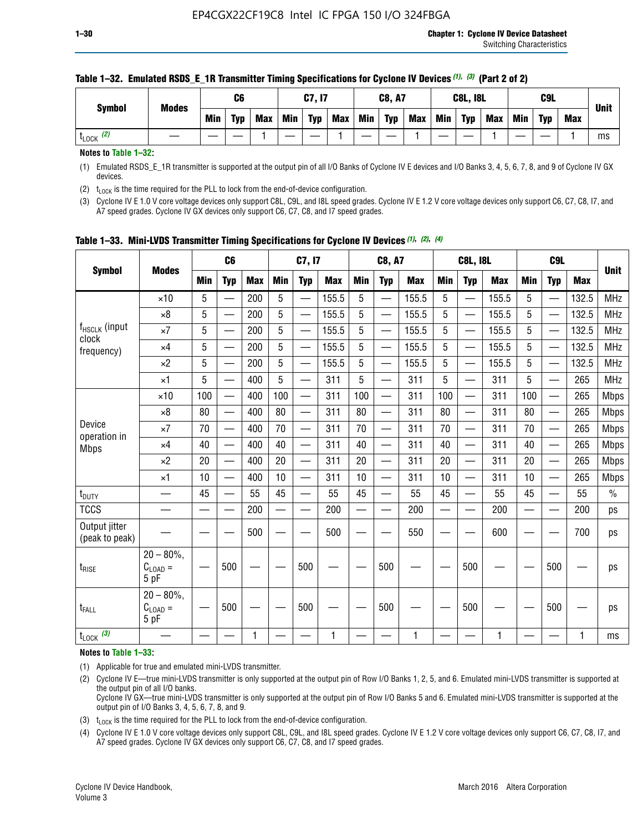| <b>Symbol</b>        | <b>Modes</b> |            | C6  |            |            | C7, I7     |            |     | <b>C8, A7</b> |            |     | <b>C8L, I8L</b> |     |     | C <sub>9</sub> L |     | <b>Unit</b> |
|----------------------|--------------|------------|-----|------------|------------|------------|------------|-----|---------------|------------|-----|-----------------|-----|-----|------------------|-----|-------------|
|                      |              | <b>Min</b> | Typ | <b>Max</b> | <b>Min</b> | <b>Typ</b> | <b>Max</b> | Min | <b>Typ</b>    | <b>Max</b> | Min | <b>Typ</b>      | Max | Min | <b>Typ</b>       | Max |             |
| (2)<br><b>L</b> LOCK |              |            |     |            |            |            |            |     |               |            |     |                 |     |     |                  |     | ms          |

#### **Table 1–32. Emulated RSDS\_E\_1R Transmitter Timing Specifications for Cyclone IV Devices** *(1), (3)* **(Part 2 of 2)**

**Notes to Table 1–32:**

(1) Emulated RSDS\_E\_1R transmitter is supported at the output pin of all I/O Banks of Cyclone IV E devices and I/O Banks 3, 4, 5, 6, 7, 8, and 9 of Cyclone IV GX devices.

(2)  $t_{\text{LOCK}}$  is the time required for the PLL to lock from the end-of-device configuration.

(3) Cyclone IV E 1.0 V core voltage devices only support C8L, C9L, and I8L speed grades. Cyclone IV E 1.2 V core voltage devices only support C6, C7, C8, I7, and A7 speed grades. Cyclone IV GX devices only support C6, C7, C8, and I7 speed grades.

|                                 |                                           |     | C <sub>6</sub>           |            | C7, I7                   |                          | <b>C8, A7</b> |            |                          | <b>C8L, I8L</b> |            |                          | C <sub>9</sub> L |            |                          | <b>Unit</b> |             |
|---------------------------------|-------------------------------------------|-----|--------------------------|------------|--------------------------|--------------------------|---------------|------------|--------------------------|-----------------|------------|--------------------------|------------------|------------|--------------------------|-------------|-------------|
| <b>Symbol</b>                   | <b>Modes</b>                              | Min | <b>Typ</b>               | <b>Max</b> | <b>Min</b>               | <b>Typ</b>               | <b>Max</b>    | <b>Min</b> | <b>Typ</b>               | <b>Max</b>      | <b>Min</b> | <b>Typ</b>               | <b>Max</b>       | <b>Min</b> | <b>Typ</b>               | <b>Max</b>  |             |
|                                 | $\times$ 10                               | 5   |                          | 200        | 5                        | —                        | 155.5         | 5          | $\overline{\phantom{0}}$ | 155.5           | 5          | $\overline{\phantom{0}}$ | 155.5            | 5          | $\overline{\phantom{0}}$ | 132.5       | <b>MHz</b>  |
|                                 | $\times 8$                                | 5   |                          | 200        | 5                        | $\overline{\phantom{0}}$ | 155.5         | 5          | —                        | 155.5           | 5          |                          | 155.5            | 5          |                          | 132.5       | <b>MHz</b>  |
| f <sub>HSCLK</sub> (input       | $\times 7$                                | 5   | $\qquad \qquad$          | 200        | 5                        | ÷,                       | 155.5         | 5          | —                        | 155.5           | 5          |                          | 155.5            | 5          |                          | 132.5       | <b>MHz</b>  |
| clock<br>frequency)             | $\times$ 4                                | 5   | $\overline{\phantom{0}}$ | 200        | 5                        | —                        | 155.5         | 5          | $\overline{\phantom{0}}$ | 155.5           | 5          |                          | 155.5            | 5          | $\overline{\phantom{0}}$ | 132.5       | <b>MHz</b>  |
|                                 | $\times 2$                                | 5   | $\overline{\phantom{0}}$ | 200        | 5                        | $\overline{\phantom{0}}$ | 155.5         | 5          | $\overline{\phantom{0}}$ | 155.5           | 5          | $\overline{\phantom{0}}$ | 155.5            | 5          |                          | 132.5       | <b>MHz</b>  |
|                                 | $\times$ 1                                | 5   | $\overline{\phantom{0}}$ | 400        | 5                        |                          | 311           | 5          | —                        | 311             | 5          | $\overline{\phantom{0}}$ | 311              | 5          |                          | 265         | <b>MHz</b>  |
|                                 | $\times$ 10                               | 100 |                          | 400        | 100                      | $\overline{\phantom{0}}$ | 311           | 100        | $\overline{\phantom{0}}$ | 311             | 100        | $\overline{\phantom{0}}$ | 311              | 100        |                          | 265         | <b>Mbps</b> |
|                                 | $\times 8$                                | 80  | $\overline{\phantom{0}}$ | 400        | 80                       | $\overline{\phantom{0}}$ | 311           | 80         | $\overline{\phantom{0}}$ | 311             | 80         | $\overline{\phantom{0}}$ | 311              | 80         |                          | 265         | <b>Mbps</b> |
| Device                          | $\times 7$                                | 70  |                          | 400        | 70                       |                          | 311           | 70         | $\overline{\phantom{0}}$ | 311             | 70         |                          | 311              | 70         |                          | 265         | <b>Mbps</b> |
| operation in<br><b>Mbps</b>     | $\times 4$                                | 40  | $\overline{\phantom{0}}$ | 400        | 40                       |                          | 311           | 40         | $\overline{\phantom{0}}$ | 311             | 40         | —                        | 311              | 40         |                          | 265         | <b>Mbps</b> |
|                                 | $\times 2$                                | 20  |                          | 400        | 20                       | —                        | 311           | 20         | $\overline{\phantom{0}}$ | 311             | 20         | $\overline{\phantom{0}}$ | 311              | 20         |                          | 265         | <b>Mbps</b> |
|                                 | ×1                                        | 10  | $\overline{\phantom{0}}$ | 400        | 10                       |                          | 311           | 10         | $\overline{\phantom{0}}$ | 311             | 10         | —                        | 311              | 10         |                          | 265         | <b>Mbps</b> |
| t <sub>DUTY</sub>               |                                           | 45  |                          | 55         | 45                       | $\overline{\phantom{0}}$ | 55            | 45         | $\overline{\phantom{0}}$ | 55              | 45         | $\overline{\phantom{0}}$ | 55               | 45         |                          | 55          | $\%$        |
| <b>TCCS</b>                     |                                           |     |                          | 200        | $\overline{\phantom{0}}$ |                          | 200           |            |                          | 200             | —          |                          | 200              |            |                          | 200         | ps          |
| Output jitter<br>(peak to peak) |                                           |     |                          | 500        |                          |                          | 500           |            |                          | 550             |            |                          | 600              |            |                          | 700         | ps          |
| $t_{\sf RISE}$                  | $20 - 80\%$ ,<br>$C_{LOAD} =$<br>5 pF     |     | 500                      |            |                          | 500                      |               |            | 500                      |                 |            | 500                      |                  |            | 500                      |             | ps          |
| t <sub>FALL</sub>               | $20 - 80\%$<br>$\rm C_{LOAD}$ $=$<br>5 pF |     | 500                      |            |                          | 500                      |               |            | 500                      |                 |            | 500                      |                  |            | 500                      |             | ps          |
| $t_{\text{LOCK}}$ (3)           |                                           |     |                          | 1          |                          |                          | 1             |            |                          | $\mathbf{1}$    |            |                          | 1                |            |                          | 1           | ms          |

**Table 1–33. Mini-LVDS Transmitter Timing Specifications for Cyclone IV Devices** *(1)***,** *(2)***,** *(4)*

**Notes to Table 1–33:**

(1) Applicable for true and emulated mini-LVDS transmitter.

(2) Cyclone IV E—true mini-LVDS transmitter is only supported at the output pin of Row I/O Banks 1, 2, 5, and 6. Emulated mini-LVDS transmitter is supported at the output pin of all I/O banks.

Cyclone IV GX—true mini-LVDS transmitter is only supported at the output pin of Row I/O Banks 5 and 6. Emulated mini-LVDS transmitter is supported at the output pin of I/O Banks 3, 4, 5, 6, 7, 8, and 9.

(3)  $t_{\text{LOCK}}$  is the time required for the PLL to lock from the end-of-device configuration.

(4) Cyclone IV E 1.0 V core voltage devices only support C8L, C9L, and I8L speed grades. Cyclone IV E 1.2 V core voltage devices only support C6, C7, C8, I7, and A7 speed grades. Cyclone IV GX devices only support C6, C7, C8, and I7 speed grades.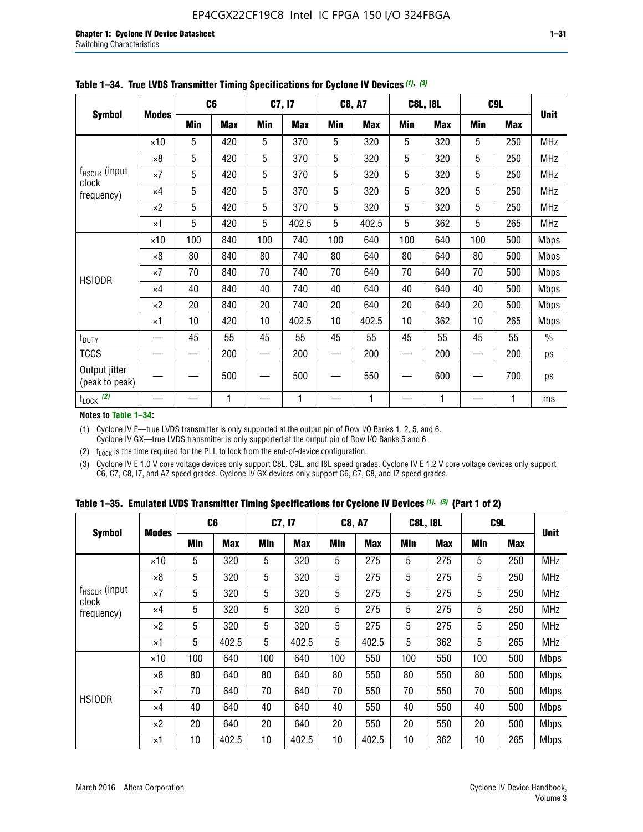|                                 |              |     | C <sub>6</sub> |     | C7, I7     |            | <b>C8, A7</b> |     | <b>C8L, I8L</b> | C <sub>9</sub> L |            |               |
|---------------------------------|--------------|-----|----------------|-----|------------|------------|---------------|-----|-----------------|------------------|------------|---------------|
| <b>Symbol</b>                   | <b>Modes</b> | Min | <b>Max</b>     | Min | <b>Max</b> | <b>Min</b> | <b>Max</b>    | Min | <b>Max</b>      | <b>Min</b>       | <b>Max</b> | <b>Unit</b>   |
|                                 | $\times$ 10  | 5   | 420            | 5   | 370        | 5          | 320           | 5   | 320             | 5                | 250        | <b>MHz</b>    |
|                                 | $\times 8$   | 5   | 420            | 5   | 370        | 5          | 320           | 5   | 320             | 5                | 250        | <b>MHz</b>    |
| f <sub>HSCLK</sub> (input       | $\times 7$   | 5   | 420            | 5   | 370        | 5          | 320           | 5   | 320             | 5                | 250        | MHz           |
| clock<br>frequency)             | $\times$ 4   | 5   | 420            | 5   | 370        | 5          | 320           | 5   | 320             | 5                | 250        | <b>MHz</b>    |
|                                 | $\times 2$   | 5   | 420            | 5   | 370        | 5          | 320           | 5   | 320             | 5                | 250        | <b>MHz</b>    |
|                                 | $\times$ 1   | 5   | 420            | 5   | 402.5      | 5          | 402.5         | 5   | 362             | 5                | 265        | <b>MHz</b>    |
|                                 | $\times$ 10  | 100 | 840            | 100 | 740        | 100        | 640           | 100 | 640             | 100              | 500        | <b>Mbps</b>   |
|                                 | $\times 8$   | 80  | 840            | 80  | 740        | 80         | 640           | 80  | 640             | 80               | 500        | <b>Mbps</b>   |
|                                 | $\times 7$   | 70  | 840            | 70  | 740        | 70         | 640           | 70  | 640             | 70               | 500        | <b>Mbps</b>   |
| <b>HSIODR</b>                   | $\times$ 4   | 40  | 840            | 40  | 740        | 40         | 640           | 40  | 640             | 40               | 500        | <b>Mbps</b>   |
|                                 | $\times 2$   | 20  | 840            | 20  | 740        | 20         | 640           | 20  | 640             | 20               | 500        | <b>Mbps</b>   |
|                                 | $\times$ 1   | 10  | 420            | 10  | 402.5      | 10         | 402.5         | 10  | 362             | 10               | 265        | <b>Mbps</b>   |
| t <sub>DUTY</sub>               |              | 45  | 55             | 45  | 55         | 45         | 55            | 45  | 55              | 45               | 55         | $\frac{0}{0}$ |
| <b>TCCS</b>                     |              |     | 200            |     | 200        |            | 200           |     | 200             |                  | 200        | ps            |
| Output jitter<br>(peak to peak) |              |     | 500            |     | 500        |            | 550           |     | 600             |                  | 700        | ps            |
| $t_{\text{LOCK}}$ (2)           |              |     | 1              |     | 1          |            | 1             |     | 1               |                  | 1          | ms            |

**Table 1–34. True LVDS Transmitter Timing Specifications for Cyclone IV Devices** *(1)***,** *(3)*

**Notes to Table 1–34:**

(1) Cyclone IV E—true LVDS transmitter is only supported at the output pin of Row I/O Banks 1, 2, 5, and 6. Cyclone IV GX—true LVDS transmitter is only supported at the output pin of Row I/O Banks 5 and 6.

(2)  $t_{\text{LOCK}}$  is the time required for the PLL to lock from the end-of-device configuration.

(3) Cyclone IV E 1.0 V core voltage devices only support C8L, C9L, and I8L speed grades. Cyclone IV E 1.2 V core voltage devices only support C6, C7, C8, I7, and A7 speed grades. Cyclone IV GX devices only support C6, C7, C8, and I7 speed grades.

|  |  |  |  | Table 1–35. Emulated LVDS Transmitter Timing Specifications for Cyclone IV Devices <sup>(1),</sup> <sup>(3)</sup> (Part 1 of 2) |  |  |
|--|--|--|--|---------------------------------------------------------------------------------------------------------------------------------|--|--|
|--|--|--|--|---------------------------------------------------------------------------------------------------------------------------------|--|--|

| <b>Symbol</b>               |              | C <sub>6</sub> |            | C7, I7 |            | <b>C8, A7</b> |            | <b>C8L, I8L</b> |            | C <sub>9</sub> L |            |             |
|-----------------------------|--------------|----------------|------------|--------|------------|---------------|------------|-----------------|------------|------------------|------------|-------------|
|                             | <b>Modes</b> | Min            | <b>Max</b> | Min    | <b>Max</b> | Min           | <b>Max</b> | Min             | <b>Max</b> | <b>Min</b>       | <b>Max</b> | <b>Unit</b> |
|                             | $\times$ 10  | 5              | 320        | 5      | 320        | 5             | 275        | 5               | 275        | 5                | 250        | <b>MHz</b>  |
|                             | $\times 8$   | 5              | 320        | 5      | 320        | 5             | 275        | 5               | 275        | 5                | 250        | <b>MHz</b>  |
| $f_{HSCLK}$ (input<br>clock | $\times 7$   | 5              | 320        | 5      | 320        | 5             | 275        | 5               | 275        | 5                | 250        | <b>MHz</b>  |
| frequency)                  | $\times$ 4   | 5              | 320        | 5      | 320        | 5             | 275        | 5               | 275        | 5                | 250        | <b>MHz</b>  |
|                             | $\times 2$   | 5              | 320        | 5      | 320        | 5             | 275        | 5               | 275        | 5                | 250        | <b>MHz</b>  |
|                             | ×1           | 5              | 402.5      | 5      | 402.5      | 5             | 402.5      | 5               | 362        | 5                | 265        | <b>MHz</b>  |
|                             | $\times$ 10  | 100            | 640        | 100    | 640        | 100           | 550        | 100             | 550        | 100              | 500        | <b>Mbps</b> |
|                             | $\times 8$   | 80             | 640        | 80     | 640        | 80            | 550        | 80              | 550        | 80               | 500        | <b>Mbps</b> |
| <b>HSIODR</b>               | $\times 7$   | 70             | 640        | 70     | 640        | 70            | 550        | 70              | 550        | 70               | 500        | <b>Mbps</b> |
|                             | $\times$ 4   | 40             | 640        | 40     | 640        | 40            | 550        | 40              | 550        | 40               | 500        | <b>Mbps</b> |
|                             | $\times 2$   | 20             | 640        | 20     | 640        | 20            | 550        | 20              | 550        | 20               | 500        | <b>Mbps</b> |
|                             | ×1           | 10             | 402.5      | 10     | 402.5      | 10            | 402.5      | 10              | 362        | 10               | 265        | <b>Mbps</b> |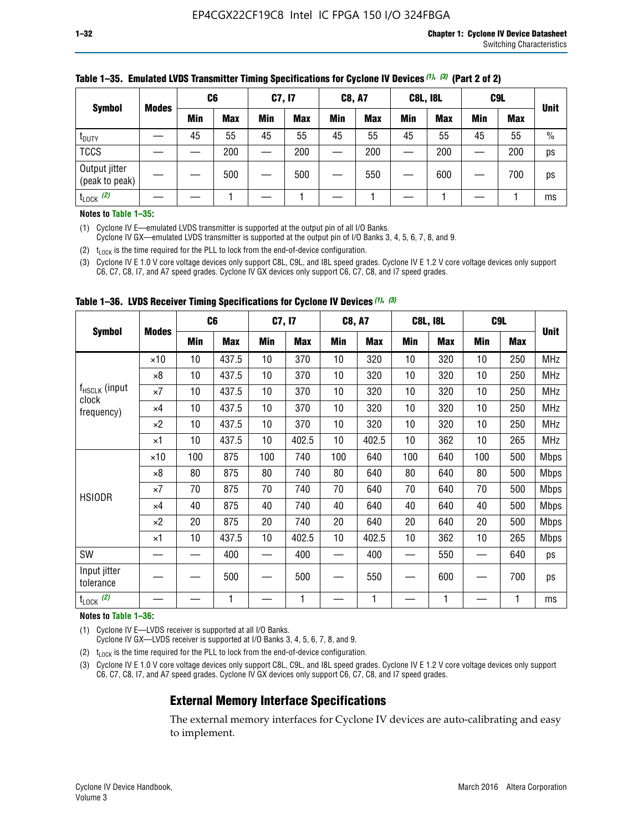| <b>Symbol</b>                   | <b>Modes</b> |     | C <sub>6</sub> |     | C7, I7     |     | <b>C8, A7</b> |            | <b>C8L, I8L</b> |     | C <sub>9</sub> L | <b>Unit</b> |
|---------------------------------|--------------|-----|----------------|-----|------------|-----|---------------|------------|-----------------|-----|------------------|-------------|
|                                 |              | Min | <b>Max</b>     | Min | <b>Max</b> | Min | <b>Max</b>    | <b>Min</b> | <b>Max</b>      | Min | <b>Max</b>       |             |
| t <sub>DUTY</sub>               |              | 45  | 55             | 45  | 55         | 45  | 55            | 45         | 55              | 45  | 55               | $\%$        |
| <b>TCCS</b>                     |              |     | 200            |     | 200        |     | 200           |            | 200             |     | 200              | ps          |
| Output jitter<br>(peak to peak) |              |     | 500            |     | 500        |     | 550           |            | 600             |     | 700              | ps          |
| $t_{\text{LOCK}}$ (2)           |              |     |                |     |            |     |               |            |                 |     |                  | ms          |

#### **Table 1–35. Emulated LVDS Transmitter Timing Specifications for Cyclone IV Devices** *(1)***,** *(3)* **(Part 2 of 2)**

#### **Notes to Table 1–35:**

(1) Cyclone IV E—emulated LVDS transmitter is supported at the output pin of all I/O Banks.

Cyclone IV GX—emulated LVDS transmitter is supported at the output pin of I/O Banks 3, 4, 5, 6, 7, 8, and 9.

(2)  $t_{\text{LOCK}}$  is the time required for the PLL to lock from the end-of-device configuration.

(3) Cyclone IV E 1.0 V core voltage devices only support C8L, C9L, and I8L speed grades. Cyclone IV E 1.2 V core voltage devices only support C6, C7, C8, I7, and A7 speed grades. Cyclone IV GX devices only support C6, C7, C8, and I7 speed grades.

|                                    |              |     | C <sub>6</sub> | C7, I7 |       | <b>C8, A7</b> |            |     | <b>C8L, I8L</b> | C <sub>9</sub> L |     |             |
|------------------------------------|--------------|-----|----------------|--------|-------|---------------|------------|-----|-----------------|------------------|-----|-------------|
| <b>Symbol</b>                      | <b>Modes</b> | Min | <b>Max</b>     | Min    | Max   | Min           | <b>Max</b> | Min | <b>Max</b>      | Min              | Max | <b>Unit</b> |
|                                    | $\times$ 10  | 10  | 437.5          | 10     | 370   | 10            | 320        | 10  | 320             | 10               | 250 | MHz         |
|                                    | ×8           | 10  | 437.5          | 10     | 370   | 10            | 320        | 10  | 320             | 10               | 250 | <b>MHz</b>  |
| f <sub>HSCLK</sub> (input<br>clock | ×7           | 10  | 437.5          | 10     | 370   | 10            | 320        | 10  | 320             | 10               | 250 | <b>MHz</b>  |
| frequency)                         | $\times 4$   | 10  | 437.5          | 10     | 370   | 10            | 320        | 10  | 320             | 10               | 250 | <b>MHz</b>  |
|                                    | $\times 2$   | 10  | 437.5          | 10     | 370   | 10            | 320        | 10  | 320             | 10               | 250 | <b>MHz</b>  |
|                                    | ×1           | 10  | 437.5          | 10     | 402.5 | 10            | 402.5      | 10  | 362             | 10               | 265 | <b>MHz</b>  |
|                                    | $\times$ 10  | 100 | 875            | 100    | 740   | 100           | 640        | 100 | 640             | 100              | 500 | <b>Mbps</b> |
|                                    | $\times 8$   | 80  | 875            | 80     | 740   | 80            | 640        | 80  | 640             | 80               | 500 | <b>Mbps</b> |
| <b>HSIODR</b>                      | ×7           | 70  | 875            | 70     | 740   | 70            | 640        | 70  | 640             | 70               | 500 | <b>Mbps</b> |
|                                    | $\times 4$   | 40  | 875            | 40     | 740   | 40            | 640        | 40  | 640             | 40               | 500 | <b>Mbps</b> |
|                                    | $\times 2$   | 20  | 875            | 20     | 740   | 20            | 640        | 20  | 640             | 20               | 500 | <b>Mbps</b> |
|                                    | ×1           | 10  | 437.5          | 10     | 402.5 | 10            | 402.5      | 10  | 362             | 10               | 265 | <b>Mbps</b> |
| SW                                 |              |     | 400            |        | 400   |               | 400        |     | 550             |                  | 640 | ps          |
| Input jitter<br>tolerance          |              |     | 500            |        | 500   |               | 550        |     | 600             |                  | 700 | ps          |
| $t_{\text{LOCK}}$ (2)              |              |     | 1              |        | 1     |               | 1          |     | 1               |                  | 1   | ms          |

**Table 1–36. LVDS Receiver Timing Specifications for Cyclone IV Devices** *(1)***,** *(3)*

#### **Notes to Table 1–36:**

(1) Cyclone IV E—LVDS receiver is supported at all I/O Banks.

Cyclone IV GX—LVDS receiver is supported at I/O Banks 3, 4, 5, 6, 7, 8, and 9.

(2)  $t_{\text{LOCK}}$  is the time required for the PLL to lock from the end-of-device configuration.

(3) Cyclone IV E 1.0 V core voltage devices only support C8L, C9L, and I8L speed grades. Cyclone IV E 1.2 V core voltage devices only support C6, C7, C8, I7, and A7 speed grades. Cyclone IV GX devices only support C6, C7, C8, and I7 speed grades.

## **External Memory Interface Specifications**

The external memory interfaces for Cyclone IV devices are auto-calibrating and easy to implement.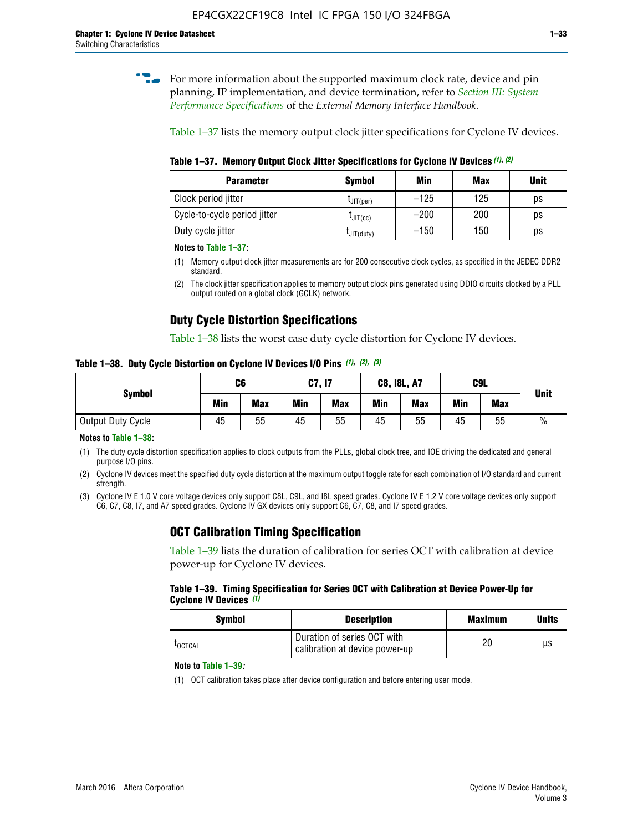**for more information about the supported maximum clock rate, device and pin** planning, IP implementation, and device termination, refer to *[Section III: System](http://www.altera.com/literature/hb/external-memory/emi_intro_specs.pdf)  [Performance Specifications](http://www.altera.com/literature/hb/external-memory/emi_intro_specs.pdf)* of the *External Memory Interface Handbook*.

Table 1–37 lists the memory output clock jitter specifications for Cyclone IV devices.

**Table 1–37. Memory Output Clock Jitter Specifications for Cyclone IV Devices** *(1)***,** *(2)*

| <b>Parameter</b>             | <b>Symbol</b>  | Min    | <b>Max</b> | <b>Unit</b> |
|------------------------------|----------------|--------|------------|-------------|
| Clock period jitter          | $L$ JIT(per)   | $-125$ | 125        | ps          |
| Cycle-to-cycle period jitter | $L$ JIT $(cc)$ | $-200$ | 200        | ps          |
| Duty cycle jitter            | LJIT(duty)     | $-150$ | 150        | рs          |

**Notes to Table 1–37:**

- (1) Memory output clock jitter measurements are for 200 consecutive clock cycles, as specified in the JEDEC DDR2 standard.
- (2) The clock jitter specification applies to memory output clock pins generated using DDIO circuits clocked by a PLL output routed on a global clock (GCLK) network.

# **Duty Cycle Distortion Specifications**

Table 1–38 lists the worst case duty cycle distortion for Cyclone IV devices.

**Table 1–38. Duty Cycle Distortion on Cyclone IV Devices I/O Pins** *(1)***,** *(2), (3)*

| <b>Symbol</b>     | C6  |            | C7, I7     |            | <b>C8, I8L, A7</b> |            |            | C9L        | <b>Unit</b>   |
|-------------------|-----|------------|------------|------------|--------------------|------------|------------|------------|---------------|
|                   | Min | <b>Max</b> | <b>Min</b> | <b>Max</b> | Min                | <b>Max</b> | <b>Min</b> | <b>Max</b> |               |
| Output Duty Cycle | 45  | 55         | 45         | 55         | 45                 | 55         | 45         | 55         | $\frac{0}{0}$ |

**Notes to Table 1–38:**

(1) The duty cycle distortion specification applies to clock outputs from the PLLs, global clock tree, and IOE driving the dedicated and general purpose I/O pins.

(2) Cyclone IV devices meet the specified duty cycle distortion at the maximum output toggle rate for each combination of I/O standard and current strength.

(3) Cyclone IV E 1.0 V core voltage devices only support C8L, C9L, and I8L speed grades. Cyclone IV E 1.2 V core voltage devices only support C6, C7, C8, I7, and A7 speed grades. Cyclone IV GX devices only support C6, C7, C8, and I7 speed grades.

## **OCT Calibration Timing Specification**

Table 1–39 lists the duration of calibration for series OCT with calibration at device power-up for Cyclone IV devices.

#### **Table 1–39. Timing Specification for Series OCT with Calibration at Device Power-Up for Cyclone IV Devices** *(1)*

| Symbol  | <b>Description</b>                                            | <b>Maximum</b> | <b>Units</b> |
|---------|---------------------------------------------------------------|----------------|--------------|
| LOCTCAL | Duration of series OCT with<br>calibration at device power-up | 20             | μs           |

#### **Note to Table 1–39***:*

(1) OCT calibration takes place after device configuration and before entering user mode.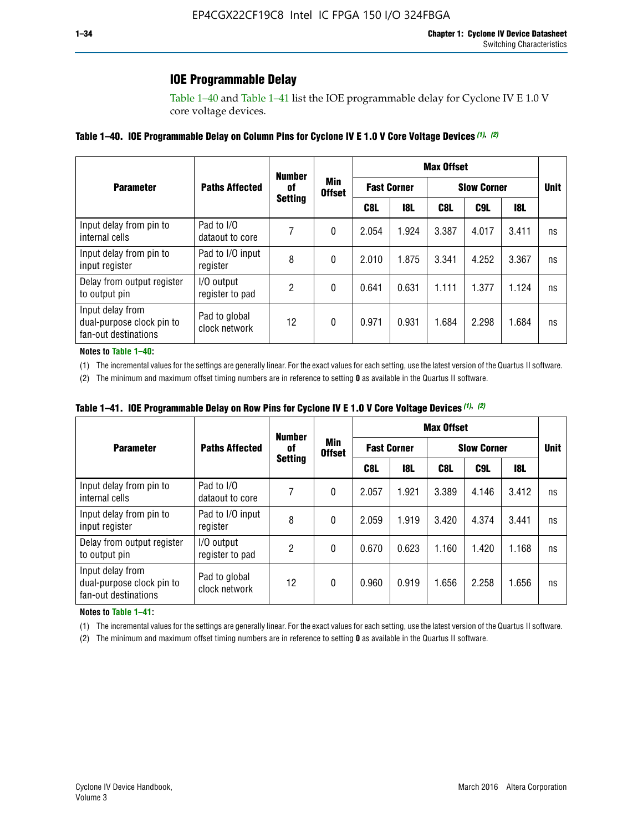# **IOE Programmable Delay**

Table 1–40 and Table 1–41 list the IOE programmable delay for Cyclone IV E 1.0 V core voltage devices.

#### **Table 1–40. IOE Programmable Delay on Column Pins for Cyclone IV E 1.0 V Core Voltage Devices** *(1)***,** *(2)*

|                                                                       |                                | <b>Number</b>  |                      |                    |            | <b>Max Offset</b> |                    |       |             |
|-----------------------------------------------------------------------|--------------------------------|----------------|----------------------|--------------------|------------|-------------------|--------------------|-------|-------------|
| <b>Parameter</b>                                                      | <b>Paths Affected</b>          | 0f             | Min<br><b>Offset</b> | <b>Fast Corner</b> |            |                   | <b>Slow Corner</b> |       | <b>Unit</b> |
|                                                                       |                                | <b>Setting</b> |                      | C8L                | <b>18L</b> | C8L               | C9L                | 18L   |             |
| Input delay from pin to<br>internal cells                             | Pad to I/O<br>dataout to core  |                | 0                    | 2.054              | 1.924      | 3.387             | 4.017              | 3.411 | ns          |
| Input delay from pin to<br>input register                             | Pad to I/O input<br>register   | 8              | 0                    | 2.010              | 1.875      | 3.341             | 4.252              | 3.367 | ns          |
| Delay from output register<br>to output pin                           | I/O output<br>register to pad  | 2              | 0                    | 0.641              | 0.631      | 1.111             | 1.377              | 1.124 | ns          |
| Input delay from<br>dual-purpose clock pin to<br>fan-out destinations | Pad to global<br>clock network | 12             | 0                    | 0.971              | 0.931      | 1.684             | 2.298              | 1.684 | ns          |

#### **Notes to Table 1–40:**

(1) The incremental values for the settings are generally linear. For the exact values for each setting, use the latest version of the Quartus II software.

(2) The minimum and maximum offset timing numbers are in reference to setting **0** as available in the Quartus II software.

| Table 1–41. IOE Programmable Delay on Row Pins for Cyclone IV E 1.0 V Core Voltage Devices (1), (2) |  |  |
|-----------------------------------------------------------------------------------------------------|--|--|
|-----------------------------------------------------------------------------------------------------|--|--|

|                                                                       |                                | <b>Number</b>  |                      |       |                    | <b>Max Offset</b>  |             |       |    |
|-----------------------------------------------------------------------|--------------------------------|----------------|----------------------|-------|--------------------|--------------------|-------------|-------|----|
| <b>Parameter</b>                                                      | <b>Paths Affected</b>          | 0f             | Min<br><b>Offset</b> |       | <b>Fast Corner</b> | <b>Slow Corner</b> | <b>Unit</b> |       |    |
|                                                                       |                                | <b>Setting</b> |                      | C8L   | <b>18L</b>         | C8L                | C9L         | 18L   |    |
| Input delay from pin to<br>internal cells                             | Pad to I/O<br>dataout to core  |                | 0                    | 2.057 | 1.921              | 3.389              | 4.146       | 3.412 | ns |
| Input delay from pin to<br>input register                             | Pad to I/O input<br>register   | 8              | 0                    | 2.059 | 1.919              | 3.420              | 4.374       | 3.441 | ns |
| Delay from output register<br>to output pin                           | I/O output<br>register to pad  | 2              | 0                    | 0.670 | 0.623              | 1.160              | 1.420       | 1.168 | ns |
| Input delay from<br>dual-purpose clock pin to<br>fan-out destinations | Pad to global<br>clock network | 12             | 0                    | 0.960 | 0.919              | 1.656              | 2.258       | 1.656 | ns |

#### **Notes to Table 1–41:**

(1) The incremental values for the settings are generally linear. For the exact values for each setting, use the latest version of the Quartus II software.

(2) The minimum and maximum offset timing numbers are in reference to setting **0** as available in the Quartus II software.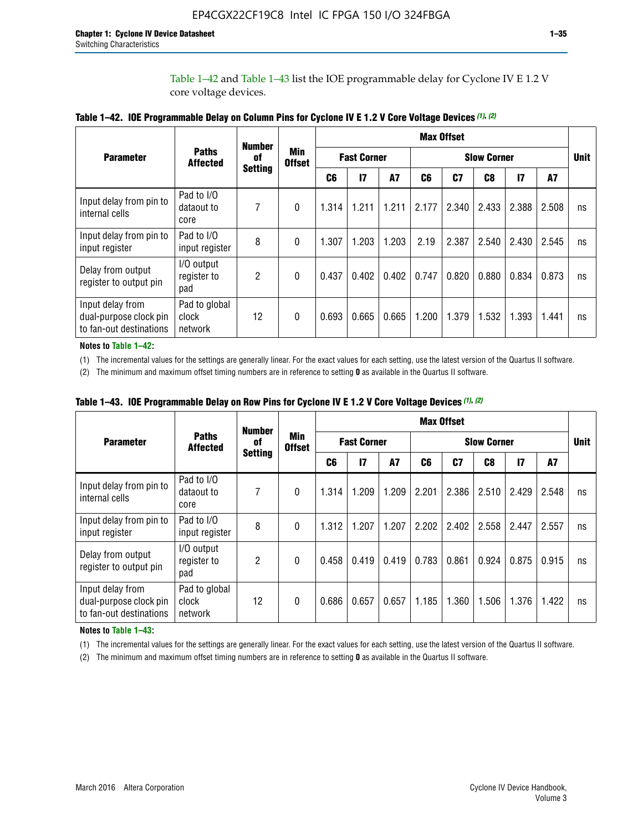Table 1–42 and Table 1–43 list the IOE programmable delay for Cyclone IV E 1.2 V core voltage devices.

|                                                                       |                                   | <b>Number</b>  |                             |                                          |              |           |       | <b>Max Offset</b> |       |               |       |    |
|-----------------------------------------------------------------------|-----------------------------------|----------------|-----------------------------|------------------------------------------|--------------|-----------|-------|-------------------|-------|---------------|-------|----|
| <b>Parameter</b>                                                      | <b>Paths</b><br><b>Affected</b>   | of             | <b>Min</b><br><b>Offset</b> | <b>Fast Corner</b><br><b>Slow Corner</b> |              |           |       |                   |       | <b>Unit</b>   |       |    |
|                                                                       |                                   | <b>Setting</b> |                             | C <sub>6</sub>                           | $\mathbf{I}$ | <b>A7</b> | C6    | C7                | C8    | $\mathsf{I}7$ | A7    |    |
| Input delay from pin to<br>internal cells                             | Pad to I/O<br>dataout to<br>core  | 7              | 0                           | 1.314                                    | 1.211        | 1.211     | 2.177 | 2.340             | 2.433 | 2.388         | 2.508 | ns |
| Input delay from pin to<br>input register                             | Pad to I/O<br>input register      | 8              | $\Omega$                    | 1.307                                    | 1.203        | 1.203     | 2.19  | 2.387             | 2.540 | 2.430         | 2.545 | ns |
| Delay from output<br>register to output pin                           | I/O output<br>register to<br>pad  | 2              | 0                           | 0.437                                    | 0.402        | 0.402     | 0.747 | 0.820             | 0.880 | 0.834         | 0.873 | ns |
| Input delay from<br>dual-purpose clock pin<br>to fan-out destinations | Pad to global<br>clock<br>network | 12             | 0                           | 0.693                                    | 0.665        | 0.665     | 1.200 | 1.379             | 1.532 | 1.393         | 1.441 | ns |

**Table 1–42. IOE Programmable Delay on Column Pins for Cyclone IV E 1.2 V Core Voltage Devices** *(1)***,** *(2)*

**Notes to Table 1–42:**

(1) The incremental values for the settings are generally linear. For the exact values for each setting, use the latest version of the Quartus II software.

(2) The minimum and maximum offset timing numbers are in reference to setting **0** as available in the Quartus II software.

|                                                                       |                                   | <b>Number</b>  |                      |       |                    |       |       | <b>Max Offset</b> |                    |              |       |             |
|-----------------------------------------------------------------------|-----------------------------------|----------------|----------------------|-------|--------------------|-------|-------|-------------------|--------------------|--------------|-------|-------------|
| <b>Parameter</b>                                                      | <b>Paths</b><br><b>Affected</b>   | 0f             | Min<br><b>Offset</b> |       | <b>Fast Corner</b> |       |       |                   | <b>Slow Corner</b> |              |       | <b>Unit</b> |
|                                                                       |                                   | <b>Setting</b> |                      | C6    | 17                 | A7    | C6    | C <sub>7</sub>    | C8                 | $\mathbf{I}$ | A7    |             |
| Input delay from pin to<br>internal cells                             | Pad to I/O<br>dataout to<br>core  | 7              | 0                    | 1.314 | 1.209              | 1.209 | 2.201 | 2.386             | 2.510              | 2.429        | 2.548 | ns          |
| Input delay from pin to<br>input register                             | Pad to I/O<br>input register      | 8              | $\theta$             | 1.312 | 1.207              | 1.207 | 2.202 | 2.402             | 2.558              | 2.447        | 2.557 | ns          |
| Delay from output<br>register to output pin                           | I/O output<br>register to<br>pad  | $\overline{2}$ | $\Omega$             | 0.458 | 0.419              | 0.419 | 0.783 | 0.861             | 0.924              | 0.875        | 0.915 | ns          |
| Input delay from<br>dual-purpose clock pin<br>to fan-out destinations | Pad to global<br>clock<br>network | 12             | 0                    | 0.686 | 0.657              | 0.657 | 1.185 | 1.360             | 1.506              | 1.376        | 1.422 | ns          |

**Table 1–43. IOE Programmable Delay on Row Pins for Cyclone IV E 1.2 V Core Voltage Devices** *(1)***,** *(2)*

#### **Notes to Table 1–43:**

(1) The incremental values for the settings are generally linear. For the exact values for each setting, use the latest version of the Quartus II software.

(2) The minimum and maximum offset timing numbers are in reference to setting **0** as available in the Quartus II software.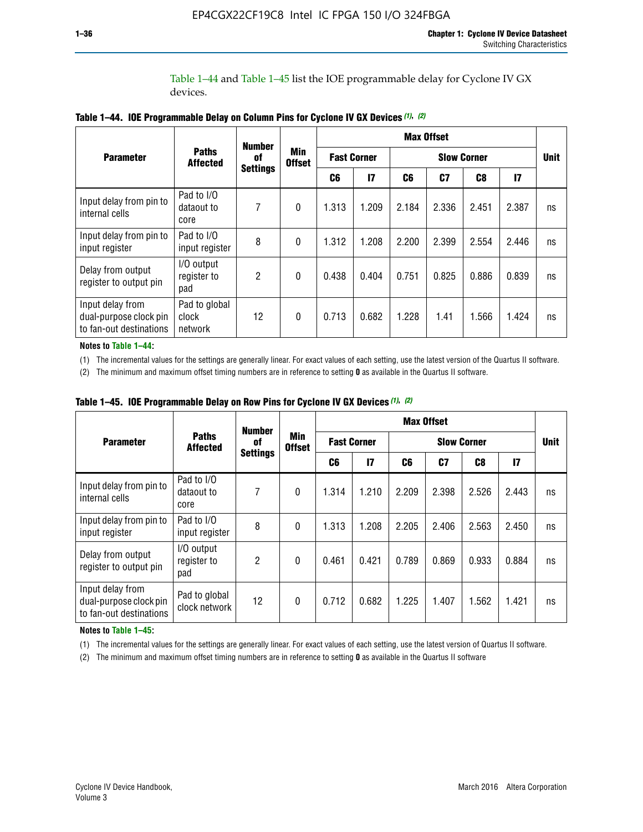Table 1–44 and Table 1–45 list the IOE programmable delay for Cyclone IV GX devices.

|                                                                       |                                   | <b>Number</b>   |                             |       |                    |       | <b>Max Offset</b>  |       |               |             |
|-----------------------------------------------------------------------|-----------------------------------|-----------------|-----------------------------|-------|--------------------|-------|--------------------|-------|---------------|-------------|
| <b>Parameter</b>                                                      | <b>Paths</b><br><b>Affected</b>   | 0f              | <b>Min</b><br><b>Offset</b> |       | <b>Fast Corner</b> |       | <b>Slow Corner</b> |       |               | <b>Unit</b> |
|                                                                       |                                   | <b>Settings</b> |                             | C6    | $\mathsf{I}7$      | C6    | C7                 | C8    | $\mathsf{I}7$ |             |
| Input delay from pin to<br>internal cells                             | Pad to I/O<br>dataout to<br>core  | 7               | $\mathbf{0}$                | 1.313 | 1.209              | 2.184 | 2.336              | 2.451 | 2.387         | ns          |
| Input delay from pin to<br>input register                             | Pad to I/O<br>input register      | 8               | $\theta$                    | 1.312 | 1.208              | 2.200 | 2.399              | 2.554 | 2.446         | ns          |
| Delay from output<br>register to output pin                           | I/O output<br>register to<br>pad  | 2               | $\mathbf 0$                 | 0.438 | 0.404              | 0.751 | 0.825              | 0.886 | 0.839         | ns          |
| Input delay from<br>dual-purpose clock pin<br>to fan-out destinations | Pad to global<br>clock<br>network | 12              | 0                           | 0.713 | 0.682              | 1.228 | 1.41               | 1.566 | 1.424         | ns          |

**Table 1–44. IOE Programmable Delay on Column Pins for Cyclone IV GX Devices** *(1)***,** *(2)*

**Notes to Table 1–44:**

(1) The incremental values for the settings are generally linear. For exact values of each setting, use the latest version of the Quartus II software.

(2) The minimum and maximum offset timing numbers are in reference to setting **0** as available in the Quartus II software.

|                                                                       |                                  | <b>Number</b>   |                             |       |                    |       | <b>Max Offset</b>  |       |              |             |
|-----------------------------------------------------------------------|----------------------------------|-----------------|-----------------------------|-------|--------------------|-------|--------------------|-------|--------------|-------------|
| <b>Parameter</b>                                                      | <b>Paths</b><br><b>Affected</b>  | 0f              | <b>Min</b><br><b>Offset</b> |       | <b>Fast Corner</b> |       | <b>Slow Corner</b> |       |              | <b>Unit</b> |
|                                                                       |                                  | <b>Settings</b> |                             | C6    | 17                 | C6    | C7                 | C8    | $\mathbf{I}$ |             |
| Input delay from pin to<br>internal cells                             | Pad to I/O<br>dataout to<br>core | 7               | $\mathbf{0}$                | 1.314 | 1.210              | 2.209 | 2.398              | 2.526 | 2.443        | ns          |
| Input delay from pin to<br>input register                             | Pad to I/O<br>input register     | 8               | $\mathbf{0}$                | 1.313 | 1.208              | 2.205 | 2.406              | 2.563 | 2.450        | ns          |
| Delay from output<br>register to output pin                           | I/O output<br>register to<br>pad | $\overline{2}$  | $\mathbf{0}$                | 0.461 | 0.421              | 0.789 | 0.869              | 0.933 | 0.884        | ns          |
| Input delay from<br>dual-purpose clock pin<br>to fan-out destinations | Pad to global<br>clock network   | 12              | 0                           | 0.712 | 0.682              | 1.225 | 1.407              | 1.562 | 1.421        | ns          |

**Table 1–45. IOE Programmable Delay on Row Pins for Cyclone IV GX Devices** *(1)***,** *(2)*

#### **Notes to Table 1–45:**

(1) The incremental values for the settings are generally linear. For exact values of each setting, use the latest version of Quartus II software.

(2) The minimum and maximum offset timing numbers are in reference to setting **0** as available in the Quartus II software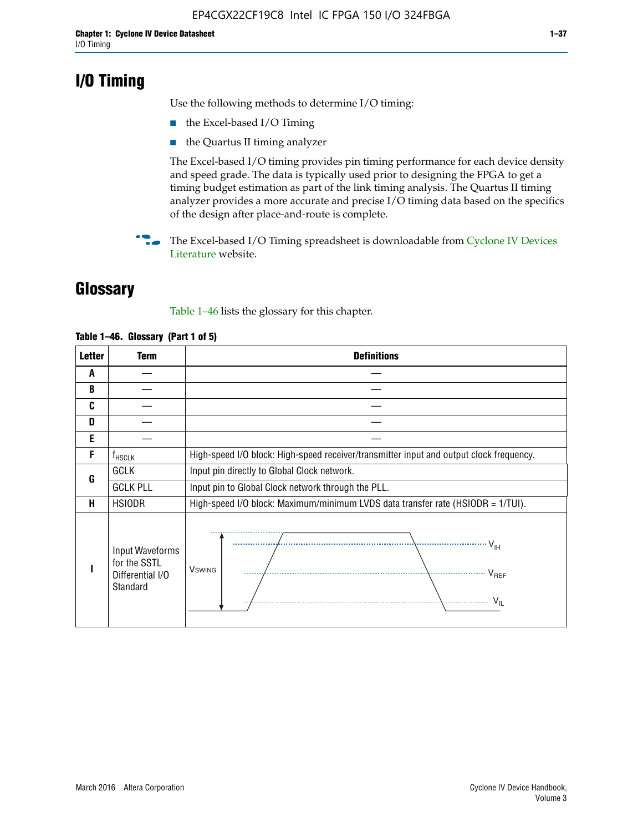# **I/O Timing**

Use the following methods to determine I/O timing:

- the Excel-based I/O Timing
- the Quartus II timing analyzer

The Excel-based I/O timing provides pin timing performance for each device density and speed grade. The data is typically used prior to designing the FPGA to get a timing budget estimation as part of the link timing analysis. The Quartus II timing analyzer provides a more accurate and precise I/O timing data based on the specifics of the design after place-and-route is complete.

**For The Excel-based I/O Timing spreadsheet is downloadable from Cyclone IV Devices** [Literature](http://www.altera.com/literature/lit-cyclone-iv.jsp) website.

# **Glossary**

Table 1–46 lists the glossary for this chapter.

| <b>Letter</b> | <b>Term</b>                                                     | <b>Definitions</b>                                                                                                                               |  |  |  |  |  |  |
|---------------|-----------------------------------------------------------------|--------------------------------------------------------------------------------------------------------------------------------------------------|--|--|--|--|--|--|
| A             |                                                                 |                                                                                                                                                  |  |  |  |  |  |  |
| B             |                                                                 |                                                                                                                                                  |  |  |  |  |  |  |
| C             |                                                                 |                                                                                                                                                  |  |  |  |  |  |  |
| D             |                                                                 |                                                                                                                                                  |  |  |  |  |  |  |
| E             |                                                                 |                                                                                                                                                  |  |  |  |  |  |  |
| F             | $f_{\sf HSCLK}$                                                 | High-speed I/O block: High-speed receiver/transmitter input and output clock frequency.                                                          |  |  |  |  |  |  |
| G             | <b>GCLK</b>                                                     | Input pin directly to Global Clock network.                                                                                                      |  |  |  |  |  |  |
|               | <b>GCLK PLL</b>                                                 | Input pin to Global Clock network through the PLL.                                                                                               |  |  |  |  |  |  |
| н             | <b>HSIODR</b>                                                   | High-speed I/O block: Maximum/minimum LVDS data transfer rate (HSIODR = 1/TUI).                                                                  |  |  |  |  |  |  |
|               | Input Waveforms<br>for the SSTL<br>Differential I/O<br>Standard | $\frac{1}{\sqrt{1+\frac{1}{2}}}\left\{ \frac{1}{\sqrt{1+\frac{1}{2}}}\right\}$<br><b>V</b> swing<br>$\cdots$ $V_{REF}$<br>\<br>$\sim V_{\rm IL}$ |  |  |  |  |  |  |

#### **Table 1–46. Glossary (Part 1 of 5)**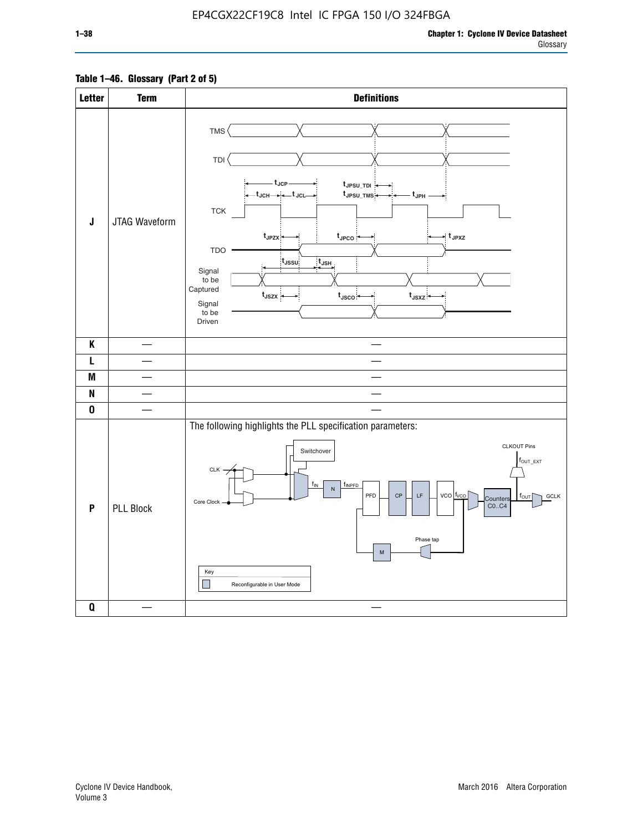### **Table 1–46. Glossary (Part 2 of 5)**

| <b>Letter</b> | <b>Term</b>      | <b>Definitions</b>                                                                                                                                                                                                                                                                                                                                                                                                                       |
|---------------|------------------|------------------------------------------------------------------------------------------------------------------------------------------------------------------------------------------------------------------------------------------------------------------------------------------------------------------------------------------------------------------------------------------------------------------------------------------|
| $\mathsf J$   | JTAG Waveform    | TMS <sup></sup><br><b>TDI</b><br>- t <sub>JCP</sub><br>tJPSU_TDI:<br>_t <sub>JCH</sub> ____i__t <sub>JCL</sub> _<br>t <sub>JPSU_TMS</sub><br>- t <sub>JPH</sub><br><b>TCK</b><br>t <sub>JPZX</sub><br>$t_{\scriptscriptstyle \sf JPCO}$<br>$\star$ t <sub>JPXZ</sub><br>TDO<br>t <sub>JSSU</sub><br>$t_{\mathsf{JSH}}$<br>Signal<br>to be<br>Captured<br>$t_{JSZX}$<br>$t_{\text{JSCO}}$<br>$t_{JSXZ}$<br>Signal<br>to be<br>Driven      |
| K             |                  |                                                                                                                                                                                                                                                                                                                                                                                                                                          |
| L             |                  |                                                                                                                                                                                                                                                                                                                                                                                                                                          |
| M             |                  |                                                                                                                                                                                                                                                                                                                                                                                                                                          |
| N             |                  |                                                                                                                                                                                                                                                                                                                                                                                                                                          |
| 0             |                  |                                                                                                                                                                                                                                                                                                                                                                                                                                          |
| P             | <b>PLL Block</b> | The following highlights the PLL specification parameters:<br><b>CLKOUT Pins</b><br>Switchover<br>$f_{\text{OUT\_EXT}}$<br>$CLK -$<br>f <sub>IN</sub><br>finpfd<br>${\sf N}$<br>PFD<br>$vco$ $f_{vco}$<br>$\mathsf{CP}$<br>$\mathsf{LF}% _{0}\left( t\right) \equiv\mathsf{LF}_{0}\left( t\right)$<br>GCLK<br>$f_{\text{OUT}}$<br>Counters<br>Core Clock<br>CO., C4<br>Phase tap<br>${\sf M}$<br>Key<br>H<br>Reconfigurable in User Mode |
| Q             |                  |                                                                                                                                                                                                                                                                                                                                                                                                                                          |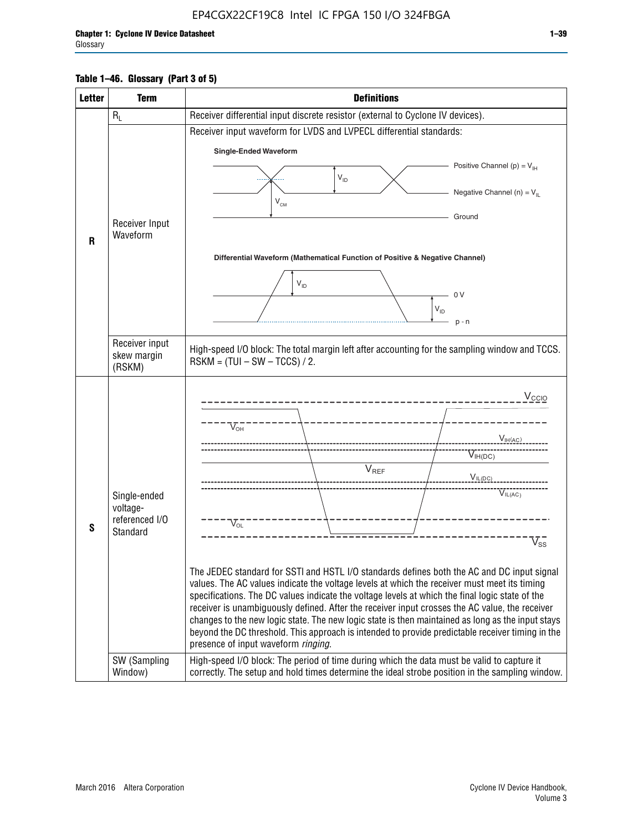#### **Table 1–46. Glossary (Part 3 of 5)**

| <b>Letter</b> | <b>Term</b>                | <b>Definitions</b>                                                                                                                                                                                |  |  |  |  |  |  |  |  |
|---------------|----------------------------|---------------------------------------------------------------------------------------------------------------------------------------------------------------------------------------------------|--|--|--|--|--|--|--|--|
|               | $R_L$                      | Receiver differential input discrete resistor (external to Cyclone IV devices).                                                                                                                   |  |  |  |  |  |  |  |  |
|               |                            | Receiver input waveform for LVDS and LVPECL differential standards:                                                                                                                               |  |  |  |  |  |  |  |  |
|               |                            | <b>Single-Ended Waveform</b>                                                                                                                                                                      |  |  |  |  |  |  |  |  |
|               |                            | Positive Channel (p) = $V_{\text{H}}$                                                                                                                                                             |  |  |  |  |  |  |  |  |
|               |                            | $V_{ID}$                                                                                                                                                                                          |  |  |  |  |  |  |  |  |
|               |                            | Negative Channel (n) = $V_{\parallel}$<br>$V_{CM}$                                                                                                                                                |  |  |  |  |  |  |  |  |
|               | Receiver Input             | Ground                                                                                                                                                                                            |  |  |  |  |  |  |  |  |
| $\mathbf{R}$  | Waveform                   |                                                                                                                                                                                                   |  |  |  |  |  |  |  |  |
|               |                            | Differential Waveform (Mathematical Function of Positive & Negative Channel)                                                                                                                      |  |  |  |  |  |  |  |  |
|               |                            |                                                                                                                                                                                                   |  |  |  |  |  |  |  |  |
|               |                            | $V_{ID}$                                                                                                                                                                                          |  |  |  |  |  |  |  |  |
|               |                            | 0 <sup>V</sup><br>$V_{ID}$                                                                                                                                                                        |  |  |  |  |  |  |  |  |
|               |                            | $p - n$                                                                                                                                                                                           |  |  |  |  |  |  |  |  |
|               | Receiver input             |                                                                                                                                                                                                   |  |  |  |  |  |  |  |  |
|               | skew margin                | High-speed I/O block: The total margin left after accounting for the sampling window and TCCS.<br>$RSKM = (TUI - SW - TCCS) / 2.$                                                                 |  |  |  |  |  |  |  |  |
|               | (RSKM)                     |                                                                                                                                                                                                   |  |  |  |  |  |  |  |  |
|               |                            | $V_{CCIO}$                                                                                                                                                                                        |  |  |  |  |  |  |  |  |
|               |                            |                                                                                                                                                                                                   |  |  |  |  |  |  |  |  |
|               |                            | $V_{\text{\tiny OH}}^-$                                                                                                                                                                           |  |  |  |  |  |  |  |  |
|               |                            | V <sub>IH</sub> (AC)                                                                                                                                                                              |  |  |  |  |  |  |  |  |
|               |                            | $V_{IH(DC)}$<br>V <sub>REF</sub>                                                                                                                                                                  |  |  |  |  |  |  |  |  |
|               |                            | $V_{I L (DC)}$                                                                                                                                                                                    |  |  |  |  |  |  |  |  |
|               | Single-ended               | $\overline{V}_{IL(AC)}$                                                                                                                                                                           |  |  |  |  |  |  |  |  |
|               | voltage-<br>referenced I/O |                                                                                                                                                                                                   |  |  |  |  |  |  |  |  |
| S             | Standard                   | $V_{OL}$                                                                                                                                                                                          |  |  |  |  |  |  |  |  |
|               |                            | $V_{ss}$                                                                                                                                                                                          |  |  |  |  |  |  |  |  |
|               |                            | The JEDEC standard for SSTI and HSTL I/O standards defines both the AC and DC input signal                                                                                                        |  |  |  |  |  |  |  |  |
|               |                            | values. The AC values indicate the voltage levels at which the receiver must meet its timing                                                                                                      |  |  |  |  |  |  |  |  |
|               |                            | specifications. The DC values indicate the voltage levels at which the final logic state of the<br>receiver is unambiguously defined. After the receiver input crosses the AC value, the receiver |  |  |  |  |  |  |  |  |
|               |                            | changes to the new logic state. The new logic state is then maintained as long as the input stays                                                                                                 |  |  |  |  |  |  |  |  |
|               |                            | beyond the DC threshold. This approach is intended to provide predictable receiver timing in the                                                                                                  |  |  |  |  |  |  |  |  |
|               | SW (Sampling               | presence of input waveform ringing.<br>High-speed I/O block: The period of time during which the data must be valid to capture it                                                                 |  |  |  |  |  |  |  |  |
|               | Window)                    | correctly. The setup and hold times determine the ideal strobe position in the sampling window.                                                                                                   |  |  |  |  |  |  |  |  |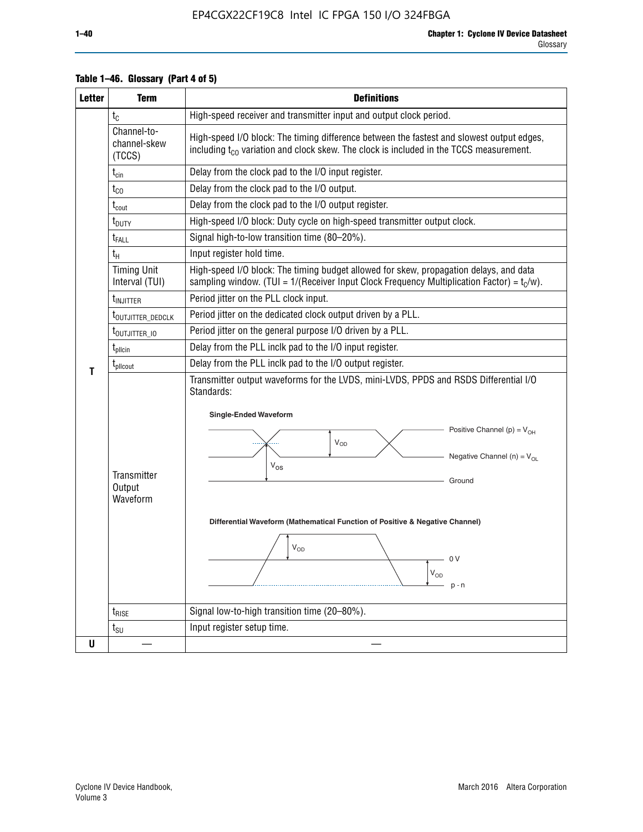| <b>Letter</b> | <b>Term</b>                           | <b>Definitions</b>                                                                                                                                                                                                                                                                                                                                                                                    |  |  |  |  |  |  |  |  |
|---------------|---------------------------------------|-------------------------------------------------------------------------------------------------------------------------------------------------------------------------------------------------------------------------------------------------------------------------------------------------------------------------------------------------------------------------------------------------------|--|--|--|--|--|--|--|--|
|               | $t_c$                                 | High-speed receiver and transmitter input and output clock period.                                                                                                                                                                                                                                                                                                                                    |  |  |  |  |  |  |  |  |
|               | Channel-to-<br>channel-skew<br>(TCCS) | High-speed I/O block: The timing difference between the fastest and slowest output edges,<br>including t <sub>co</sub> variation and clock skew. The clock is included in the TCCS measurement.                                                                                                                                                                                                       |  |  |  |  |  |  |  |  |
|               | $t_{\text{cin}}$                      | Delay from the clock pad to the I/O input register.                                                                                                                                                                                                                                                                                                                                                   |  |  |  |  |  |  |  |  |
|               | $t_{CO}$                              | Delay from the clock pad to the I/O output.                                                                                                                                                                                                                                                                                                                                                           |  |  |  |  |  |  |  |  |
|               | $\rm t_{\rm cout}$                    | Delay from the clock pad to the I/O output register.                                                                                                                                                                                                                                                                                                                                                  |  |  |  |  |  |  |  |  |
|               | t <sub>DUTY</sub>                     | High-speed I/O block: Duty cycle on high-speed transmitter output clock.                                                                                                                                                                                                                                                                                                                              |  |  |  |  |  |  |  |  |
|               | $t_{\sf FALL}$                        | Signal high-to-low transition time (80-20%).                                                                                                                                                                                                                                                                                                                                                          |  |  |  |  |  |  |  |  |
|               | $t_H$                                 | Input register hold time.                                                                                                                                                                                                                                                                                                                                                                             |  |  |  |  |  |  |  |  |
|               | <b>Timing Unit</b><br>Interval (TUI)  | High-speed I/O block: The timing budget allowed for skew, propagation delays, and data<br>sampling window. (TUI = $1/($ Receiver Input Clock Frequency Multiplication Factor) = $t_c/w$ ).                                                                                                                                                                                                            |  |  |  |  |  |  |  |  |
|               | t <sub>INJITTER</sub>                 | Period jitter on the PLL clock input.                                                                                                                                                                                                                                                                                                                                                                 |  |  |  |  |  |  |  |  |
|               | t <sub>outjitter_dedclk</sub>         | Period jitter on the dedicated clock output driven by a PLL.                                                                                                                                                                                                                                                                                                                                          |  |  |  |  |  |  |  |  |
|               | t <sub>outjitter_io</sub>             | Period jitter on the general purpose I/O driven by a PLL.                                                                                                                                                                                                                                                                                                                                             |  |  |  |  |  |  |  |  |
|               | $t_{\text{pllcin}}$                   | Delay from the PLL inclk pad to the I/O input register.                                                                                                                                                                                                                                                                                                                                               |  |  |  |  |  |  |  |  |
| т             | t <sub>plicout</sub>                  | Delay from the PLL inclk pad to the I/O output register.                                                                                                                                                                                                                                                                                                                                              |  |  |  |  |  |  |  |  |
|               | Transmitter<br>Output<br>Waveform     | Transmitter output waveforms for the LVDS, mini-LVDS, PPDS and RSDS Differential I/O<br>Standards:<br><b>Single-Ended Waveform</b><br>Positive Channel (p) = $V_{OH}$<br><b>V<sub>OD</sub></b><br>Negative Channel (n) = $V_{OL}$<br>$V_{OS}$<br>Ground<br>Differential Waveform (Mathematical Function of Positive & Negative Channel)<br>$\mathsf{V}_{\mathsf{OD}}$<br>- 0 V<br>$V_{OD}$<br>$p - n$ |  |  |  |  |  |  |  |  |
|               | $t_{\text{RISE}}$                     | Signal low-to-high transition time (20-80%).                                                                                                                                                                                                                                                                                                                                                          |  |  |  |  |  |  |  |  |
|               | $t_{\text{SU}}$                       | Input register setup time.                                                                                                                                                                                                                                                                                                                                                                            |  |  |  |  |  |  |  |  |
| U             |                                       |                                                                                                                                                                                                                                                                                                                                                                                                       |  |  |  |  |  |  |  |  |

### **Table 1–46. Glossary (Part 4 of 5)**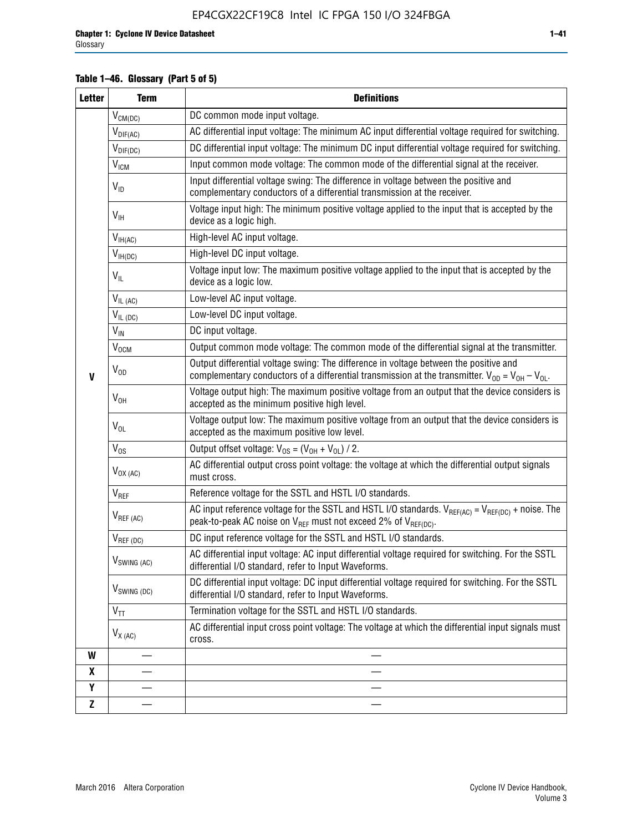### **Table 1–46. Glossary (Part 5 of 5)**

| <b>Letter</b> | <b>Term</b>               | <b>Definitions</b>                                                                                                                                                                                |
|---------------|---------------------------|---------------------------------------------------------------------------------------------------------------------------------------------------------------------------------------------------|
|               | $V_{CM(DC)}$              | DC common mode input voltage.                                                                                                                                                                     |
|               | $V_{DIF(AC)}$             | AC differential input voltage: The minimum AC input differential voltage required for switching.                                                                                                  |
|               | $V_{DIF(DC)}$             | DC differential input voltage: The minimum DC input differential voltage required for switching.                                                                                                  |
|               | <b>V<sub>ICM</sub></b>    | Input common mode voltage: The common mode of the differential signal at the receiver.                                                                                                            |
|               | $V_{ID}$                  | Input differential voltage swing: The difference in voltage between the positive and<br>complementary conductors of a differential transmission at the receiver.                                  |
|               | $V_{\text{IH}}$           | Voltage input high: The minimum positive voltage applied to the input that is accepted by the<br>device as a logic high.                                                                          |
|               | $V_{IH(AC)}$              | High-level AC input voltage.                                                                                                                                                                      |
|               | $V_{IH(DC)}$              | High-level DC input voltage.                                                                                                                                                                      |
|               | $V_{IL}$                  | Voltage input low: The maximum positive voltage applied to the input that is accepted by the<br>device as a logic low.                                                                            |
|               | $V_{IL(AC)}$              | Low-level AC input voltage.                                                                                                                                                                       |
|               | $V_{IL(DC)}$              | Low-level DC input voltage.                                                                                                                                                                       |
|               | $V_{IN}$                  | DC input voltage.                                                                                                                                                                                 |
| $\mathbf{V}$  | V <sub>OCM</sub>          | Output common mode voltage: The common mode of the differential signal at the transmitter.                                                                                                        |
|               | $V_{OD}$                  | Output differential voltage swing: The difference in voltage between the positive and<br>complementary conductors of a differential transmission at the transmitter. $V_{OD} = V_{OH} - V_{OL}$ . |
|               | $V_{OH}$                  | Voltage output high: The maximum positive voltage from an output that the device considers is<br>accepted as the minimum positive high level.                                                     |
|               | $V_{OL}$                  | Voltage output low: The maximum positive voltage from an output that the device considers is<br>accepted as the maximum positive low level.                                                       |
|               | $V_{OS}$                  | Output offset voltage: $V_{OS} = (V_{OH} + V_{OL}) / 2$ .                                                                                                                                         |
|               | $V_{OX (AC)}$             | AC differential output cross point voltage: the voltage at which the differential output signals<br>must cross.                                                                                   |
|               | $V_{REF}$                 | Reference voltage for the SSTL and HSTL I/O standards.                                                                                                                                            |
|               | $V_{REF\,(AC)}$           | AC input reference voltage for the SSTL and HSTL I/O standards. $V_{REF(AC)} = V_{REF(DC)} +$ noise. The<br>peak-to-peak AC noise on $V_{REF}$ must not exceed 2% of $V_{REF(DC)}$ .              |
|               | $V_{REF(DC)}$             | DC input reference voltage for the SSTL and HSTL I/O standards.                                                                                                                                   |
|               | $V_{\textrm{SWING (AC)}}$ | AC differential input voltage: AC input differential voltage required for switching. For the SSTL<br>differential I/O standard, refer to Input Waveforms.                                         |
|               | $V_{SWING (DC)}$          | DC differential input voltage: DC input differential voltage required for switching. For the SSTL<br>differential I/O standard, refer to Input Waveforms.                                         |
|               | $V_{TT}$                  | Termination voltage for the SSTL and HSTL I/O standards.                                                                                                                                          |
|               | $V_{X(AC)}$               | AC differential input cross point voltage: The voltage at which the differential input signals must<br>cross.                                                                                     |
| W             |                           |                                                                                                                                                                                                   |
| X             |                           |                                                                                                                                                                                                   |
| Y             |                           |                                                                                                                                                                                                   |
| $\mathbf{Z}$  |                           |                                                                                                                                                                                                   |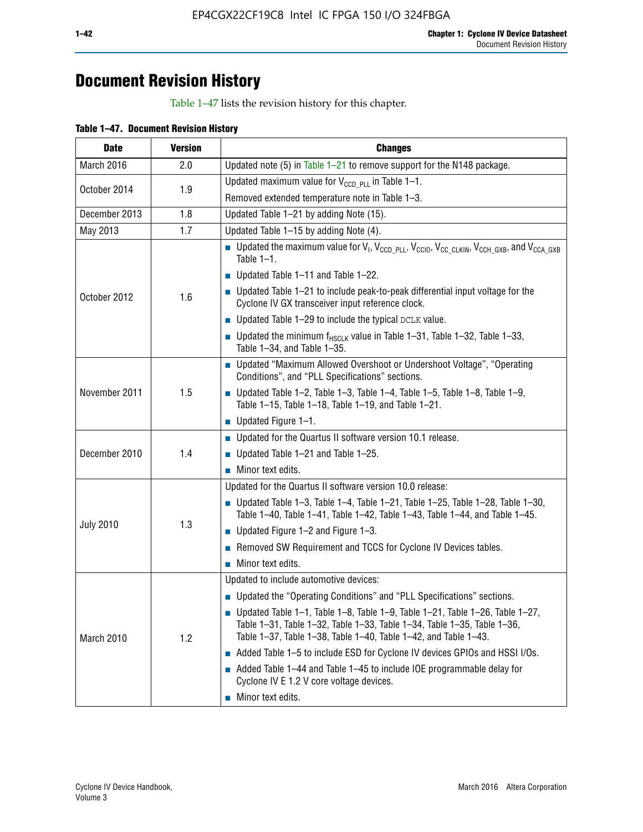# **Document Revision History**

Table 1–47 lists the revision history for this chapter.

| <b>Date</b>      | <b>Version</b> | <b>Changes</b>                                                                                                                                                                                                                            |
|------------------|----------------|-------------------------------------------------------------------------------------------------------------------------------------------------------------------------------------------------------------------------------------------|
| March 2016       | 2.0            | Updated note (5) in Table $1-21$ to remove support for the N148 package.                                                                                                                                                                  |
| October 2014     | 1.9            | Updated maximum value for $V_{CCD, PL}$ in Table 1-1.                                                                                                                                                                                     |
|                  |                | Removed extended temperature note in Table 1-3.                                                                                                                                                                                           |
| December 2013    | 1.8            | Updated Table 1-21 by adding Note (15).                                                                                                                                                                                                   |
| May 2013         | 1.7            | Updated Table 1-15 by adding Note (4).                                                                                                                                                                                                    |
| October 2012     | 1.6            | Dpdated the maximum value for $V_1$ , $V_{CCD\_PLL}$ , $V_{CC10}$ , $V_{CC\_CLKIN}$ , $V_{CCH\_GXB}$ , and $V_{CCA\_GXB}$<br>Table $1-1$ .                                                                                                |
|                  |                | $\blacksquare$ Updated Table 1-11 and Table 1-22.                                                                                                                                                                                         |
|                  |                | $\blacksquare$ Updated Table 1-21 to include peak-to-peak differential input voltage for the<br>Cyclone IV GX transceiver input reference clock.                                                                                          |
|                  |                | $\blacksquare$ Updated Table 1-29 to include the typical DCLK value.                                                                                                                                                                      |
|                  |                | <b>Updated the minimum f<sub>HSCLK</sub></b> value in Table 1-31, Table 1-32, Table 1-33,<br>Table 1-34, and Table 1-35.                                                                                                                  |
| November 2011    | 1.5            | • Updated "Maximum Allowed Overshoot or Undershoot Voltage", "Operating<br>Conditions", and "PLL Specifications" sections.                                                                                                                |
|                  |                | Updated Table 1-2, Table 1-3, Table 1-4, Table 1-5, Table 1-8, Table 1-9,<br>Table 1-15, Table 1-18, Table 1-19, and Table 1-21.                                                                                                          |
|                  |                | ■ Updated Figure $1-1$ .                                                                                                                                                                                                                  |
|                  | 1.4            | • Updated for the Quartus II software version 10.1 release.                                                                                                                                                                               |
| December 2010    |                | $\blacksquare$ Updated Table 1-21 and Table 1-25.                                                                                                                                                                                         |
|                  |                | $\blacksquare$ Minor text edits.                                                                                                                                                                                                          |
|                  | 1.3            | Updated for the Quartus II software version 10.0 release:                                                                                                                                                                                 |
| <b>July 2010</b> |                | Updated Table 1-3, Table 1-4, Table 1-21, Table 1-25, Table 1-28, Table 1-30,<br>Table 1-40, Table 1-41, Table 1-42, Table 1-43, Table 1-44, and Table 1-45.                                                                              |
|                  |                | ■ Updated Figure $1-2$ and Figure $1-3$ .                                                                                                                                                                                                 |
|                  |                | Removed SW Requirement and TCCS for Cyclone IV Devices tables.                                                                                                                                                                            |
|                  |                | $\blacksquare$ Minor text edits.                                                                                                                                                                                                          |
|                  | 1.2            | Updated to include automotive devices:                                                                                                                                                                                                    |
| March 2010       |                | • Updated the "Operating Conditions" and "PLL Specifications" sections.                                                                                                                                                                   |
|                  |                | $\blacksquare$ Updated Table 1-1, Table 1-8, Table 1-9, Table 1-21, Table 1-26, Table 1-27,<br>Table 1-31, Table 1-32, Table 1-33, Table 1-34, Table 1-35, Table 1-36,<br>Table 1-37, Table 1-38, Table 1-40, Table 1-42, and Table 1-43. |
|                  |                | Added Table 1-5 to include ESD for Cyclone IV devices GPIOs and HSSI I/Os.                                                                                                                                                                |
|                  |                | Added Table 1-44 and Table 1-45 to include IOE programmable delay for<br>Cyclone IV E 1.2 V core voltage devices.                                                                                                                         |
|                  |                | Minor text edits.                                                                                                                                                                                                                         |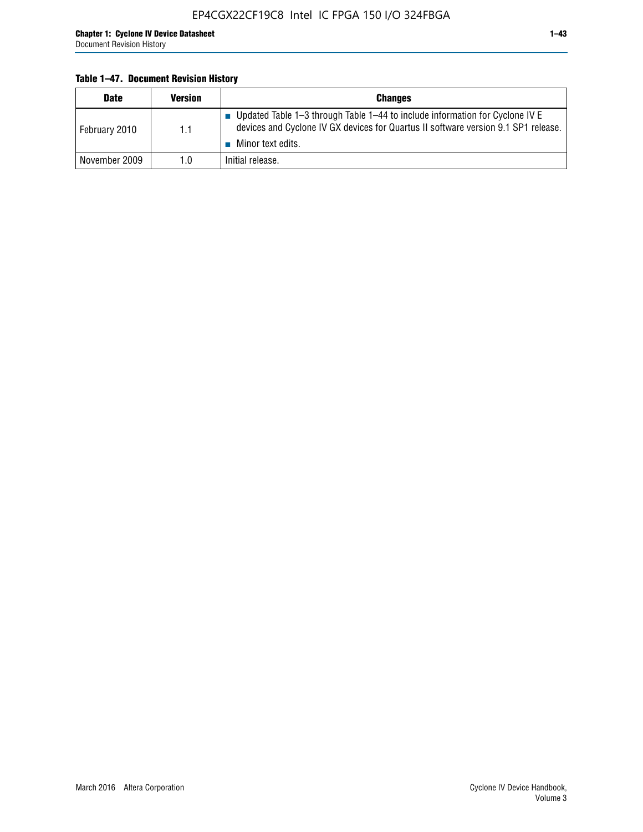#### **Table 1–47. Document Revision History**

| <b>Date</b>   | <b>Version</b> | <b>Changes</b>                                                                                                                                                                          |
|---------------|----------------|-----------------------------------------------------------------------------------------------------------------------------------------------------------------------------------------|
| February 2010 | 1.1            | Updated Table 1–3 through Table 1–44 to include information for Cyclone IV E<br>devices and Cyclone IV GX devices for Quartus II software version 9.1 SP1 release.<br>Minor text edits. |
| November 2009 | 1.0            | Initial release.                                                                                                                                                                        |